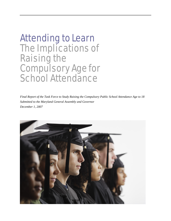# Attending to Learn The Implications of Raising the Compulsory Age for School Attendance

*Final Report of the Task Force to Study Raising the Compulsory Public School Attendance Age to 18 Submitted to the Maryland General Assembly and Governor December 1, 2007* 

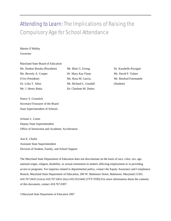# Attending to Learn: The Implications of Raising the Compulsory Age for School Attendance

Martin O'Malley Governor

Maryland State Board of Education

Mr. Dunbar Brooks (President) Ms. Beverly A. Cooper (Vice President) Dr. Lelia T. Allen Mr. J. Henry Butta

Mr. Blair G. Ewing Dr. Mary Kay Finan Ms. Rosa M. Garcia Mr. Richard L. Goodall Dr. Charlene M. Dukes

Dr. Karabelle Pizzigati Mr. David F. Tufaro Mr. Renford Freemantle (Student)

Nancy S. Grasmick Secretary/Treasurer of the Board State Superintendent of Schools

JoAnne L. Carter Deputy State Superintendent Office of Instruction and Academic Acceleration

Ann E. Chafin Assistant State Superintendent Division of Student, Family, and School Support

The Maryland State Department of Education does not discriminate on the basis of race, color, sex, age, national origin, religion, disability, or sexual orientation in matters affecting employment or in providing access to programs. For inquiries related to departmental policy, contact the Equity Assurance and Compliance Branch, Maryland State Department of Education, 200 W. Baltimore Street, Baltimore, Maryland 21201. 410.767.0433 (voice) 410.767.0431 (fax) 410.333.6442 (TTY/TDD) For more information about the contents of this document, contact 410.767.0307.

©Maryland State Department of Education 2007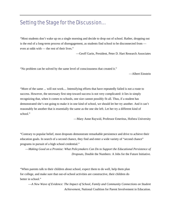# Setting the Stage for the Discussion…

"Most students don't wake up on a single morning and decide to drop out of school. Rather, dropping out is the end of a long-term process of disengagement, as students find school to be disconnected from even at odds with — the rest of their lives."

—Geoff Garin, President, Peter D. Hart Research Associates

"No problem can be solved by the same level of consciousness that created it."

—Albert Einstein

"More of the same ... will not work.... Intensifying efforts that have repeatedly failed is not a route to success. However, the necessary first step toward success is not very complicated: it lies in simply recognizing that, when it comes to schools, one size cannot possibly fit all. Thus, if a student has demonstrated she's not going to make it in one kind of school, we should let her try another. And it can't reasonably be another that is essentially the same as the one she left. Let her try a different kind of school."

—Mary Anne Raywid, Professor Emeritus, Hofstra University

"Contrary to popular belief, most dropouts demonstrate remarkable persistence and drive to achieve their education goals. In search of a second chance, they find and enter a wide variety of "second chance" programs in pursuit of a high school credential."

—*Making Good on a Promise: What Policymakers Can Do to Support the Educational Persistence of Dropouts*, Double the Numbers: A Jobs for the Future Initiative.

"When parents talk to their children about school, expect them to do well, help them plan for college, and make sure that out-of-school activities are constructive, their children do better in school."

—*A New Wave of Evidence: The Impact of School, Family and Community Connections on Student Achievement*, National Coalition for Parent Involvement in Education.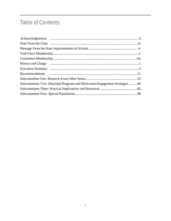# **Table of Contents**

| Subcommittee Two: Maryland Programs and Motivation/Engagement Strategies 60 |  |
|-----------------------------------------------------------------------------|--|
|                                                                             |  |
|                                                                             |  |
|                                                                             |  |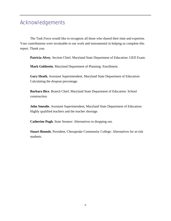# Acknowledgements

The Task Force would like to recognize all those who shared their time and expertise. Your contributions were invaluable to our work and instrumental in helping us complete this report. Thank you.

**Patricia Alvey**, Section Chief, Maryland State Department of Education: GED Exam.

**Mark Goldstein**, Maryland Department of Planning: Enrollment.

**Gary Heath**, Assistant Superintendent, Maryland State Department of Education: Calculating the dropout percentage.

**Barbara Bice**, Branch Chief, Maryland State Department of Education: School construction.

**John Smealie**, Assistant Superintendent, Maryland State Department of Education: Highly qualified teachers and the teacher shortage.

**Catherine Pugh**, State Senator: Alternatives to dropping out.

**Stuart Bounds**, President, Chesapeake Community College: Alternatives for at-risk students.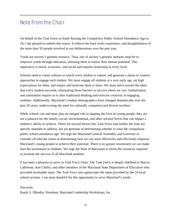# Note From the Chair

On behalf of the Task Force to Study Raising the Compulsory Public School Attendance Age to 18, I am pleased to submit this report. It reflects the hard work, experience, and thoughtfulness of the more than 50 people involved in our deliberations over the past year.

Youth are society's greatest resource. Thus, one of society's greatest interests must be to empower youth through education, allowing them to realize their human potential. This imperative is moral, economic, and social and requires leadership at every level.

Schools need to create cultures in which every student is valued, and generate a menu of creative approaches to engage each student. We must engage all students at a very early age, set high expectations for them, and inspire and motivate them to learn. We must strive toward the ideal that every student succeeds, eliminating those barriers to success where we can. Globalization and automation require us to alter traditional thinking and exercise creativity in engaging students. Additionally, Maryland's student demographics have changed dramatically over the past 20 years, underscoring the need for culturally competent and diverse teachers.

While schools can and must play an integral role in shaping the lives of young people, they are not a panacea for the family, social, environmental, and other societal forces that can impact a student's ability to achieve. There are myriad factors this Task Force had neither the time nor specific mandate to address, but are germane in determining whether to raise the compulsory public school attendance age. We urge the Maryland General Assembly and Governor to consider all relevant issues in determining how we can most effectively and efficiently empower Maryland's young people to achieve their potential. There is no greater investment we can make than the investment in children. We urge the State of Maryland to invest the resources required to promote the success of all Maryland students.

It has been a pleasure to serve as Task Force Chair. The Task Force is deeply indebted to Marcia Lathroum, Ann Chafin, and other members of the Maryland State Department of Education who provided invaluable input. The Task Force also appreciates the input provided by the 24 local school systems. I am most thankful for this opportunity to serve Maryland's youth.

Sincerely,

Ranjit S. Dhindsa, President, Maryland Leadership Workshops, Inc.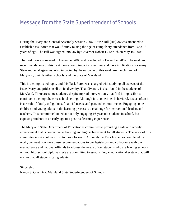# Message From the State Superintendent of Schools

During the Maryland General Assembly Session 2006, House Bill (HB) 36 was amended to establish a task force that would study raising the age of compulsory attendance from 16 to 18 years of age. The Bill was signed into law by Governor Robert L. Ehrlich on May 16, 2006.

The Task Force convened in December 2006 and concluded in December 2007. The work and recommendations of this Task Force could impact current law and have implications for many State and local agencies. Also impacted by the outcome of this work are the children of Maryland, their families, schools, and the State of Maryland.

This is a complicated topic, and this Task Force was charged with studying all aspects of the issue. Maryland prides itself on its diversity. That diversity is also found in the students of Maryland. There are some students, despite myriad interventions, that find it impossible to continue in a comprehensive school setting. Although it is sometimes behavioral, just as often it is a result of family obligations, financial needs, and personal commitments. Engaging some children and young adults in the learning process is a challenge for instructional leaders and teachers. This committee looked at not only engaging 16-year-old students in school, but exposing students at an early age to a positive learning experience.

The Maryland State Department of Education is committed to providing a safe and orderly environment that is conducive to learning and high achievement for all students. The work of this committee is yet another effort to move forward. Although the Task Force has completed its work, we must now take these recommendations to our legislators and collaborate with our elected State and national officials to address the needs of our students who are leaving schools without high school diplomas. We are committed to establishing an educational system that will ensure that all students can graduate.

#### Sincerely,

Nancy S. Grasmick, Maryland State Superintendent of Schools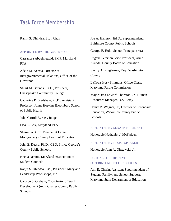# Task Force Membership

Ranjit S. Dhindsa, Esq., Chair

#### APPOINTED BY THE GOVERNOR

Cassandra Abdelmeguid, PMP, Maryland PTA

Adela M. Acosta, Director of Intergovernmental Relations, Office of the Governor

Stuart M. Bounds, Ph.D., President, Chesapeake Community College

Catherine P. Bradshaw, Ph.D., Assistant Professor, Johns Hopkins Bloomberg School of Public Health

John Carroll Byrnes, Judge

Lisa C. Cox, Maryland PTA

Sharon W. Cox, Member at Large, Montgomery County Board of Education

John E. Deasy, Ph.D., CEO, Prince George's County Public Schools

Nneka Dennie, Maryland Association of Student Councils

Ranjit S. Dhindsa, Esq., President, Maryland Leadership Workshops, Inc.

Carolyn S. Graham, Coordinator of Staff Development (ret.), Charles County Public Schools

Joe A. Hairston, Ed.D., Superintendent, Baltimore County Public Schools

George E. Hohl, School Principal (ret.)

Eugene Peterson, Vice President, Anne Arundel County Board of Education

Sherry A. Riggleman, Esq., Washington County

LaToya Ivory Simmons, Office Clerk, Maryland Parole Commission

Major Otha Edward Thornton, Jr., Human Resources Manager, U.S. Army

Henry V. Wagner, Jr., Director of Secondary Education, Wicomico County Public Schools

#### APPOINTED BY SENATE PRESIDENT

Honorable Nathaniel J. McFadden

#### APPOINTED BY HOUSE SPEAKER

Honorable John A. Olszewski, Jr.

#### DESIGNEE OF THE STATE SUPERINTENDENT OF SCHOOLS

Ann E. Chafin, Assistant Superintendent of Student, Family, and School Support, Maryland State Department of Education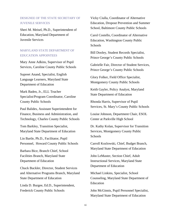#### DESIGNEE OF THE STATE SECRETARY OF JUVENILE SERVICES

Sheri M. Meisel, Ph.D., Superintendent of Education, Maryland Department of Juvenile Services

#### MARYLAND STATE DEPARTMENT OF EDUCATION APPOINTEES

Mary Anne Adkins, Supervisor of Pupil Services, Caroline County Public Schools

Supreet Anand, Specialist, English Language Learners, Maryland State Department of Education

Mark Baden, Jr., ELL Teacher Specialist/Program Coordinator, Caroline County Public Schools

Paul Balides, Assistant Superintendent for Finance, Business and Administration, and Technology, Charles County Public Schools

Tom Barkley, Transition Specialist, Maryland State Department of Education

Lin Bartle, Ph.D., Facilitator, Pupil Personnel, Howard County Public Schools

Barbara Bice, Branch Chief, School Facilities Branch, Maryland State Department of Education

Chuck Buckler, Director, Student Services and Alternative Programs Branch, Maryland State Department of Education

Linda D. Burgee, Ed.D., Superintendent, Frederick County Public Schools

Vicky Ciulla, Coordinator of Alternative Education, Dropout Prevention and Summer School, Baltimore County Public Schools

Carol Costello, Coordinator of Alternative Education, Washington County Public Schools

Bill Dooley, Student Records Specialist, Prince George's County Public Schools

Gabrielle Fair, Director of Student Services, Prince George's County Public Schools

Glory Folker, Field Office Specialist, Montgomery County Public Schools

Keith Gayler, Policy Analyst, Maryland State Department of Education

Rhonda Harris, Supervisor of Pupil Services, St. Mary's County Public Schools

Louise Johnson, Department Chair, ESOL Center at Parkville High School

Dr. Kathy Kolan, Supervisor for Transition Services, Montgomery County Public Schools

Carroll Kozlowski, Chief, Budget Branch, Maryland State Department of Education

John LeMaster, Section Chief, Adult Instructional Services, Maryland State Department of Education

Michael Linkins, Specialist, School Counseling, Maryland State Department of Education

John McGinnis, Pupil Personnel Specialist, Maryland State Department of Education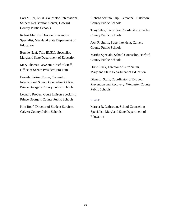Lori Miller, ESOL Counselor, International Student Registration Center, Howard County Public Schools

Robert Murphy, Dropout Prevention Specialist, Maryland State Department of Education

Bonnie Naef, Title III/ELL Specialist, Maryland State Department of Education

Mary Thomas Newsom, Chief of Staff, Office of Senate President Pro Tem

Beverly Pariser Foster, Counselor, International School Counseling Office, Prince George's County Public Schools

Leonard Proden, Court Liaison Specialist, Prince George's County Public Schools

Kim Roof, Director of Student Services, Calvert County Public Schools

Richard Sarfino, Pupil Personnel, Baltimore County Public Schools

Tony Silva, Transition Coordinator, Charles County Public Schools

Jack R. Smith, Superintendent, Calvert County Public Schools

Martha Speciale, School Counselor, Harford County Public Schools

Dixie Stack, Director of Curriculum, Maryland State Department of Education

Diane L. Stulz, Coordinator of Dropout Prevention and Recovery, Worcester County Public Schools

#### **STAFF**

Marcia R. Lathroum, School Counseling Specialist, Maryland State Department of Education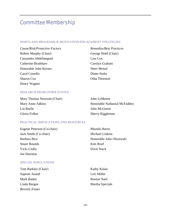# Committee Membership

#### MARYLAND PROGRAMS & MOTIVATION/ENGAGEMENT STRATEGIES

*Cause/Risk/Protective Factors*  Robert Murphy (Chair) Cassandra Abdelmeguid Catherine Bradshaw Honorable John Byrnes Carol Costello Sharon Cox Henry Wagner

*Remedies/Best Practices*  George Hohl (Chair) Lisa Cox Carolyn Graham Sheri Meisel Diane Stultz Otha Thornton

#### RESEARCH FROM OTHER STATES

| Mary Thomas Newsom (Chair) | John LeMaster                |
|----------------------------|------------------------------|
| Mary Anne Adkins           | Honorable Nathanial McFadden |
| Lin Bartle                 | John McGinnis                |
| Gloria Folker              | <b>Sherry Riggleman</b>      |

#### PRACTICAL IMPLICATIONS AND RESOURCES

| Eugene Peterson (Co-chair) | Rhonda Harris            |
|----------------------------|--------------------------|
| Jack Smith (Co-chair)      | <b>Michael Linkins</b>   |
| Barbara Bice               | Honorable John Olszewski |
| <b>Stuart Bounds</b>       | Kim Roof                 |
| Vicki Ciulla               | Dixie Stack              |
| Joe Hairston               |                          |

#### SPECIAL POPULATIONS

| Tom Barkley (Chair)   |
|-----------------------|
| <b>Supreet Anand</b>  |
| Mark Baden            |
| Linda Burgee          |
| <b>Beverly Foster</b> |

Kathy Kolan Lori Miller Bonnie Naef Martha Speciale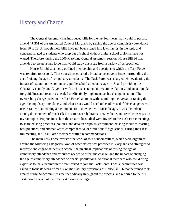# History and Charge

The General Assembly has introduced bills for the last four years that would, if passed, amend §7-301 of the Annotated Code of Maryland by raising the age of compulsory attendance from 16 to 18. Although these bills have not been signed into law, interest in the topic and concerns related to students who drop out of school without a high school diploma have not waned. Therefore, during the 2006 Maryland General Assembly session, House Bill 36 was amended to create a task force that would study this issue from a variety of perspectives.

House Bill 36 succinctly outlined membership and questions to which the Task Force was required to respond. These questions covered a broad perspective of issues surrounding the act of raising the age of compulsory attendance. The Task Force was charged with evaluating the impact of extending the compulsory public school attendance age to 18, and providing the General Assembly and Governor with an impact statement, recommendations, and an action plan for guidelines and resources needed to effectively implement such a change in statute. The overarching charge posed to the Task Force had to do with examining the *impact* of raising the age of compulsory attendance, and what issues would need to be addressed if this change were to occur, rather than making a recommendation on whether to raise the age. It was incumbent among the members of this Task Force to research, brainstorm, evaluate, and reach consensus on myriad topics. Experts in each of the areas to be studied were invited to the Task Force meetings to share existing practices, policies, and data on dropouts, enrollment, existing facilities, staffing, best practices, and alternatives to comprehensive or "traditional" high school. During their last full meeting, the Task Force members crafted recommendations.

The main Task Force oversaw the work of four subcommittees, which were organized around the following categories: laws of other states; best practices in Maryland and strategies to motivate and engage students in school; the practical implications of raising the age of compulsory attendance and resources needed to effect the change; and the impact of changing the age of compulsory attendance on special populations. Additional members who could bring expertise to the subcommittees were invited to join the Task Force. Each subcommittee was asked to focus its work primarily on the statutory provisions of House Bill 36 that pertained to its area of study. Subcommittees met periodically throughout the process, and reported to the full Task Force at each of the four Task Force meetings.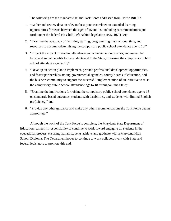The following are the mandates that the Task Force addressed from House Bill 36:

- 1. "Gather and review data on relevant best practices related to extended learning opportunities for teens between the ages of 15 and 18, including recommendations put forth under the federal No Child Left Behind legislation (P.L. 107-110);"
- 2. "Examine the adequacy of facilities, staffing, programming, instructional time, and resources to accommodate raising the compulsory public school attendance age to 18;"
- 3. "Project the impact on student attendance and achievement outcomes, and assess the fiscal and social benefits to the students and to the State, of raising the compulsory public school attendance age to 18;"
- 4. "Develop an action plan to implement, provide professional development opportunities, and foster partnerships among governmental agencies, county boards of education, and the business community to support the successful implementation of an initiative to raise the compulsory public school attendance age to 18 throughout the State;"
- 5. "Examine the implications for raising the compulsory public school attendance age to 18 on standards-based outcomes, students with disabilities, and students with limited English proficiency;" and
- 6. "Provide any other guidance and make any other recommendations the Task Force deems appropriate."

Although the work of the Task Force is complete, the Maryland State Department of Education realizes its responsibility to continue to work toward engaging all students in the educational process, ensuring that all students achieve and graduate with a Maryland High School Diploma. The Department hopes to continue to work collaboratively with State and federal legislators to promote this end.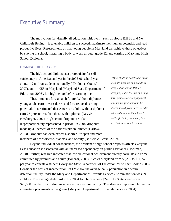# Executive Summary

The motivation for virtually all education initiatives—such as House Bill 36 and No Child Left Behind—is to enable children to succeed, maximize their human potential, and lead productive lives. Research tells us that young people in Maryland can achieve these objectives by staying in school, mastering a body of work through grade 12, and earning a Maryland High School Diploma.

#### FRAMING THE PROBLEM

The high school diploma is a prerequisite for selfsufficiency in America, and yet in the 2005-06 school year alone, 1.2 million students nationally ("Diplomas Count," 2007), and 11,058 in Maryland (Maryland State Department of Education, 2006), left high school before earning one.

These students face a harsh future. Without diplomas, young adults earn lower salaries and face reduced earning potential. It is estimated that American adults without diplomas earn 27 percent less than those with diplomas(Day & Newburger, 2002). High school dropouts are also disproportionately represented in prison. In 2004, dropouts made up 41 percent of the nation's prison inmates (Harlow, 2003). Dropouts can even expect a shorter life span and more instances of heart disease, diabetes, and obesity (Belfield & Levin, 2007).

*"Most students don't wake up on a single morning and decide to drop out of school. Rather, dropping out is the end of a longterm process of disengagement, as students find school to be disconnected from—even at odds with —the rest of their lives." —Geoff Garin, President, Peter D. Hart Research Associates* 

Beyond individual consequences, the problem of high school dropouts affects everyone. Less education is associated with an increased dependency on public assistance (Heckman, 2000). Further, research indicates that low educational achievement directly correlates to crime committed by juveniles and adults (Bonczar, 2003). It costs Maryland from \$8,237 to \$11,740 per year to educate a student (Maryland State Department of Education, "The Fact Book," 2006). Consider the costs of incarceration. In FY 2004, the average daily population in a secure detention facility under the Maryland Department of Juvenile Services Administration was 291 children. The average daily cost in FY 2004 for children was \$243. The State spends over \$70,000 per day for children incarcerated in a secure facility. This does not represent children in alternative placements or programs (Maryland Department of Juvenile Services, 2004).

3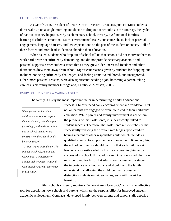#### CONTRIBUTING FACTORS

As Geoff Garin, President of Peter D. Hart Research Associates puts it: "Most students don't wake up on a single morning and decide to drop out of school." On the contrary, the cycle of habitual truancy begins as early as elementary school. Poverty, dysfunctional families, learning disabilities, emotional issues, environmental issues, substance abuse, lack of parental engagement, language barriers, and low expectations on the part of the student or society—all of these factors and more lead students to abandon their education.

When asked, students who drop out of school tell us that schools did not motivate them to work hard, were not sufficiently demanding, and did not provide necessary academic and personal supports. Other students stated that as they grew older, increased freedom and other distractions drew them away from school. Significant reasons given by students for dropping out included not being sufficiently challenged, and feeling unmotivated, bored, and unsupported. Other, more personal reasons, were also significant: needing a job, becoming a parent, taking care of a sick family member (Bridgeland, DiJulio, & Morison, 2006).

#### EVERY CHILD NEEDS A CARING ADULT

The family is likely the most important factor in determining a child's educational

*When parents talk to their children about school, expect them to do well, help them plan for college, and make sure that out-of-school activities are constructive, their children do better in school. —A New Wave of Evidence: The* 

*Impact of School, Family and Community Connections on Student Achievement, National Coalition for Parent Involvement in Education.* 

success. Children need daily encouragement and validation. But not all parents are engaged or even interested in their children's education. While parent and family involvement is not within the purview of this Task Force, it is inextricably linked to student success. Therefore, the Task Force must emphasize that successfully reducing the dropout rate hinges upon children having a parent or other responsible adult, which includes a qualified mentor, to support and encourage them. Knowing this, the school community should confirm that each child has at least one responsible adult in his life encouraging him to be successful in school. If that adult cannot be confirmed, then one must be found for him. That adult should stress to the student the importance of schoolwork, and should help the family understand that allowing the child too much access to distractions (television, video games, etc.) will thwart her learning.

 Title I schools currently require a "School-Parent Compact," which is an effective tool for describing how schools and parents will share the responsibility for improved student academic achievement. Compacts, developed jointly between parents and school staff, describe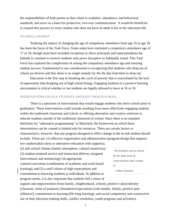the responsibilities of both parties as they relate to academic, attendance, and behavioral standards, and serve as a basis for productive, two-way communication. It would be beneficial to expand this practice to every student who does not have an adult in his or her education life.

#### NO SINGLE REMEDY

Studying the impact of changing the age of compulsory attendance from age 16 to age 18 has been the focus of the Task Force. Some states have instituted a compulsory attendance age of 17 or 18, though most have included exceptions to allow principals and superintendents the latitude to continue to remove students who prove disruptive or habitually truant. This Task Force has explored the complexities of raising the compulsory attendance age and ensuring student success. Fundamental to our consideration is recognizing that students who drop out of school are diverse and thus there is no single remedy for the ills that lead them to drop out.

Education is the first step in breaking the cycle of poverty that is exacerbated by the lack of opportunity that dropping out of high school brings. Engaging students in a positive learning environment is critical whether or not students are legally allowed to leave at 16 or 18.

#### INTERVENTIONS ENGAGE STUDENTS AND KEEP THEM IN SCHOOL

There is a spectrum of interventions that would engage students who leave school prior to graduation. These interventions could include anything from more effectively engaging students within the traditional classroom and school, to offering alternative and creative solutions to educate students outside of the traditional classroom or school. Since there is no standard definition for "alternative programming" in Maryland, the framework on which these interventions can be created is limited only by resources. There are certain factors or characteristics, however, that any program designed to effect change in the at-risk student should include. These are: (1) effective organization and administration (program design that supports

low student/adult ratios or alternative education with supports); (2) safe school climate (family atmosphere, cultural sensitivity);

(3) student-centered service and instruction delivery (targeted interventions and monitoring); (4) appropriate

content/curriculum (combination of academic and work-based learning); and (5) a staff culture of high expectations and commitment to knowing students as individuals. In addition to program needs, it is also important that students feel a sense of

*"No problem can be solved by the same level of consciousness that created it" —Albert Einstein* 

support and empowerment (from family, neighborhood, school); positive values/identity (character, sense of purpose); boundaries/expectations (role models, family, positive peer influence); commitment to learning (life-long learning); and social competency and constructive use of time (decision-making skills, conflict resolution, youth programs and activities).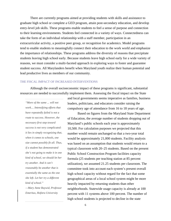There are currently programs aimed at providing students with skills and assistance to graduate high school or complete a GED program, attain post-secondary education, and develop entry-level job skills. These programs enable students to feel a sense of purpose and connection to their learning environments. Students feel connected in a variety of ways. Connectedness can take the form of an individual relationship with a staff member, participation in an extracurricular activity, a positive peer group, or recognition for academics. Model programs tend to enable students to meaningfully connect their education to the work world and emphasize the importance of relationships. These programs address the diversity of reasons that precipitate students leaving high school early. Because students leave high school early for a wide variety of reasons, we must consider a multi-faceted approach in exploring ways to foster and guarantee student success. All Marylanders benefit when Maryland youth realize their human potential and lead productive lives as members of our community.

#### THE FISCAL IMPACT OF INCREASED INTERVENTIONS

Although the overall socioeconomic impact of these programs is significant, substantial resources are needed to successfully implement them. Assessing the fiscal impact on the State

*"More of the same ... will not work.... Intensifying efforts that have repeatedly failed is not a route to success. However, the necessary first step toward success is not very complicated: it lies in simply recognizing that, when it comes to schools, one size cannot possibly fit all. Thus, if a student has demonstrated she's not going to make it in one kind of school, we should let her try another. And it can't reasonably be another that is essentially the same as the one she left. Let her try a different kind of school." —Mary Anne Raywid, Professor* 

*Emeritus, Hofstra University* 

and local governments seems imperative as families, business leaders, politicians, and educators consider raising the compulsory age of attendance from 16 to 18 years of age.

Based on figures from the Maryland State Department of Education, the average number of students dropping out of Maryland's public schools each year is approximately 10,500. For calculation purposes we projected that this number would remain unchanged so that a two-year total would be approximately 21,000 students. Facility analysis was based on an assumption that students would return to a typical classroom with 20–25 students. Based on the present Public School Construction Program facilities capacity formula (25 students per teaching station at 85 percent utilization), we assumed 21.25 students per classroom. The committee took into account each system's present overall high school capacity without regard for the fact that some geographical areas of a local school system might be more heavily impacted by returning students than other neighborhoods. Statewide usage capacity is already at 100 percent with 11 systems above 100 percent. The number of high school students is projected to decline in the state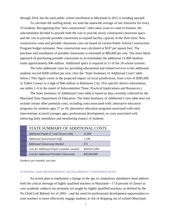through 2014, but the total public school enrollment in Maryland in 2015 is trending upward.

To calculate the staffing needs, we used the statewide average of one instructor for every 19 students. Recognizing that "new construction" often takes years to come to fruition, the subcommittee decided to provide both the cost to provide newly constructed classroom space and the cost to provide portable classrooms to expand facility capacity in the short term. New construction costs and portable classroom costs are based on current Public School Construction Program budget estimates. New construction was calculated at \$247 per square foot. The purchase and installation of portable classrooms is estimated at \$80,000 per unit. The more likely approach of purchasing portable classrooms to accommodate the additional 21,000 students totals approximately \$46 million. Additional space is required in 15 of the 24 school systems.

The total additional costs for providing educational and related services to the additional students exceed \$200 million per year. (See the "State Summary of Additional Costs" table below.) This figure varies in the projected impact on local jurisdictions, from a low of \$385,000 in Talbot County to a high of \$60 million in Baltimore City. (For specific district information, see tables 1–6 in the report of Subcommittee Three: Practical Implications and Resources.)

The State Summary of Additional Costs table is based on data currently collected by the Maryland State Department of Education. The State Summary of Additional Costs table does not include certain other potential costs, including costs associated with: alternative education programs for students ages 17 or 18; alternative education programs associated with early interventions at much younger ages; professional development; or costs associated with enforcing daily attendance and monitoring truancy of students.

| STATE SUMMARY OF ADDITIONAL COSTS              |               |  |
|------------------------------------------------|---------------|--|
| Additional Pupils (17 and 18 year olds)        | 21,044        |  |
| <b>Additional Instructional Staff</b>          | 1,108         |  |
| <b>Additional Classrooms Needed</b>            | 571           |  |
| Cost for Additional Pupils (rounded, annual)   | \$200,015,000 |  |
| <b>Cost for Additional Portable Classrooms</b> | \$45,660,000  |  |

*Numbers are rounded, one time.* 

#### STAFFING AND PROFESSIONAL DEVELOPMENT CONSIDERATIONS

An action plan to implement a change in the age of compulsory attendance must address both the critical shortage of highly qualified teachers in Maryland—17.8 percent of classes in core academic subjects are presently *not* taught by highly qualified teachers, as defined by the No Child Left Behind Act of 2001—and the need for professional development opportunities to train teachers to more effectively engage students at risk of dropping out of school (Maryland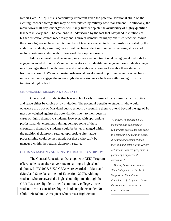Report Card, 2007). This is particularly important given the potential additional strain on the existing teacher shortage that may be precipitated by military base realignment. Additionally, the move toward all-day kindergarten will likely further deplete the availability of highly qualified teachers in Maryland. The challenge is underscored by the fact that Maryland institutions of higher education cannot meet Maryland's current demand for highly qualified teachers. While the above figures include the total number of teachers needed to fill the positions created by the additional students, assuming the current teacher-student ratio remains the same, it does not include costs associated with professional development needs.

Educators must use diverse and, in some cases, nontraditional pedagogical methods to engage potential dropouts. Moreover, educators must identify and engage these students at ages much younger than 16 with creative and nontraditional strategies to enable these students to become successful. We must create professional development opportunities to train teachers to more effectively engage the increasingly diverse students which are withdrawing from the traditional high school.

#### CHRONICALLY DISRUPTIVE STUDENTS

One subset of students that leaves school early is those who are chronically disruptive and leave either by choice or by invitation. The potential benefits to students who would otherwise drop out of Maryland public schools by requiring them to attend beyond the age of 16

must be weighed against the potential detriment to their peers in cases of highly disruptive students. However, with appropriate professional development training, perhaps some of these chronically disruptive students could be better managed within the traditional classroom setting. Appropriate alternative programming could be the remedy for those who can't be managed within the regular classroom setting.

#### GED IS AN EXISTING ALTERNATIVE ROUTE TO A DIPLOMA

The General Educational Development (GED) Program offers students an alternative route to earning a high school diploma. In FY 2007, 5,720 GEDs were awarded in Maryland (Maryland State Department of Education, 2007). Although students who are awarded a high school diploma through the GED Tests are eligible to attend community colleges, those students are not considered high school completers under No Child Left Behind. A recipient who earns a High School

*"Contrary to popular belief, most dropouts demonstrate remarkable persistence and drive to achieve their education goals. In search of a second chance, they find and enter a wide variety of "second chance" programs in pursuit of a high school credential."* 

*—Making Good on a Promise: What Policymakers Can Do to Support the Educational Persistence of Dropouts, Double the Numbers, a Jobs for the Future Initiative.*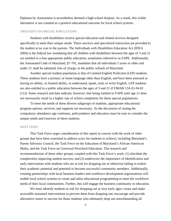Diploma by Assessment is nevertheless deemed a high school dropout. As a result, this viable alternative is not counted as a positive educational outcome for local school systems.

#### THOUGHTS ON SPECIAL POPULATIONS

Students with disabilities receive special education and related services designed specifically to meet their unique needs. These services and specialized instruction are provided to the student at no cost to the parents. The Individuals with Disabilities Education Act (IDEA 2004) is the federal law mandating that all children with disabilities between the ages of 3 and 21 are entitled to a free appropriate public education, sometimes referred to as FAPE. Additionally, the Annonated Code of Maryland, §7-701, mandates that all individuals 5 years or older and under 21 shall be admitted, free of charge, to the public schools of Maryland.

Another special student population is that of Limited English Proficient (LEP) students. These students have a primary or home language other than English, and have been assessed as having no ability, or limited ability, to understand, speak, read, or write English. LEP students are also entitled to a public education between the ages of 3 and 21 (COMAR 13A.01.04.02 (11)). Some research and data indicate, however, that being entitled to FAPE until age 21 does not necessarily result in a higher rate of school completion for these special populations.

To meet the needs of these diverse subgroups of students, appropriate educational program options, services, and supports are necessary. As the discussion of raising the compulsory attendance age continues, policymakers and educators must be sure to consider the unique needs and concerns of these students.

#### NEXT STEPS

 This Task Force urges consideration of this report in concert with the work of other groups that have been convened to address ways for students to achieve, including Maryland's Parent Advisory Council, the Task Force on the Education of Maryland's African-American Males, and the Task Force on Universal Preschool Education. The research and recommendations of these other groups, coupled with this Task Force's work: (1) elucidate the complexities impacting student success; and (2) underscore the importance of identification and early intervention with students who are at risk for dropping out or otherwise failing to realize their academic potential and potential to become successful community members. Additionally, creating partnerships with local business leaders and workforce development organizations will enable local school systems to create and tailor educational programming to meet the workforce needs of their local communities. Further, this will engage the business community in education.

We must identify students at risk for dropping out at very early ages; create and make accessible sustained interventions to prevent them from dropping out; encourage and provide alternative routes to success for those students who ultimately drop out notwithstanding all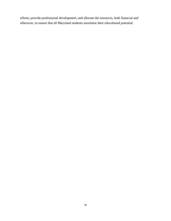efforts; provide professional development; and allocate the resources, both financial and otherwise, to ensure that all Maryland students maximize their educational potential.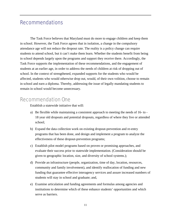# Recommendations

The Task Force believes that Maryland must do more to engage children and keep them in school. However, the Task Force agrees that in isolation, a change in the compulsory attendance age will not reduce the dropout rate. The reality is a policy change can require students to attend school, but it can't make them learn. Whether the students benefit from being in school depends largely upon the programs and support they receive there. Accordingly, the Task Force supports the implementation of these recommendations, and the engagement of students at an earlier age, in order to address the needs of children at risk of dropping out of school. In the context of strengthened, expanded supports for the students who would be affected, students who would otherwise drop out, would, of their own volition, choose to remain in school and earn a diploma. Thereby, addressing the issue of legally mandating students to remain in school would become unnecessary.

### Recommendation One

Establish a statewide initiative that will:

- a) Be flexible while maintaining a consistent approach to meeting the needs of 16- to 18 year old dropouts and potential dropouts, regardless of where they live or attended school;
- b) Expand the data collection work on existing dropout-prevention and re-entry programs that has been done, and design and implement a program to analyze the effectiveness of these dropout-prevention programs;
- c) Establish pilot model programs based on proven or promising approaches, and evaluate their success prior to statewide implementation. (Consideration should be given to geographic location, size, and diversity of school systems.);
- d) Provide an infrastructure (people, organization, time of day, location, resources, community and family involvement), and identify reallocation of funding and new funding that guarantee effective interagency services and assure increased numbers of students will stay in school and graduate; and,
- e) Examine articulation and funding agreements and formulas among agencies and institutions to determine which of these enhance students' opportunities and which serve as barriers.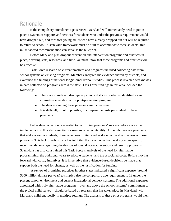### Rationale

If the compulsory attendance age is raised, Maryland will immediately need to put in place a system of supports and services for students who under the previous requirement would have dropped out, and for those young adults who have already dropped out but will be required to return to school. A statewide framework must be built to accommodate these students; this multi-faceted recommendation can serve as the blueprint.

Before Maryland puts dropout prevention and intervention programs and practices in place, devoting staff, resources, and time, we must know that these programs and practices will be effective.

Task Force research on current practices and programs included collecting data from school systems on existing programs. Members analyzed the evidence shared by districts, and examined the findings of national longitudinal dropout studies. This process revealed weaknesses in data collected on programs across the state. Task Force findings in this area included the following:

- There is a significant discrepancy among districts in what is identified as an alternative education or dropout-prevention program.
- The data evaluating these programs are inconsistent.
- It is difficult, if not impossible, to compare the costs per student of these programs.

Better data collection is essential to confirming programs' success before statewide implementation. It is also essential for reasons of accountability. Although there are programs that address at-risk students, there have been limited studies done on the effectiveness of these programs. This lack of robust data has inhibited the Task Force from making more specific recommendations regarding the designs of ideal dropout-prevention and re-entry programs. Scant data has also constrained this Task Force's analysis of the need for alternative programming, the additional years to educate students, and the associated costs. Before moving forward with costly initiatives, it is imperative that evidence-based decisions be made that support both the need for change, as well as the justification for funding.

 A review of promising practices in other states indicated a significant expense (around \$200 million dollars per year) to simply raise the compulsory age requirement to 18 under the present school environment and current instructional delivery systems. The additional expenses associated with truly alternative programs—over and above the school systems' commitment to the typical child served—should be based on research that has taken place in Maryland, with Maryland children, ideally in multiple settings. The analysis of these pilot programs would then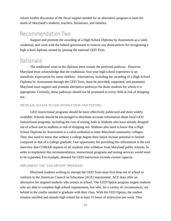inform further discussion of the fiscal support needed for an alternative program to meet the needs of Maryland's students, teachers, businesses, and families.

### Recommendation Two

Support and promote the awarding of a High School Diploma by Assessment as a valid credential, and work with the federal government to remove any disincentives for recognizing a high school diploma earned by passing the national GED Tests.

### Rationale

The traditional route to the diploma must remain the preferred pathway. However, Maryland must acknowledge that the traditional, four-year high school experience is an unrealistic expectation for some children. Alternatives, including the awarding of a High School Diploma by Assessment through the GED Tests, must be provided, supported, and promoted. Maryland must support and promote alternative pathways for those students for whom it is appropriate. Certainly, these pathways should not be promoted to every child at risk of dropping out.

#### INCREASE ACCESS TO GED INSTRUCTION AND TESTING

GED instructional programs should be more effectively publicized and more widely available. Schools should be encouraged to distribute accurate information about local GED instructional programs, including the cost of testing, both to students who have already dropped out of school and to students at risk of dropping out. Students also need to know that a High School Diploma by Assessment is a valid credential to enter Maryland community colleges. They also need to know that without a college degree their future income potential is limited compared to that of a college graduate. One opportunity for providing this information is the exit interview that COMAR requires of all students who withdraw from Maryland public schools. In order to implement this recommendation, instructional programs and testing services would need to be expanded. For example, demand for GED instruction exceeds current capacity.

#### IMPLEMENT THE "GED OPTION" PROGRAM

Maryland students wishing to attempt the GED Tests must first drop out of school to conform to the American Council on Education (ACE) requirement. ACE does offer an alternative for targeted students who remain in school. The GED Option program targets students who are able to complete high school requirements, but who, for a variety of circumstances, are behind in the credits needed to graduate with their class. With the GED Option, the student remains enrolled and attends high school for at least 15 hours of instruction per week. This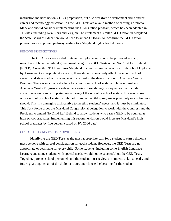instruction includes not only GED preparation, but also workforce development skills and/or career and technology education. As the GED Tests are a valid method of earning a diploma, Maryland should consider implementing the GED Option program, which has been adopted in 11 states, including New York and Virginia. To implement a similar GED Option in Maryland, the State Board of Education would need to amend COMAR to recognize the GED Option program as an approved pathway leading to a Maryland high school diploma.

#### REMOVE DISINCENTIVES

The GED Tests are a valid route to the diploma and should be promoted as such, regardless of how the federal government categorizes GED Tests under No Child Left Behind (NCLB). Currently, NCLB requires Maryland to count its graduates with a High School Diploma by Assessment as dropouts. As a result, these students negatively affect the school, school system, and state graduation rates, which are used in the determination of Adequate Yearly Progress. There is much at stake here for schools and school systems. Those not making Adequate Yearly Progress are subject to a series of escalating consequences that include corrective actions and complete restructuring of the school or school system. It is easy to see why a school or school system might not promote the GED program as positively or as often as it should. This is a damaging disincentive to meeting students' needs, and it must be eliminated. This Task Force urges the Maryland Congressional delegation to work with the Congress and the President to amend No Child Left Behind to allow students who earn a GED to be counted as high school graduates. Implementing this recommendation would increase Maryland's high school graduates by five percent (based on FY 2006 data).

#### CHOOSE DIPLOMA PATHS INDIVIDUALLY

Identifying the GED Tests as the most appropriate path for a student to earn a diploma must be done with careful consideration for each student. However, the GED Tests are not appropriate or attainable for every child. Some students, including some English Language Learners and some students with special needs, would not be successful on the GED Tests. Together, parents, school personnel, and the student must review the student's skills, needs, and future goals against all of the diploma routes and choose the best one for the student.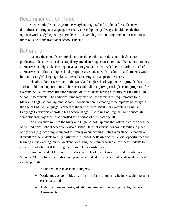# Recommendation Three

Create multiple pathways to the Maryland High School Diploma for students with disabilities and English Language Learners. These diploma pathways should include these options: work study beginning in grade 9; a five-year high school program; and instruction at times outside of the traditional school schedule.

# **Rationale**

Raising the compulsory attendance age alone will not produce more high school graduates. Indeed, whether the compulsory attendance age is raised or not, other actions and new alternatives to help students complete a path to graduation are needed. Particularly in need of alternatives to traditional high school programs are students with disabilities and students with little or no English language skills, referred to as English Language Learners.

Flexible, alternative routes to the Maryland High School Diploma will provide these students additional opportunities to be successful. Allowing five-year high school programs, for example, will allow more time for remediation for students having difficulty passing the High School Assessments. The additional time may also be used to meet the requirements for a Maryland High School Diploma. Another consideration in creating these diploma pathways is the age of English Language Learners at the time of enrollment. For example, an English Language Learner may enroll in high school at age 17 speaking no English. To be successful, some students may need to be enrolled for a period of time past age 18.

An alternative route to the Maryland High School Diploma that offers instruction outside of the traditional school schedule is also essential. It is not unusual for some families to place obligations (e.g., working to support the family or supervising siblings) on students that make it difficult for the students to fully participate in school. A flexible schedule with opportunities for learning in the evening, on the weekend, or during the summer would allow these students to attend school while still fulfilling their familial responsibilities.

Based on student feedback on a Maryland school district survey (Cecil County Public Schools, 2007), a five-year high school program could address the special needs of students at risk by providing:

- Additional help in academic subjects;
- Work-study opportunities that can be built into student schedules beginning at an earlier age; and,
- Additional time to meet graduation requirements, including the High School Assessments.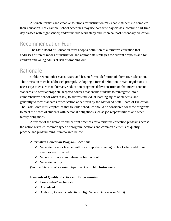Alternate formats and creative solutions for instruction may enable students to complete their education. For example, school schedules may use part-time day classes; combine part-time day classes with night school; and/or include work study and technical post-secondary education.

# Recommendation Four

The State Board of Education must adopt a definition of alternative education that addresses different modes of instruction and appropriate strategies for current dropouts and for children and young adults at risk of dropping out.

# Rationale

Unlike several other states, Maryland has no formal definition of alternative education. This omission must be addressed promptly. Adopting a formal definition in state regulations is necessary: to ensure that alternative education programs deliver instruction that meets content standards; to offer appropriate, targeted courses that enable students to reintegrate into a comprehensive school when ready; to address individual learning styles of students; and generally to meet standards for education as set forth by the Maryland State Board of Education. The Task Force must emphasize that flexible schedules should be considered for these programs to meet the needs of students with personal obligations such as job responsibilities and other family obligations.

A review of the literature and current practices for alternative education programs across the nation revealed common types of program locations and common elements of quality practice and programming, summarized below.

#### **Alternative Education Program Locations**

- o Separate room or teacher within a comprehensive high school where additional services are provided
- o School within a comprehensive high school
- o Separate facility

(Source: State of Wisconsin, Department of Public Instruction)

#### **Elements of Quality Practice and Programming**

- o Low student/teacher ratio
- o Accredited
- o Authority to grant credentials (High School Diplomas or GED)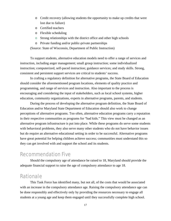- o Credit recovery (allowing students the opportunity to make up credits that were lost due to failure)
- o Certified teachers
- o Flexible scheduling
- o Strong relationships with the district office and other high schools
- o Private funding and/or public-private partnerships

(Source: State of Wisconsin, Department of Public Instruction)

To support students, alternative education models need to offer a range of services and instruction, including anger management; small group instruction; some individualized instruction; computerized, self-paced instruction; guidance services; and study skills. Strong, consistent and persistent support services are critical to students' success.

In crafting a regulatory definition for alternative programs, the State Board of Education should consider the aforementioned program locations, elements of quality practice and programming, and range of services and instruction. Also important to the process is encouraging and considering the input of stakeholders, such as local school systems, higher education, community organizations, experts in alternative programs, parents, and students.

During the process of developing the alternative program definition, the State Board of Education and/or Maryland State Department of Education should also work to change perceptions of alternative programs. Too often, alternative education programs carry a reputation in their respective communities as programs for "bad kids." This view must be changed as an alternative program infrastructure is put into place. While these programs do serve some students with behavioral problems, they also serve many other students who do not have behavior issues but do require an alternative educational setting in order to be successful. Alternative programs have great potential for helping children achieve success; communities must understand this so they can get involved with and support the school and its students.

# Recommendation Five

Should the compulsory age of attendance be raised to 18, Maryland should provide the adequate financial support to raise the age of compulsory attendance to age 18.

### Rationale

This Task Force has identified many, but not all, of the costs that would be associated with an increase in the compulsory attendance age. Raising the compulsory attendance age can be done responsibly and effectively only by providing the resources necessary to engage all students at a young age and keep them engaged until they successfully complete high school.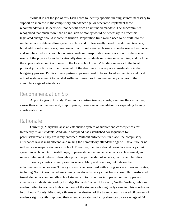While it is not the job of this Task Force to identify specific funding sources necessary to support an increase in the compulsory attendance age, or otherwise implement these recommendations, students will not benefit from an unfunded mandate. The subcommittee recognized that much more than an infusion of money would be necessary to effect this legislated change should it come to fruition. Preparation time would need to be built into the implementation date to allow systems to hire and professionally develop additional teachers, build additional classrooms, purchase and outfit relocatable classrooms, order needed textbooks and supplies, redraw school boundaries, analyze transportation needs, account for the special needs of the physically and educationally disabled students returning or remaining, and include the appropriate amount of money in the local school boards' funding requests to the local political jurisdictions in time to meet all of the deadlines for adequate consideration in the budgetary process. Public-private partnerships may need to be explored as the State and local school systems attempt to marshal sufficient resources to implement any changes to the compulsory age of attendance.

### Recommendation Six

Appoint a group to study Maryland's existing truancy courts, examine their structure, assess their effectiveness, and, if appropriate, make a recommendation for expanding truancy courts statewide.

### Rationale

Currently, Maryland lacks an established system of support and consequences for frequently truant students. And while Maryland has established consequences for parents/guardians, they are rarely enforced. Without enforcement in place, the compulsory attendance law is insignificant, and raising the compulsory attendance age will have little or no influence on keeping students in school. Therefore, the State should consider a truancy court system in each county to instill hope, improve student attendance, enhance achievement, and reduce delinquent behavior through a proactive partnership of schools, courts, and families.

Truancy courts currently exist in several Maryland counties, but data on their effectiveness is not known. Truancy courts have been used with strong success in several states, including North Carolina, where a newly developed truancy court has successfully transformed truant elementary and middle school students in two counties into perfect or nearly perfect attendance students. According to Judge Richard Chaney of Durham, North Carolina, only one student failed to graduate high school out of the students who regularly came into his courtroom. In St. Louis County, Missouri, a three-year evaluation of the truancy court showed 60 percent of students significantly improved their attendance rates, reducing absences by an average of 44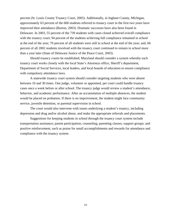percent (St. Louis County Truancy Court, 2005). Additionally, in Ingham County, Michigan, approximately 63 percent of the 600 students referred to truancy court in the first two years have improved their attendance (Burton, 2003). Dramatic successes have also been found in Delaware. In 2003, 55 percent of the 739 students with cases closed achieved overall compliance with the truancy court; 94 percent of the students achieving full compliance remained in school at the end of the year; 70 percent of all students were still in school at the end of the year; and, 66 percent of all 2002 students involved with the truancy court continued to remain in school more than a year later (State of Delaware Justice of the Peace Court, 2003).

Should truancy courts be established, Maryland should consider a system whereby each truancy court works closely with the local State's Attorneys office, Sheriff's department, Department of Social Services, local leaders, and local boards of education to ensure compliance with compulsory attendance laws.

A statewide truancy court system should consider targeting students who were absent between 10 and 30 times. One judge, volunteer or appointed, per court could handle truancy cases once a week before or after school. The truancy judge would review a student's attendance, behavior, and academic performance. After an accumulation of multiple absences, the student would be placed on probation. If there is no improvement, the student might face community service, juvenile detention, or parental supervision in school.

The court would also intervene with issues underlying a student's truancy, including depression and drug and/or alcohol abuse, and make the appropriate referrals and placements.

Suggestions for keeping students in school through the truancy court system include transportation assistance; parent participation; counseling; parenting classes; support groups; and positive reinforcement, such as praise for small accomplishments and rewards for attendance and compliance with the truancy system.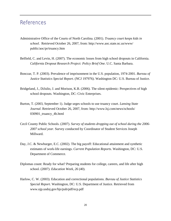# References

- Administrative Office of the Courts of North Carolina. (2001). *Truancy court keeps kids in school*. Retrieved October 26, 2007, from: http://www.aoc.state.nc.us/www/ public/aoc/pr/truancy.htm
- Belfield, C. and Levin, H. (2007). The economic losses from high school dropouts in California. *California Dropout Research Project: Policy Brief One*. U.C. Santa Barbara.
- Bonczar, T. P. (2003). Prevalence of imprisonment in the U.S. population, 1974-2001. *Bureau of Justice Statistics Special Report*. (NCJ 197976). Washington DC: U.S. Bureau of Justice.
- Bridgeland, J., DiJulio, J. and Morison, K.B. (2006). The silent epidemic: Perspectives of high school dropouts. Washington, DC: Civic Enterprises.
- Burton, T. (2003, September 1). Judge urges schools to use truancy court. *Lansing State Journal*. Retrieved October 26, 2007, from: http://www.lsj.com/news/schools/ 030901\_truancy\_4b.html
- Cecil County Public Schools. (2007). *Survey of students dropping out of school during the 2006- 2007 school year*. Survey conducted by Coordinator of Student Services Joseph Millward.
- Day, J.C. & Newburger, E.C. (2002). The big payoff: Educational attainment and synthetic estimates of work-life earnings. *Current Population Reports*. Washington, DC: U.S. Department of Commerce.
- Diplomas count: Ready for what? Preparing students for college, careers, and life after high school. (2007). *Education Week, 26* (40).
- Harlow, C. W. (2003). Education and correctional populations. *Bureau of Justice Statistics Special Report*. Washington, DC: U.S. Department of Justice. Retrieved from www.ojp.usdoj.gov/bjs/pub/pdf/ecp.pdf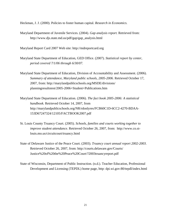Heckman, J. J. (2000). Policies to foster human capital. *Research in Economics.* 

Maryland Department of Juvenile Services. (2004). *Gap analysis report.* Retrieved from: http://www.djs.state.md.us/pdf/gap/gap\_analysis.html

Maryland Report Card 2007 Web site: http://mdreportcard.org

- Maryland State Department of Education, GED Office. (2007). *Statistical report by center, period covered 7/1/06 through 6/30/07.*
- Maryland State Department of Education, Division of Accountability and Assessment. (2006). *Summary of attendance, Maryland public schools, 2005-2006.* Retrieved October 17, 2007, from: http://marylandpublicschools.org/MSDE/divisions/ planningresultstest/2005-2006+Student+Publications.htm
- Maryland State Department of Education. (2006). *The fact book 2005-2006: A statistical handbook.* Retrieved October 14, 2007, from http://marylandpublicschools.org/NR/rdonlyres/FCB60C1D-6CC2-4270-BDAA-153D67247324/12105/FACTBOOK2007.pdf
- St. Louis County Truancy Court. (2005). *Schools, families and courts working together to improve student attendance*. Retrieved October 26, 2007, from: http://www.co.stlouis.mo.us/circuitcourt/truancy.html
- State of Delaware Justice of the Peace Court. (2003). *Truancy court annual report 2002-2003*. Retrieved October 26, 2007, from: http://courts.delaware.gov/Courts/ Justice%20of%20the%20Peace%20Court/?2003truancyreport.pdf
- State of Wisconsin, Department of Public Instruction. (n.d.). Teacher Education, Professional Development and Licensing (TEPDL) home page, http: dpi.wi.gov:80/tepdl/index.html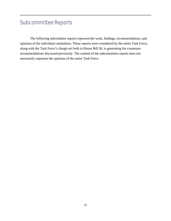# Subcommittee Reports

The following subcomittee reports represent the work, findings, recommendations, and opinions of the individual committees. These reports were considered by the entire Task Force, along with the Task Force's charge set forth in House Bill 36, in generating the consensus recommendations discussed previously. The content of the subcommittee reports does not necessarily represent the opinions of the entire Task Force.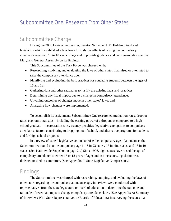# Subcommittee One: Research From Other States

# Subcommittee Charge

During the 2006 Legislative Session, Senator Nathaniel J. McFadden introduced legislation which established a task force to study the effects of raising the compulsory attendance age from 16 to 18 years of age and to provide guidance and recommendations to the Maryland General Assembly on its findings.

This Subcommittee of the Task Force was charged with:

- Researching, studying, and evaluating the laws of other states that raised or attempted to raise the compulsory attendance age;
- Identifying and evaluating the best practices for educating students between the ages of 16 and 18;
- Gathering data and other rationales to justify the existing laws and practices;
- Determining any fiscal impact due to a change in compulsory attendance;
- Unveiling outcomes of changes made in other states' laws; and,
- Analyzing how changes were implemented.

To accomplish its assignment, Subcommittee One researched graduation rates, dropout rates, economic statistics—including the earning power of a dropout as compared to a high school graduate—incarceration rates, truancy penalties, legislative exemptions to compulsory attendance, factors contributing to dropping out of school, and alternative programs for students and for high school dropouts.

In a review of states' legislative actions to raise the compulsory age of attendance, the Subcommittee found that the compulsory age is 16 in 23 states, 17 in nine states, and 18 in 19 states. (See Nationwide Snapshot on page 24.) Since 1996, eight states have raised the age of compulsory attendance to either 17 or 18 years of age; and in nine states, legislation was defeated or died in committee. (See Appendix F: State Legislative Comparisons.)

### **Findings**

The Subcommittee was charged with researching, studying, and evaluating the laws of other states regarding the compulsory attendance age. Interviews were conducted with representatives from the state legislature or board of education to determine the outcome and rationale of recent attempts to change compulsory attendance laws. (See Appendix A: Summary of Interviews With State Representatives or Boards of Education.) In surveying the states that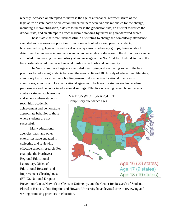recently increased or attempted to increase the age of attendance, representatives of the legislature or state board of education indicated there were various rationales for the change, including a moral obligation, a desire to increase the graduation rate, an attempt to reduce the dropout rate, and an attempt to affect academic standing by increasing standardized scores.

Those states that were unsuccessful in attempting to change the compulsory attendance age cited such reasons as opposition from home school educators, parents, students, business/industry, legislature and local school systems or advocacy groups; being unable to determine if an increase in graduation and attendance rates or decrease in the dropout rate can be attributed to increasing the compulsory attendance age or the No Child Left Behind Act; and the fiscal estimate would increase financial burden on schools and community.

The Subcommittee charge also included identifying and evaluating some of the best practices for educating students between the ages of 16 and 18. A body of educational literature, commonly known as effective schooling research, documents educational practices in classrooms, schools, and local educational agencies. The literature studies student academic performance and behavior in educational settings. Effective schooling research compares and

contrasts students, classrooms, and schools where students reach high academic achievement and demonstrate appropriate behavior to those where students are not successful.

Many educational agencies, labs, and other enterprises have engaged in collecting and reviewing effective schools research. For example, the Northwest Regional Educational Laboratory, Office of Educational Research and Improvement Clearinghouse (ERIC), National Dropout

#### NATIONWIDE SNAPSHOT

Compulsory attendance ages



Prevention Center/Network at Clemson University, and the Center for Research of Students Placed at Risk at Johns Hopkins and Howard University have devoted time to reviewing and writing promising practices in education.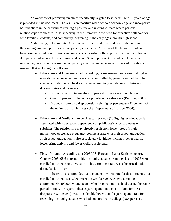An overview of promising practices specifically targeted to students 16 to 18 years of age is provided in this document. The results are positive when schools acknowledge and incorporate best practices in the curriculum creating a positive and inviting climate where personal relationships are stressed. Also appearing in the literature is the need for proactive collaboration with families, students, and community, beginning in the early ages through high school.

Additionally, Subcommittee One researched data and reviewed other rationales to justify the existing laws and practices of compulsory attendance. A review of the literature and data from governmental organizations and agencies demonstrates the apparent correlation between dropping out of school, fiscal earning, and crime. State representatives indicated that some motivating reasons to increase the compulsory age of attendance were influenced by national research that including the following:

- **Education and Crime**—Broadly speaking, crime research indicates that higher educational achievement reduces crime committed by juvenile and adults. The clearest correlation can be drawn when examining the relationship between dropout status and incarceration:
	- o Dropouts constitute less than 20 percent of the overall population.
	- o Over 50 percent of the inmate population are dropouts (Bonczar, 2003).
	- o Dropouts make up a disproportionately higher percentage (41 percent) of the nation's prison inmates (U.S. Department of Justice, 2004).
- **Education and Welfare**—According to Heckman (2000), higher education is associated with a decreased dependency on public assistance payments or subsidies. The relationship may directly result from lower rates of single motherhood or teenage pregnancy commensurate with high school graduation. High school graduation is also associated with higher incomes, better health, lower crime activity, and fewer welfare recipients.
- **Fiscal Impact**—According to a 2006 U.S. Bureau of Labor Statistics report, in October 2005, 68.6 percent of high school graduates from the class of 2005 were enrolled in colleges or universities. This enrollment rate was a historical high dating back to 1959.

The report also provides that the unemployment rate for those students not enrolled in college was 20.6 percent in October 2005. After examining approximately 400,000 young people who dropped out of school during this same period of time, the report indicates participation in the labor force for these dropouts (52.7 percent) was considerably lower than the participation rate for recent high school graduates who had not enrolled in college (78.5 percent).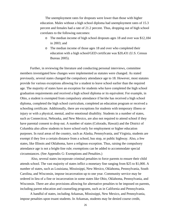The unemployment rates for dropouts were lower than those with higher education. Males without a high school diploma had unemployment rates of 15.3 percent and females had a rate of 21.2 percent. Thus, dropping out of high school correlates to the following outcomes:

- o The median income of high school dropouts ages 18 and over was \$12,184 in 2003; and
- o The median income of those ages 18 and over who completed their education with a high school/GED certificate was \$20,431 (U.S. Census Bureau 2005).

Further, in reviewing the literature and conducting personal interviews, committee members investigated how changes were implemented as statutes were changed. As stated previously, several states changed the compulsory attendance age to 18. However, most statutes provide for various exceptions allowing for a student to leave school earlier than the required age. The majority of states have an exception for students who have completed the high school graduation requirements and received a high school diploma or its equivalent. For example, in Ohio, a student is exempted from compulsory attendance if he/she has received a high school diploma, completed the high school curriculum, completed an education program or received a schooling certificate. Additionally, there are exceptions for students with temporary illness or injury or with a physical, mental, and/or emotional disability. Students in a number of states, such as Connecticut, Nebraska, and New Mexico, are also not required to attend school if they have parental consent to drop out. A number of states (Colorado, Hawaii) and the District of Columbia also allow students to leave school early for employment or higher education purposes. In rural areas of the country, such as Alaska, Pennsylvania, and Virginia, students are exempt if they live a certain distance from a school, bus stop, or public highway. Also, a few states, like Illinois and Oklahoma, have a religious exception. Thus, raising the compulsory attendance age is not a bright-line rule; exemptions can be added to accommodate special circumstances. (See Appendix G: Exemptions and Penalties.)

 Also, several states incorporate criminal penalties to force parents to ensure their child attends school. The vast majority of states inflict a monetary fine ranging from \$25 to \$1,000. A number of states, such as Louisiana, Mississippi, New Mexico, Oklahoma, Pennsylvania, South Carolina, and Wisconsin, impose incarceration up to one year. Community service may be ordered in lieu of a fine or incarceration in some states like Ohio, Oklahoma, Pennsylvania, and Wisconsin. There are also provisions allowing for alternative penalties to be imposed on parents, including parent education and counseling programs, such as in California and Pennsylvania.

A handful of states, including Arkansas, Mississippi, New Mexico, and Pennsylvania, impose penalties upon truant students. In Arkansas, students may be denied course credit,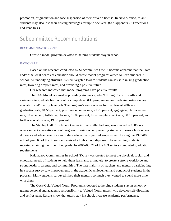promotion, or graduation and face suspension of their driver's license. In New Mexico, truant students may also lose their driving privileges for up to one year. (See Appendix G: Exceptions and Penalties.)

## Subcommittee Recommendations

#### RECOMMENDATION ONE

Create a model program devoted to helping students stay in school.

#### RATIONALE

Based on the research conducted by Subcommittee One, it became apparent that the State and/or the local boards of education should create model programs aimed to keep students in school. An underlying structural system targeted toward students can assist in raising graduation rates, lowering dropout rates, and providing a positive future.

Our research indicated that model programs have positive results.

The JAG Model is aimed at providing students grades 9 through 12 with skills and assistance to graduate high school or complete a GED program and/or to obtain postsecondary education and/or entry level job. The program's success rates for the class of 2002 are: graduation rate, 84.56 percent; positive outcomes rate, 72.28 percent; aggregate job placement rate, 52.4 percent; full-time jobs rate, 65.89 percent; full-time placement rate, 88.13 percent; and further education rate, 19.88 percent.

The Stanley Hall Enrichment Center in Evansville, Indiana, was created in 1988 as an open-concept alternative school program focusing on empowering students to earn a high school diploma and advance to post-secondary education or gainful employment. During the 1999-00 school year, 60 of the 89 seniors received a high school diploma. The remaining students reported attaining their identified goals. In 2004–05, 74 of the 103 seniors completed graduation requirements.

Kalamazoo Communities in School (KCIS) was created to meet the physical, social, and emotional needs of students to help them learn and, ultimately, to create a strong workforce and strong leaders, parents, and communities. The vast majority of teachers and mentors participating in a recent survey saw improvements in the academic achievement and conduct of students in the program. Many students surveyed liked their mentors so much they wanted to spend more time with them.

The Coca-Cola Valued Youth Program is devoted to helping students stay in school by giving personal and academic responsibility to Valued Youth tutors, who develop self-discipline and self-esteem. Results show that tutors stay in school, increase academic performance,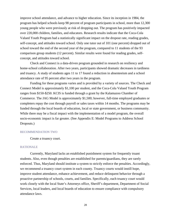improve school attendance, and advance to higher education. Since its inception in 1984, the program has helped schools keep 98 percent of program participants in school, more than 12,300 young people who were previously at risk of dropping out. The program has positively impacted over 220,000 children, families, and educators. Research results indicate that the Coca-Cola Valued Youth Program had a statistically significant impact on the dropout rate, reading grades, self-concept, and attitudes toward school. Only one tutor out of 101 (one percent) dropped out of school toward the end of the second year of the program, compared to 11 students of the 93 comparison group students (12 percent). Similar results were found for reading grades, selfconcept, and attitudes toward school.

Check and Connect is a data-driven program grounded in research on resiliency and home-school collaboration. After two years, participants showed dramatic decreases in tardiness and truancy. A study of students ages 11 to 17 found a reduction in absenteeism and a school attendance rate of 95 percent after two years in the program.

Funding for these programs varies and is provided by a variety of sources. The Check and Connect Model is approximately \$1,100 per student, and the Coca-Cola Valued Youth Program ranges from \$150-\$250. KCIS is funded through a grant by the Kalamazoo Chamber of Commerce. The JAG Model is approximately \$1,500; however, full-time employed graduates or completers repay the cost through payroll or sales taxes within 14 months. The programs may be funded through the local boards of education, local or state government, or business community. While there may be a fiscal impact with the implementation of a model program, the overall socio-economic impact is far greater. (See Appendix E: Model Programs to Address School Dropouts.)

#### RECOMMENDATION TWO

Create a truancy court.

#### RATIONALE

Currently, Maryland lacks an established punishment system for frequently truant students. Also, even though penalties are established for parents/guardians, they are rarely enforced. Thus, Maryland should institute a system to strictly enforce the penalties. Accordingly, we recommend a truancy court system in each county. Truancy courts would instill hope, improve student attendance, enhance achievement, and reduce delinquent behavior through a proactive partnership of schools, courts, and families. Specifically, each truancy court would work closely with the local State's Attorneys office, Sheriff's department, Department of Social Services, local leaders, and local boards of education to ensure compliance with compulsory attendance laws.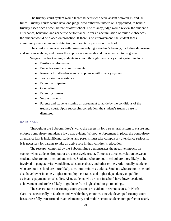The truancy court system would target students who were absent between 10 and 30 times. Truancy courts would have one judge, who either volunteers or is appointed, to handle truancy cases once a week before or after school. The truancy judge would review the student's attendance, behavior, and academic performance. After an accumulation of multiple absences, the student would be placed on probation. If there is no improvement, the student faces community service, juvenile detention, or parental supervision in school.

The court also intervenes with issues underlying a student's truancy, including depression and substance abuse, and makes the appropriate referrals and placements into programs.

Suggestions for keeping students in school through the truancy court system include:

- Positive reinforcement
- Praise for small accomplishments
- Rewards for attendance and compliance with truancy system
- Transportation assistance
- Parent participation
- Counseling
- Parenting classes
- Support groups
- Parents and students signing an agreement to abide by the conditions of the truancy court. Upon successful completion, the student's truancy case is dismissed.

#### **RATIONALE**

Throughout the Subcommittee's work, the necessity for a structural system to ensure and enforce compulsory attendance laws was evident. Without enforcement in place, the compulsory attendance law is insignificant; students and parents must take compulsory attendance seriously. It is necessary for parents to take an active role in their children's education.

The research compiled by the Subcommittee demonstrates the negative impacts on society when students drop out or are excessively truant. There is a direct correlation between students who are not in school and crime. Students who are not in school are more likely to be involved in gang activity, vandalism, substance abuse, and other crimes. Additionally, students who are not in school are more likely to commit crimes as adults. Students who are not in school also have lower incomes, higher unemployment rates, and higher dependency on public assistance payments or subsidies. Also, students who are not in school have lower academic achievement and are less likely to graduate from high school or go to college.

The success rates for truancy court systems are evident in several states. In North Carolina, specifically in Durham and Mecklenburg counties, a newly developed truancy court has successfully transformed truant elementary and middle school students into perfect or nearly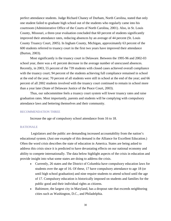perfect attendance students. Judge Richard Chaney of Durham, North Carolina, stated that only one student failed to graduate high school out of the students who regularly came into his courtroom (Administrative Office of the Courts of North Carolina, 2001). Also, in St. Louis County, Missouri, a three-year evaluation concluded that 60 percent of students significantly improved their attendance rates, reducing absences by an average of 44 percent (St. Louis County Truancy Court, 2005). In Ingham County, Michigan, approximately 63 percent of the 600 students referred to truancy court in the first two years have improved their attendance (Burton, 2003).

Most significantly is the truancy court in Delaware. Between the 1995-96 and 2002-03 school year, there was a 41 percent decrease in the average number of unexcused absences. Recently, in 2003, 55 percent of the 739 students with closed cases achieved overall compliance with the truancy court; 94 percent of the students achieving full compliance remained in school at the end of the year; 70 percent of all students were still in school at the end of the year; and 66 percent of all 2002 students involved with the truancy court continued to remain in school more than a year later (State of Delaware Justice of the Peace Court, 2003).

Thus, our subcommittee feels a truancy court system will lower truancy rates and raise graduation rates. Most importantly, parents and students will be complying with compulsory attendance laws and bettering themselves and their community.

#### RECOMMENDATION THREE

Increase the age of compulsory school attendance from 16 to 18.

#### RATIONALE

Legislators and the public are demanding increased accountability from the nation's educational system. (Just one example of this demand is the Alliance for Excellent Education.) Often the word crisis describes the state of education in America. States are being asked to address this crisis since it is predicted to have devastating effects on our national economy and ability to compete internationally. The data below highlight aspects of the crisis in education and provide insight into what some states are doing to address the crisis.

- Currently, 26 states and the District of Columbia have compulsory education laws for students over the age of 16. Of these, 17 have compulsory attendance to age 18 (or until high school graduation) and nine require students to attend school until the age of 17. Compulsory education is historically imposed on students and families for the public good and their individual rights as citizens.
- Baltimore, the largest city in Maryland, has a dropout rate that exceeds neighboring cities such as Washington, D.C., and Philadelphia.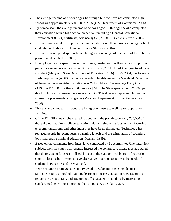- The average income of persons ages 18 through 65 who have not completed high school was approximately \$20,100 in 2005 (U.S. Department of Commerce, 2006).
- By comparison, the average income of persons aged 18 through 65 who completed their education with a high school credential, including a General Educational Development (GED) certificate, was nearly \$29,700 (U.S. Census Bureau, 2006).
- Dropouts are less likely to participate in the labor force than those with a high school credential or higher (U.S. Bureau of Labor Statistics, 2004).
- Dropouts make up a disproportionately higher percentage (41 percent) of the nation's prison inmates (Harlow, 2003).
- Unemployed youth spend time on the streets, create families they cannot support, or participate in anti-social activities. It costs from \$8,237 to 11,740 per year to educate a student (Maryland State Department of Education, 2006). In FY 2004, the Average Daily Population (ADP) in a secure detention facility under the Maryland Department of Juvenile Services Administration was 291 children. The Average Daily Cost (ADC) in FY 2004 for these children was \$243. The State spends over \$70,000 per day for children incarnated in a secure facility. This does not represent children in alternative placements or programs (Maryland Department of Juvenile Services, 2004).
- Those who cannot earn an adequate living often resort to welfare to support their families.
- Of the 12 million new jobs created nationally in the past decade, only 700,000 of those did not require a college education. Many high-paying jobs in manufacturing, telecommunications, and other industries have been eliminated. Technology has replaced people in recent years, spawning layoffs and the elimination of countless jobs that require minimal education (Mariani, 1999).
- Based on the comments from interviews conducted by Subcommittee One, interview subjects from 19 states that recently increased the compulsory attendance age stated that there was no foreseeable fiscal impact at the state or local boards of education, since all local school systems have alternative programs to address the needs of students between 16 and 18 years old.
- Representatives from 20 states interviewed by Subcommittee One identified rationales such as moral obligation, desire to increase graduation rate, attempt to reduce the dropout rate, and attempt to affect academic standing by increasing standardized scores for increasing the compulsory attendance age.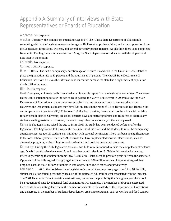## Appendix A: Summary of Interviews with State Representatives or Boards of Education

#### Alabama: No response

Alaska: Currently, the compulsory attendance age is 17. The Alaska State Department of Education is submitting a bill to the Legislature to raise the age to 18. Past attempts have failed, and strong opposition from the Legislature, local school systems, and several advocacy groups remains. At this time, there is no completed fiscal note. The Legislature is in session until May; the State Department of Education will develop a fiscal note later in the session.

Colorado: No response.

Connecticut: No response.

Hawaii: Hawaii has had a compulsory education age of 18 since its addition to the Union in 1959. Statistics place the graduation rate at 80 percent and dropout rate at 14 percent. The Hawaii State Department of Education, however, believes the information is inaccurate because the state has a high transient population that is difficult to track.

Illinois: No response.

Iowa: Last year, an introduced bill received an unfavorable report from the legislative committee. The current House Bill is attempting to raise the age to 18. If passed, the law will take effect in 2009 to allow the State Department of Education an opportunity to study the fiscal and academic impact, among other issues. However, the Department estimates they have 825 students in the range of 16 to 18 years of age. Because the current per student cost totals \$5,700 for over 1,000 school districts, there should not be a financial hardship for any school district. Currently, all school districts have alternative programs and resources to address any students needing assistance. However, there are many other issues to study if the law is passed. Kansas: The Legislature raised the age to 18 in 1996. No study has been conducted before or after the legislation. The Legislature felt it was in the best interest of the State and the students to raise the compulsory attendance age. At age 16, students can withdraw with parental permission. There has been no significant cost to the local school systems. There are 296 districts that have implemented various interventions, such as alternative programs, a virtual high school curriculum, and positive behavioral programs.

Kentucky: During the 2007 legislative sessions, two bills were introduced to raise the compulsory attendance age. One bill would raise the age to 17, and the other would raise it to 18. Neither bill received a hearing, effectively ensuring that neither became law. A similar bill introduced in previous years suffered the same fate. Opponents of the bills argued strongly against the estimated \$30 million in costs. Proponents argued that dropouts cost the State billions of dollars in lost wages, uncollected taxes, and productivity.

Louisiana: In 2001, the Louisiana State Legislature increased the compulsory age from 17 to 18. In 1999, similar legislation failed, presumably because of the estimated \$30 million cost associated with the increase. The 2001 fiscal note did not contain a cost estimate, but rather the possibility that in a given year there could be a reduction of state-level general fund expenditures. For example, if the number of dropouts decreased, there could be a resulting decrease in the number of students in the custody of the Department of Corrections and a decrease in the number of students dependent on assistance programs, such as welfare and food stamps.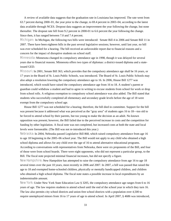A review of available data suggests that the graduation rate in Louisiana has improved. The rate went from 63.7 percent during 2000–01, the year prior to the change, to 69.4 percent in 2003–04, according to the latest data available through NCES. Dropout data suggests an improvement the year following the change, but none thereafter. The dropout rate fell from 9.2 percent in 2000-01 to 6.6 percent the year following the change. Since then, it has ranged between 7.0 and 7.4 percent.

Michigan: In Michigan, the following two bills were introduced: Senate Bill 4 in 2006 and Senate Bill 11 in 2007. There have been eighteen bills in the past several legislative sessions; however, until last year, no bill was ever scheduled for a hearing. The bill received an unfavorable report due to financial reasons and a concern for the impact of disruptive students on school staff.

Minnesota: Minnesota changed its compulsory attendance age in 1998, though it was delayed for several years due to financial reasons. Minnesota offers two types of diplomas: a district-issued diploma and a stateissued GED.

Missouri: In 2001, Senate Bill 363, which provides that the compulsory attendance age shall be 16 years, or 17 years in the Board of St. Louis Public Schools, was introduced. The Board of St. Louis Public Schools may also adopt a resolution lowering the compulsory attendance age to 16. In 2006, House Bill 1277 was introduced, which would have raised the compulsory attendance age from 16 to 18. A student's parent or guardian could withdraw a student and had to agree in writing to excuse students from school for work or drop from school rolls. A religious exemption to compulsory school attendance was also added. The Bill stated that students who successfully completed all elementary and secondary grade levels before the age of 18 were exempt from the compulsory school age.

 House Bill 1277 was not scheduled for a hearing; therefore, the bill died in committee. Support for the bill was present because it addressed what was perceived as the "gray area" of students ages 16 to 18—too old to be forced to attend school by their parents, but too young to make the decision as an adult. No known opposition was present; however, the Bill failed due to the perceived increase in costs and the competition for funding by other legislation. A fiscal note was not completed, but increased costs at both the state and local levels were foreseeable. (The Bill was not re-introduced this year.)

Nebraska: In 2004, Nebraska passed Legislative Bill 868, which raised compulsory attendance from age 16 to age 18 beginning in the 2005–06 school year. The Bill would not apply to any child who obtained a high school diploma and allows for any child over the age of 16 to attend alternative educational programs.

According to conversations with representatives from Nebraska, there were six proponents of the Bill, and four of those were from school boards. There were eight opponents, who did not represent a particular group, to the Bill. The fiscal note projected minimal financial increases, but did not specify a figure.

New Hampshire: New Hampshire has attempted to raise the compulsory attendance from age 16 to age 18 several times over the past 10 years, most recently in 2006 and 2007. In 2007, a bill was passed that raised the age to 18 and exempted home-schooled children, physically or mentally handicapped children, and children who obtained a high school diploma. The fiscal note states a possible increase in local expenditures by an indeterminable amount.

New York: Under New York State Education Law § 3205, the compulsory attendance age ranges from 6 to 16 years of age. The law requires students to attend school until the end of the school year in which they turn 16. The law also permits city school districts and union-free school districts with a population over 4,500 to require unemployed minors from 16 to 17 years of age to attend school. In April 2007, § 4686 was introduced,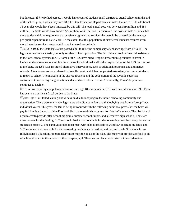but defeated. If § 4686 had passed, it would have required students in all districts to attend school until the end of the school year in which they turn 18. The State Education Department estimates that up to 8,500 additional 16 year olds would have been impacted by this bill. The total annual cost was between \$59 million and \$89 million. The State would have funded \$27 million to \$41 million. Furthermore, the cost estimate assumes that these students did not require more expensive programs and services than would be covered by the average per-pupil expenditure in New York. To the extent that this population of disaffected students required even more intensive services, costs would have increased accordingly.

Texas: In 1996, the State legislature passed a bill to raise the compulsory attendance age from 17 to 18. The legislation was unsuccessful, but only received minor opposition. The Bill did not provide financial assistance to the local school systems (LSS). Some of the LSS have hired Dropout Prevention Specialists to assist in having students re-enter school, but the expense for additional staff is the responsibility of the LSS. In contrast to the State, the LSS have instituted alternative interventions, such as additional programs and alternative schools. Attendance cases are referred to juvenile court, which has cooperated extensively to compel students to return to school. The increase in the age requirement and the cooperation of the juvenile court has contributed to increasing the graduation and attendance rates in Texas. Additionally, Texas' dropout rate continues to decline.

Utah: A law requiring compulsory education until age 18 was passed in 1919 with amendments in 1999. There has been no significant fiscal burden to the State.

Wyoming: A bill failed last legislative session due to lobbying by the home-schooling community and organization. There were many new legislators who did not understand the lobbying was from a "group," not individual voters. This year, the Bill is being introduced with the following additional provision: the State will pay full funding for each of the 48 school districts to establish programs for "at-risk" students. The district will need to create/provide after-school programs, summer school, tutors, and alternative high schools. There are three caveats for the funding: 1. The school district is accountable for demonstrating how the money for at-risk students is spent; 2. The parent/guardian must meet with school officials to withdraw underage students; and, 3. The student is accountable for demonstrating proficiency in reading, writing, and math. Students with an Individualized Education Program (IEP) must meet the goals of the plan. The State will provide a refund to all 48 school districts in the amount of the cost-per-pupil. There was no fiscal note taken into consideration.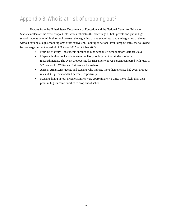# Appendix B: Who is at risk of dropping out?

Reports from the United States Department of Education and the National Center for Education Statistics calculate the event dropout rate, which estimates the percentage of both private and public high school students who left high school between the beginning of one school year and the beginning of the next without earning a high school diploma or its equivalent. Looking at national event dropout rates, the following facts emerge during the period of October 2002 to October 2003:

- Four out of every 100 students enrolled in high school left school before October 2003.
- Hispanic high school students are more likely to drop out than students of other races/ethnicities. The event dropout rate for Hispanics was 7.1 percent compared with rates of 3.2 percent for Whites and 2.4 percent for Asians.
- African-American students and students who indicate more than one race had event dropout rates of 4.8 percent and 6.1 percent, respectively.
- Students living in low-income families were approximately 5 times more likely than their peers in high-income families to drop out of school.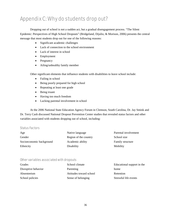# Appendix C: Why do students drop out?

Dropping out of school is not a sudden act, but a gradual disengagement process. "The Silent Epidemic: Perspectives of High School Dropouts" (Bridgeland, Dijulio, & Morison, 2006) presents the central message that most students drop out for one of the following reasons:

- Significant academic challenges
- Lack of connection to the school environment
- Lack of interest in school
- Employment
- Pregnancy
- Ailing/unhealthy family member

Other significant elements that influence students with disabilities to leave school include:

- Failing in school
- Being poorly prepared for high school
- Repeating at least one grade
- Being truant
- Having too much freedom
- Lacking parental involvement in school

At the 2006 National State Education Agency Forum in Clemson, South Carolina, Dr. Jay Smink and Dr. Terry Cash discussed National Dropout Prevention Center studies that revealed status factors and other variables associated with students dropping out of school, including:

#### Status Factors

| Age                      | Native language       | Parental involvement    |
|--------------------------|-----------------------|-------------------------|
| Gender                   | Region of the country | School size             |
| Socioeconomic background | Academic ability      | <b>Family structure</b> |
| Ethnicity                | <b>Disability</b>     | Mobility                |

#### Other variables associated with dropouts

| School climate          | Educational support in the |
|-------------------------|----------------------------|
| Parenting               | home                       |
| Attitudes toward school | Retention                  |
| Sense of belonging      | Stressful life events      |
|                         |                            |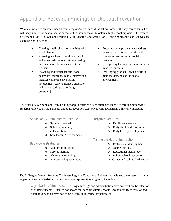# Appendix D: Research Findings on Dropout Prevention

What can we do to prevent students from dropping out of school? What are some of the key components that will keep students in school and be successful in their endeavor to obtain a high school diploma? The research of Dynarski (2001), Slavin and Fashola (1998), Schargel and Smink (2001), and Smink and Cash (2006) leads us in the right direction:

- Creating small school communities with small classes.
- Allowing teachers to build relationships and enhanced communication [creating personal bonds between students and teachers].
- Providing individual academic and behavioral assistance [early intervention includes comprehensive family involvement, early childhood education and strong reading and writing programs].
- Focusing on helping students address personal and family issues through counseling and access to social services.
- Recognizing the importance of families in school success.
- Developing problem solving skills to meet the demands of the school environment.

The work of Jay Smink and Franklin P. Schargel describes fifteen strategies identified through nationwide research reviewed by the National Dropout Prevention Center/Network at Clemson University, including:

#### School and Community Perspective

- o Systemic renewal
- o School-community collaboration
- o Safe learning environments

#### Basic Core Strategies

- o Mentoring/Tutoring
- o Service learning
- o Alternative schooling
- o After school opportunities

#### Early Interventions

- o Family engagement
- o Early childhood education
- o Early literacy development

#### Making the Most of Instruction

- o Professional development
- o Active learning
- o Educational technology
- o Individualized instruction
- o Career and technical education

Dr. E. Gregory Woods, from the Northwest Regional Educational Laboratory, reviewed the research findings regarding the [characteristics of effective dropout-prevention programs](http://www.nwrel.org/scpd/sirs/9/c017.html), including:

Organization/Administration: Program design and administration have an effect on the retention of at-risk students. Research has shown that schools-within-schools, low student-teacher ratios and alternative schools have had some success in lowering dropout rates.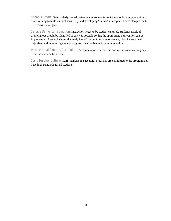School Climate: Safe, orderly, non-threatening environments contribute to dropout prevention. Staff training to build cultural sensitivity and developing "family" atmospheres have also proven to be effective strategies.

Service Delivery/Instruction: Instruction needs to be student-centered. Students at risk of dropping out should be identified as early as possible so that the appropriate intervention can be implemented. Research shows that early identification, family involvement, clear instructional objectives and monitoring student progress are effective in dropout prevention.

Instructional Content/Curriculum: A combination of academic and work-based learning has been shown to be beneficial.

Staff/Teacher Culture: Staff members in successful programs are committed to the program and have high standards for all students.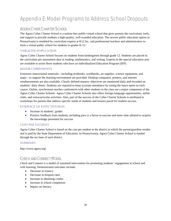# Appendix E: Model Programs to Address School Dropouts

### AGORA CYBER CHARTER SCHOOL

The Agora Cyber Charter School is a tuition-free public virtual school that gives parents the curriculum, tools, and support to provide students a high-quality, well-rounded education. The newest public education option in Pennsylvania is modeled by curriculum experts at K12 Inc. and professional teachers and administrators to form a virtual public school for students in grades K-12.

#### TARGETED POPULATION

Agora Cyber Charter School focuses on students from kindergarten through grade 12. Students are placed in the curriculum per assessment data in reading, mathematics, and writing. Experts in the special education area are available to assist those students who have an Individualized Education Program (IEP).

#### MAJOR COMPONENTS

Extensive instructional materials—including textbooks, workbooks, art supplies, science equipment, and maps—to support the learning environment are provided. Desktop computers, printers, and internet reimbursements are also available. Clearly defined mastery objectives are monitored daily and recorded on students' daily sheets. Students are required to keep accurate attendance by noting the hours spent on each course. Online, synchronous teacher conferences with other students in the class are a major component of the Agora Cyber Charter Schools. Agora Cyber Charter Schools also offers foreign-language opportunities, online clubs, and extracurricular activities. Also, part of the success of the Cyber Charter Schools is attributed to workshops for parents that address specific needs of students and lessons paced for student success.

#### EVIDENCE OF EFFECTIVENESS

- Increase in students' grades
- Positive feedback from students, including pace is a factor in success and more time allotted to acquire the knowledge presented for success

#### COST PER STUDENT

Agora Cyber Charter School is based on the cost per student in the district in which the parent/guardian resides and is paid by the State Department of Education. In Pennsylvania, Agora Cyber Charter School is funded through the tax base of each district.

#### **SUMMARY**

http://www.agora.org/

### CHECK AND CONNECT MODEL

Check and Connect is a model of sustained intervention for promoting students' engagement at school and with learning. Demonstrated outcomes include:

- Decrease in truancy
- Decrease in dropout rates
- Increase in obtaining credits
- Increase in school completion
- Impact on literacy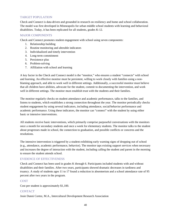#### TARGET POPULATION

Check and Connect is data-driven and grounded in research on resiliency and home and school collaboration. The model was first developed in Minneapolis for urban middle school students with learning and behavioral disabilities. Today, it has been replicated for all students, grades K-12.

#### MAJOR COMPONENTS

Check and Connect promotes student engagement with school using seven components:

- 1. Relationship building
- 2. Routine monitoring and alterable indicators
- 3. Individualized and timely intervention
- 4. Long-term commitment
- 5. Persistence plus
- 6. Problem-solving
- 7. Affiliation with school and learning

A key factor in the Check and Connect model is the "monitor," who ensures a student "connects" with school and learning. An effective monitor must be persistent, willing to work closely with families using a nonblaming approach, and able to work well in different settings. Additionally, a successful monitor must believe that all children have abilities, advocate for the student, commit to documenting the intervention, and work well in different settings. The monitor must establish trust with the students and their families.

The monitor regularly checks on student attendance and academic performance, talks to the families, and listens to students, which establishes a strong connection throughout the year. The monitor periodically checks student engagement by using several indicators, including attendance, social/behavior performance and academic performance. Using these indicators, the monitor can "connect" with the student by using either basic or intensive interventions.

All students receive basic interventions, which primarily comprise purposeful conversations with the monitors once a month for secondary students and once a week for elementary students. The monitor talks to the student about progresses made in school, the connection to graduation, and possible conflicts or concerns and the resolutions.

The intensive intervention is triggered by a student exhibiting early warning signs of dropping out of school (e.g., attendance, academic performance, behavior). The monitor taps existing support services when necessary and increases the degree of interaction with the student, including calling the student and parent in the morning to ensure the student attends school.

#### EVIDENCE OF EFFECTIVENESS

Check and Connect has been used in grades K through 6. Participants included students with and without disabilities and their families. After two years, participants showed dramatic decreases in tardiness and truancy. A study of students ages 11 to 17 found a reduction in absenteeism and a school attendance rate of 95 percent after two years in the program.

#### COST

Cost per student is approximately \$1,100.

#### **CONTACT**

Josie Danni Cortez, M.A., Intercultural Development Research Association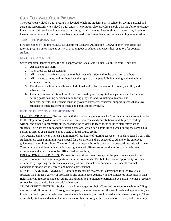### COCA-COLA VALUED YOUTH PROGRAM

The Coca-Cola Valued Youth Program is devoted to helping students stay in school by giving personal and academic responsibility to Valued Youth tutors. The program also provides schools with the ability to change longstanding philosophy and practices of devaluing at-risk students. Results show that tutors stay in school, have increased academic performance, have improved school attendance, and advance to higher education.

#### TARGETED POPULATION

First developed by the Intercultural Development Research Association (IDRA) in 1984, this cross-age tutoring program takes students at risk of dropping out of school and places them as tutors for younger students.

#### MAJOR COMPONENTS

Seven important tenets express the philosophy of the Coca-Cola Valued Youth Program. They are:

- 1. All students can learn;
- 2. The school values all students;
- 3. All students can actively contribute to their own education and to the education of others;
- 4. All students, parents, and teachers have the right to participate fully in creating and maintaining excellent schools;
- 5. Excellence in schools contributes to individual and collective economic growth, stability, and advancement;
- 6. Commitment to educational excellence is created by including students, parents, and teachers in setting goals, making decisions, monitoring progress, and evaluating outcomes; and,
- 7. Students, parents, and teachers must be provided extensive, consistent support in ways that allow students to teach, teachers to teach, and parents to be involved.

#### FIVE INSTRUCTIONAL COMPONENTS

CLASSES FOR TUTORS:Tutors meet with their secondary school teacher/coordinator once a week in order to: Develop tutoring skills; Reflect on and celebrate successes and contributions; and, Improve reading, writing, and other subject matter skills, enabling the students to teach these skills to elementary school students. The class for tutors and the tutoring sessions, which occur four times a week during the same class period, is offered as an elective or as a state or local course credit.

TUTORING SESSIONS: There is a minimum of four hours of tutoring per week—one class period a day. The student tutors earn a minimum wage stipend for their efforts and are expected to adhere to the employee guidelines of their host school. The tutors' primary responsibility is to work in a one-to-three ratio with tutees. Tutoring young children (at least a four-year grade level difference) forces the tutors to use their own experiences and apply them to the difficult task of teaching.

EDUCATIONAL FIELD TRIPS:Between two and three times throughout the year, students are invited to explore economic and cultural opportunities in the community. The field trips are an opportunity for career awareness by exposing the students to a variety of professional environments. The students can make connections among school, career, and being a professional.

MENTORS AND ROLE MODELS:Career and leadership awareness is developed through five guest speakers who model a variety of professions and experiences. Adults, who are considered successful in their fields and who represent students' ethnic background(s), are invited to participate. A person who has overcome serious barriers can also be a powerful role model.

STUDENT RECOGNITION:Students are acknowledged for their efforts and contributions while fulfilling their responsibilities as tutors. Throughout the year, students receive certificates of merit and appreciation, are invited on field trips with their tutees, receive media attention, and are honored at a luncheon or supper. These events help students understand the importance of their tutoring within their school, district, and community.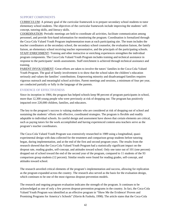#### SUPPORT COMPONENTS

CURRICULUM: A primary goal of the curricular framework is to prepare secondary school students to tutor elementary school students. The objectives of the curricular framework include improving the students' selfconcept, tutoring skills, and literacy skills.

COORDINATION: Periodic meetings are held to coordinate all activities, facilitate communication among personnel, and provide first-hand information for monitoring the program. Coordination is formalized through the Coca-Cola Valued Youth Program implementation team at each participating site. The team includes the teacher coordinators at the secondary school, the secondary school counselor, the evaluation liaison, the family liaison, an elementary school receiving teacher representative, and the principals of the participating schools. STAFF ENRICHMENT: Training and other instructive or enriching experiences strengthen the individual program components. The Coca-Cola Valued Youth Program includes training and technical assistance in response to the participants' needs assessments. Staff enrichment is achieved through technical assistance and training.

PARENT INVOLVEMENT: Great efforts are taken to involve the tutors' families in the Coca-Cola Valued Youth Program. The goal of family involvement is to show that the school takes the children's education seriously and values the families' contributions. Empowering minority and disadvantaged families requires vigorous outreach and meaningful school activities. Parent meetings and sessions, a minimum of four per year, are conducted partially or fully in the language of the parents.

#### EVIDENCE OF EFFECTIVENESS

Since its inception in 1984, the program has helped schools keep 98 percent of program participants in school, more than 12,300 young people who were previously at risk of dropping out. The program has positively impacted over 220,000 children, families, and educators.

The key to the program's success is valuing students who are considered at risk of dropping out of school and sustaining the students' efforts with effective, coordinated strategies. The program is flexible and readily adaptable to individual schools. Its careful design and assessment have shown that certain elements are critical, such as paying tutors for the work accomplished and having experienced content-area teachers serve as the program's teacher coordinators.

The Coca-Cola Valued Youth Program was extensively researched in 1989 using a longitudinal, quasiexperimental design with data collected for the treatment and comparison group students before tutoring began, during implementation, and at the end of the first and second program years. The results from the research showed that the Coca-Cola Valued Youth Program had a statistically significant impact on the dropout rate, reading grades, self-concept, and attitudes toward school. Only one tutor out of 101 (one percent) dropped out of school toward the end of the second year of the program, compared to 11 students of the 93 comparison group students (12 percent). Similar results were found for reading grades, self-concept, and attitudes toward school.

The research unveiled critical elements of the program's implementation and success, allowing for replication as the program expanded across the country. The research also served as the basis for the evaluation design, which continues to be one of the most rigorous dropout-prevention models.

The research and ongoing program evaluation indicates the strength of the program. It continues to be acknowledged as one of only a few proven dropout-prevention programs in the country. In fact, the Coca-Cola Valued Youth Program was identified as an effective program in "Show Me the Evidence! Proven and Promising Programs for America's Schools" (Slavin & Fashola, 1998). The article states that the Coca-Cola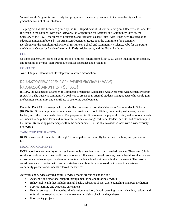Valued Youth Program is one of only two programs in the country designed to increase the high school graduation rates of at-risk students.

The program has also been recognized by the U.S. Department of Education's Program Effectiveness Panel for Inclusion in the National Diffusion Network, the Corporation for National and Community Service, the Secretary of the U.S. Department of Education, and President George Bush. Also, it has been featured as an educational model in books by the American Council on Education, the Committee for Economic Development, the Hamilton Fish National Institute on School and Community Violence, Jobs for the Future, the National Center for Service-Learning in Early Adolescence, and the Urban Institute.

#### **COST**

Cost per student/user (based on 25 tutors and 75 tutees) ranges from \$150-\$250, which includes tutor stipends, and recognition awards, staff training, technical assistance and evaluation.

#### **CONTACT**

Josie D. Supik, Intercultural Development Research Association

## KALAMAZOO AREA ACADEMIC ACHIEVEMENT PROGRAM (KAAAP) KALAMAZOO COMMUNITIES IN SCHOOLS!

In 1992, the Kalamazoo Chamber of Commerce created the Kalamazoo Area Academic Achievement Program (KAAAP). The business community's goal was to create goal-oriented students and graduates who would join the business community and contribute to economic development.

Recently, KAAAP has merged with two similar programs to form the Kalamazoo Communities in Schools (KCIS). KCIS is a compilation of major service providers, school officials, community volunteers, business leaders, and other concerned citizens. The purpose of KCIS is to meet the physical, social, and emotional needs of students to help them learn and, ultimately, to create a strong workforce, leaders, parents, and community in the future. By creating partnerships within the community, KCIS is able to assist schools with a wider variety of services.

#### TARGETED POPULATION

KCIS focuses on all students, K through 12, to help them successfully learn, stay in school, and prepare for life.

#### MAJOR COMPONENTS

KCIS repositions community resources into schools so students can access needed services. There are 10 fullservice schools with on-site coordinators who have full access to dental services, mental health services, career exposure, and other support services to promote excellence in education and high achievement. The on-site coordinators are in contact with teachers, students, and families and make direct connections between community partners and students referred for services.

Activities and services offered by full-service schools are varied and include:

- Academic and emotional support through mentoring and tutoring services
- Behavioral health that includes mental health, substance abuse, grief counseling, and peer mediation
- Service learning and academic enrichment
- Health services that include health education, nutrition, dental screening, x-rays, cleaning, sealants and referral, a nurse pilot project and nurse interns, vision checks and eyeglasses
- Food pantry projects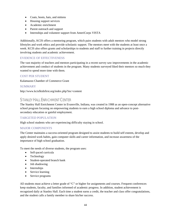- Coats, boots, hats, and mittens
- Housing support services
- Academic enrichment
- Parent outreach and support
- Internships and volunteer support from AmeriCorps VISTA

Additionally, KCIS offers a mentoring program, which pairs students with adult mentors who model strong lifestyles and work ethics and provide scholastic support. The mentors meet with the students at least once a week. KCIS also offers grants and scholarships to students and staff to further training in projects directly involving students and academic achievement.

#### EVIDENCE OF EFFECTIVENESS

The vast majority of teachers and mentors participating in a recent survey saw improvements in the academic achievement and conduct of students in the program. Many students surveyed liked their mentors so much they wanted to spend more time with them.

#### COST PER STUDENT

Kalamazoo Chamber of Commerce Grant

#### SUMMARY

http://www.kcisfkidsfirst.org/index.php?inc=content

### STANLEY HALL ENRICHMENT CENTER

The Stanley Hall Enrichment Center in Evansville, Indiana, was created in 1988 as an open-concept alternative school program focusing on empowering students to earn a high school diploma and advance to postsecondary education or gainful employment.

#### TARGETED POPULATION

High school students who are experiencing difficulty staying in school.

#### MAJOR COMPONENTS

The Center maintains a success-oriented program designed to assist students to build self esteem, develop and apply desired work habits, gain computer skills and career information, and increase awareness of the importance of high school graduation.

To meet the needs of diverse students, the program uses:

- Self-paced curricula
- Technology
- Student-operated branch bank
- Job shadowing
- Internships
- Service learning
- Service programs

All students must achieve a letter grade of "C" or higher for assignments and courses. Frequent conferences keep students, faculty, and families informed of academic progress. In addition, student achievement is recognized daily at Stanley Hall. Each time a student earns a credit, the teacher and class offer congratulations, and the student calls a family member to share his/her success.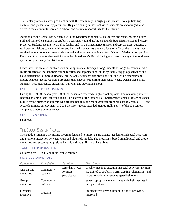The Center promotes a strong connection with the community through guest speakers, college field trips, contests, and presentation opportunities. By participating in these activities, students are encouraged to be active in the community, remain in school, and assume responsibility for their future.

Additionally, the Center has partnered with the Department of Natural Resources and Vanderburgh County Soil and Water Conservation to establish a seasonal wetland at Angel Mounds State Historic Site and Nature Preserve. Students use the site as a lab facility and have planted native grasses and cypress trees, designed a walkway for visitors to view wildlife, and installed signage. As a reward for their efforts, the students have received an environmental stewardship award and have been nominated for a National Wetlands competition. Each year, the students also participate in the United Way's Day of Caring and spend the day at the food bank getting supplies ready for distribution.

Center students are also involved with building financial literacy among students at Lodge Elementary. As a result, students strengthen their communication and organizational skills by facilitating group activities and class discussions to improve financial skills. Center students also speak one-on-one with elementary and middle school students regarding problems they encountered during their school years. During these talks, students stress attendance, citizenship, bullying, and staying in school.

#### EVIDENCE OF EFFECTIVENESS

During the 1999-00 school year, 60 of the 89 seniors received a high school diploma. The remaining students reported attaining their identified goals. The success of the Stanley Hall Enrichment Center Program has been judged by the number of students who are retained in high school, graduate from high school, earn a GED, and secure legitimate employment. In 2004-05, 150 students attended Stanley Hall, and 74 of the 103 seniors completed graduation requirements.

#### COST PER STUDENT

Unknown

#### THE BUDDY SYSTEM PROJECT

The Buddy System is a mentoring program designed to improve participants' academic and social behaviors and promote interaction between youth and older role models. The program is based on individual and group mentoring and encouraging positive behaviors through financial incentives.

#### TARGETED POPULATION

Children ages 10 to 17 and multi-ethnic children

| Component               | <b>Provided by</b>    | <b>Duration</b>                              | <b>Description</b>                                                                                                                                                    |
|-------------------------|-----------------------|----------------------------------------------|-----------------------------------------------------------------------------------------------------------------------------------------------------------------------|
| One-on-one<br>mentoring | Community<br>resident | Less than 1 year<br>for most<br>participants | Weekly meetings engaging in social activities; mentors<br>are trained to establish warm, trusting relationships and<br>to create a plan to change targeted behaviors. |
| Group<br>mentoring      | Community<br>resident |                                              | When appropriate, mentors met with their mentees in<br>group activities.                                                                                              |
| Financial<br>incentive  | Program               |                                              | Students were given \$10/month if their behaviors<br>improved.                                                                                                        |

#### MAJOR COMPONENTS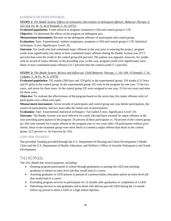#### EVIDENCE OF EFFECTIVENESS

**STUDY 1:** *The Buddy System: Effects of community intervention on delinquent offenses*. *Behavior Therapy*, 6, 522-524. Fo, W. S., & O'Donnell, C. R. (1975).

**Evaluated population:** Youth referred to program; treatment  $n=264$  and control group  $n=178$ .

**Objective:** To determine the effects of the program on delinquent acts.

**Measurement instrument:** Records on the delinquent offenses of participants and control group.

**Evaluation:** *Type:* Experimental, random assignment, treatment n=264 and control group n=178. *Statistical techniques:* Z test, Significance Level=.05.

**Outcome:** For youth who had committed major offenses in the year prior to entering the project, program youth were significantly less likely to have committed major offenses during the Buddy System year (37.5 percent) than were the youth in the control group (64 percent). The pattern was opposite, however, for youths with no record of major offenses in the preceding year; in this case, program youth were significantly more likely to have committed major offenses (15.7 percent) than the control youth (7.2 percent).

#### **STUDY 2:** *The Buddy System: Review and follow-up*. *Child Behavior Therapy*, 1, 161-169. O'Donnell, C. R., Lydgate, T., & Fo, W. S. (1979).

**Evaluated population:** 335 youths (206 boys and 129 girls) in the experimental group. 218 youths (151 boys and 67 girls) in the control group. In the experimental group 255 were in the program for one year, 73 for two years, and seven for three years. In the control group 195 were assigned to one year, 23 for two years and none for three years.

**Objective:** To evaluate the effectiveness of the program based on the arrest data (for major offenses only) of participants over a three-year span.

**Measurement instrument:** Arrest records of participants and control group one year before participation, the year(s) of participation, and two years after the initial year of participation.

**Evaluation:** *Type:* Experimental *Statistical techniques:* Two tailed Z tests, Significance Level=.05.

**Outcome:** The Buddy System was most effective for youth who had been arrested for major offenses in the year preceding participation in the program: 56 percent of these participants vs. 78 percent of the control group (p<.04) were arrested for a major offense in the program year or two years after. Of participants without prior arrests, those in the treatment group were more likely to commit a major offense than those in the control group: 22.5 percent vs. 16.4 percent  $(p<.05)$ .

#### COST PER STUDENT

Not provided. Funding provided through the U.S. Department of Housing and Urban Development's Model Cities and the U.S. Department of Health, Education, and Welfare's Office of Juvenile Delinquency and Youth Development.

### **THE JAG MODEL**

The JAG Model has several purposes, including:

- Keeping program participants in school through graduation or passing the GED and assisting graduates to obtain an entry-level job that would lead to a career
- Assisting graduates or GED passers in pursuit of a postsecondary education and/or an entry-level job that would lead to a career
- Extending program services to participants for 12 months after graduation or completion of a GED
- Delivering services to non-graduates and to those who did not pass the GED during the 12-month follow-up period to attain a GED or a high school diploma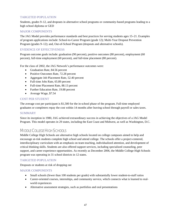#### TARGETED POPULATION

Students, grades 9–12, and dropouts in alternative school programs or community-based programs leading to a high school diploma or GED

#### MAJOR COMPONENTS

The JAG Model provides performance standards and best practices for serving students ages 15–21. Examples of program applications include: School-to-Career Program (grade 12); Multi-Year Dropout Prevention Program (grades 9–12); and, Out-of-School Program (dropouts and alternative schools).

#### EVIDENCE OF EFFECTIVENESS

Program outcome goals include: graduation (90 percent), positive outcomes (80 percent), employment (60 percent), full-time employment (60 percent), and full-time placement (80 percent).

For the class of 2002, the JAG Network's performance outcomes were:

- Graduation Rate, 84.56 percent
- Positive Outcomes Rate, 72.28 percent
- Aggregate Job Placement Rate, 52.40 percent
- Full-time Jobs Rate, 65.89 percent
- Full-time Placement Rate, 88.13 percent
- Further Education Rate, 19.88 percent
- Average Wage, \$7.54

#### COST PER STUDENT

The average cost per participant is \$1,500 for the in-school phase of the program. Full-time employed graduates or completers repay the cost within 14 months after leaving school through payroll or sales taxes.

#### SUMMARY

Since its inception in 1980, JAG achieved extraordinary success in achieving the objectives of a JAG Model Program. This model operates in 29 states, including the East Coast and Midwest, as well as Washington, D.C.

### MIDDLE COLLEGE HIGH SCHOOLS

Middle College High Schools are alternative high schools located on college campuses aimed to help and encourage at-risk students complete high school and attend college. The schools offer a project-centered, interdisciplinary curriculum with an emphasis on team teaching, individualized attention, and development of critical thinking skills. Students are also offered support services, including specialized counseling, peer support, and career experience opportunities. As recently as December 2006, the Middle College High Schools program was operating in 31 school districts in 12 states.

#### TARGETED POPULATION

Dropouts or students at risk of dropping out

#### MAJOR COMPONENTS

- Small schools (fewer than 100 students per grade) with substantially lower student-to-staff ratios
- Career-oriented courses, internships, and community service, which connects what is learned to realworld experiences
- Alternative assessment strategies, such as portfolios and oral presentations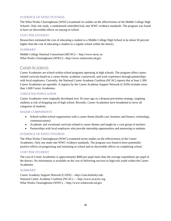#### EVIDENCE OF EFFECTIVENESS

The What Works Clearinghouse (WWC) examined six studies on the effectiveness of the Middle College High Schools. Only one study, a randomized controlled trial, met WWC evidence standards. The program was found to have no discernible effects on staying in school.

#### COST PER STUDENT

Researchers estimated the cost of educating a student in a Middle College High School to be about 50 percent higher than the cost of educating a student in a regular school within the district.

#### SUMMARY

Middle College National Consortium (MCNC)— [http://www.mcnc.us](http://www.mcnc.us/) What Works Clearinghouse (WWC)—[http://www.whatworks.ed.gov](http://www.whatworks.ed.gov/)

### CAREER ACADEMIES

Career Academies are school-within-school programs operating in high schools. The program offers careerrelated curricula based on a career theme, academic coursework, and work experience through partnerships with local employers. Currently, the National Career Academy Coalition (NCAC) reports that at least 1,500 Career Academies are operable. A registry by the Career Academy Support Network (CASN) includes more than 1,600 Career Academies.

#### TARGETED POPULATION

Career Academies were originally developed over 30 years ago as a dropout-prevention strategy, targeting students at risk of dropping out of high school. Recently, Career Academies have broadened to serve all categories of students.

#### MAJOR COMPONENTS

- School-within-school organization with a career theme (health care, business and finance, technology, communications)
- Academic and vocational curricula related to career themes and taught by a core group of teachers
- Partnerships with local employers who provide internship opportunities and mentoring to students

#### EVIDENCE OF EFFECTIVENESS

The What Works Clearinghouse (WWC) examined seven studies on the effectiveness of the Career Academies. Only one study met WWC evidence standards. The program was found to have potentially positive effects on progressing and remaining in school and no discernible effects on completing school.

#### COST PER STUDENT

The cost of Career Academies is approximately \$600 per pupil more than the average expenditure per pupil in the district. No information is available on the cost of delivering services to high-risk youth within the Career Academies.

#### SUMMARY

Career Academy Support Network (CASN) —[http://casn.berkeley.edu](http://casn.berkeley.edu/) National Career Academy Coalition (NCAC) — [http://www.ncacinc.org](http://www.ncacinc.org/) What Works Clearinghouse (WWC) [—http://www.whatworks.ed.gov](http://www.whatworks.ed.gov/)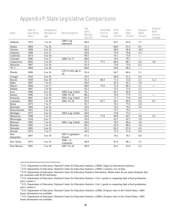## Appendix F: State Legislative Comparisons

| <b>State</b>            | Date of<br>Enactment<br>$(Rev.)$ <sup>1</sup> | <b>Compulsory</b><br>Attendance<br>Age <sup>2</sup> | <b>Recent Leg Proc</b>     | Avg<br>Daily<br>Mbrshp<br>$(02-03)^3$ | <b>Grad Rate</b><br>Prior to<br>Change | Grad<br>Rate<br>$(02-03)^4$ | Grad<br>Rate<br>$(03-04)$ <sup>5</sup> | <b>Dropout</b><br><b>Rates</b><br>$(01-02)$ <sup>6</sup> | <b>Dropout</b><br>Rate<br>Prior to<br>Change <sup><math>7</math></sup> |
|-------------------------|-----------------------------------------------|-----------------------------------------------------|----------------------------|---------------------------------------|----------------------------------------|-----------------------------|----------------------------------------|----------------------------------------------------------|------------------------------------------------------------------------|
| Alabama                 | 1915                                          | 7 to 16                                             | 2006-Leg.<br>adjourned     | 96.6                                  |                                        | 64.7                        | 65.0                                   | 3.7                                                      |                                                                        |
| Alaska                  | 2004                                          | 7 to 16                                             |                            | 91.3                                  |                                        | 68.0                        | 67.2                                   | $\overline{8.1}$                                         |                                                                        |
| Arizona                 | 1899                                          | 6 to 16                                             |                            | 86.8                                  |                                        | 68.0                        | 66.8                                   | 10.5                                                     |                                                                        |
| Arkansas                | 1909                                          | 5 to 17                                             |                            | 93.6                                  |                                        | 75.9                        | 76.8                                   | 5.3                                                      |                                                                        |
| California              | 1874                                          | 6 to 18                                             |                            | 99.5                                  |                                        | 74.1                        | 73.9                                   | $---$                                                    |                                                                        |
| Colorado                | 2006                                          | 6 to 17                                             | 2006-To 17                 | 88.8                                  |                                        | 76.4                        | 78.7                                   | $---$                                                    |                                                                        |
| Connecticut             | 2002                                          | 5 to 18                                             |                            | 97.3                                  | 77.5                                   | 80.9                        | 80.7                                   | 2.6                                                      | $\overline{3.0}$                                                       |
| Delaware                | 1907                                          | 5 to 16                                             |                            | 92.4                                  |                                        | 73.0                        | 72.9                                   | 6.2                                                      |                                                                        |
| *D.C.                   | 1864                                          | 5 to 18                                             |                            | 84.0                                  |                                        | 59.6                        | 68.2                                   | $---$                                                    |                                                                        |
| Florida                 | 2006                                          | 6 to 16                                             | LSS to raise age to<br>18  | 93.4                                  |                                        | 66.7                        | 66.4                                   | 5.1                                                      |                                                                        |
| Georgia                 | 1916                                          | 6 to 16                                             |                            | 93.5                                  |                                        | 60.8                        | 61.2                                   | 6.5                                                      |                                                                        |
| Hawaii                  | 1959                                          | 6 to 18                                             |                            | 91.3                                  | 68.3                                   | 71.3                        | 72.6                                   | $\overline{5.1}$                                         | 5.3                                                                    |
| Idaho                   | 1887                                          | 7 to 16                                             |                            | 94.0                                  |                                        | 81.4                        | 81.5                                   | 3.9                                                      |                                                                        |
| <b>Illinois</b>         | 2004                                          | 7 to 17                                             |                            | 88.6                                  | 75.9                                   | 75.9                        | 80.3                                   | $\overline{3.1}$                                         | $---$                                                                  |
| Indiana                 | 1897                                          | 7 to 18                                             |                            | 93.3                                  |                                        | 75.5                        | 73.5                                   | $\overline{2.3}$                                         |                                                                        |
| Iowa                    | 2006                                          | 6 to 16                                             | 2006-Leg. Failed           | 95.1                                  |                                        | 85.3                        | 85.8                                   | 2.4                                                      |                                                                        |
| Kansas                  | 1996                                          | $7$ to $18\,$                                       | 1996-To 18                 | 88.3                                  |                                        | 76.9                        | 77.9                                   | $\overline{3.1}$                                         | $---$                                                                  |
| Kentucky                | 2001                                          | 6 to 16                                             | 2001-Leg. Failed           | 85.9                                  |                                        | 71.7                        | 73.0                                   | $\overline{4.0}$                                         |                                                                        |
| Louisiana               | 2001                                          | 7 to 18                                             | 2001-To 18                 | 92.6                                  | 63.7                                   | 64.1                        | 69.4                                   | 6.6                                                      | 9.2                                                                    |
| Maine                   | 1875                                          | 7 to 17                                             |                            | 92.7                                  |                                        | 76.3                        | 77.6                                   | 2.8                                                      |                                                                        |
| Maryland                | 1902                                          | 5 to 16                                             |                            | 93.0                                  |                                        | 79.2                        | 79.5                                   | 3.9                                                      |                                                                        |
| Massachusetts           | 1852                                          | 6 to 16                                             |                            | 95.1                                  |                                        | 75.7                        | 79.3                                   | $---$                                                    |                                                                        |
| Michigan                | 1871                                          | 6 to 16                                             | 2002-Leg. Failed           | 94.0                                  |                                        | 74.0                        | 72.5                                   | $---$                                                    |                                                                        |
| Minnesota               | 1998                                          | 7 to 16                                             |                            | 94.0                                  | 77.0                                   | 84.8                        | 84.7                                   | 3.8                                                      | 5.5                                                                    |
| Mississippi             | 1918                                          | 6 to 17                                             |                            | 93.9                                  |                                        | 62.7                        | 62.7                                   | 3.9                                                      |                                                                        |
| Missouri                | 1905                                          | 7 to 16                                             | 2001-Leg. Failed           | 94.0                                  |                                        | 78.3                        | 80.4                                   | 3.6                                                      |                                                                        |
| Montana                 | 1883                                          | 7 to 16                                             |                            | 89.2                                  |                                        | 81.0                        | 80.4                                   | 3.9                                                      |                                                                        |
| Nebraska                | $\frac{2005}{ }$                              | $6$ to $18$                                         |                            | 91.1                                  |                                        | 85.2                        | 87.6                                   | 4.2                                                      |                                                                        |
| Nevada                  | 1973                                          | 7 to 17                                             |                            | 94.5                                  |                                        | 72.3                        | 57.4                                   | 6.4                                                      |                                                                        |
| <b>New</b><br>Hampshire | 2007                                          | 6 to 18                                             | 2007-Legislation<br>Passed | 97.5                                  |                                        | 78.2                        | 78.7                                   | 4.0                                                      |                                                                        |
| New Jersey              | 1875                                          | 6 to 16                                             | $2006 - In$<br>committee   | 96.8                                  |                                        | 87.0                        | 86.3                                   | 2.5                                                      |                                                                        |
| New Mexico              | 1891                                          | 5 to 18                                             | 2007-To 18                 | 98.9                                  |                                        | 63.1                        | 67.0                                   | $\overline{5.2}$                                         |                                                                        |

 $\overline{a}$ 

<sup>&</sup>lt;sup>1</sup> U.S. Department of Education, National Center for Education Statistics. (2004). *Digest of educational statistics*.

<span id="page-59-1"></span><span id="page-59-0"></span>U.S. Department of Education, National Center for Education Statistics. (2006). *Common core of data.* <sup>3</sup>

<span id="page-59-2"></span><sup>&</sup>lt;sup>3</sup> U.S. Department of Education, National Center for Education Statistics Information. Blank states do not report dropouts that are consistent with NCES definition. <sup>4</sup>

<span id="page-59-3"></span>U.S. Department of Education, National Center for Education Statistics. *User's guide to computing high school graduation rates, volume 2.* 5 U.S. Department of Education, National Center for Education Statistics. *User's guide to computing high school graduation* 

<span id="page-59-4"></span>*rates, volume 2.* 6 U.S. Department of Education, National Center for Education Statistics. (2006). *Dropout rates in the United States: 2004.*

<span id="page-59-5"></span>Some information not available. 7 U.S. Department of Education, National Center for Education Statistics. (2006). *Dropout rates in the United States: 2004.* 

<span id="page-59-6"></span>Some information not available.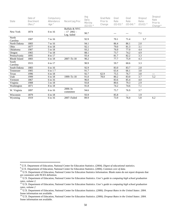| <b>State</b>      | Date of<br><b>Enactment</b><br>$(Rev.)$ <sup>8</sup> | <b>Compulsory</b><br><b>Attendance</b><br>Age <sup>9</sup> | <b>Recent Leg Proc</b>                     | Avg<br><b>Daily</b><br>Mbrshp<br>$(02-03)$ <sup>10</sup> | <b>Grad Rate</b><br>Prior to<br>Change | Grad<br>Rate<br>$(02-03)$ <sup>11</sup> | Grad<br>Rate<br>$(03-04)$ <sup>12</sup> | <b>Dropout</b><br>Rates<br>$(01-02)$ <sup>13</sup> | <b>Dropout</b><br>Rate<br>Prior to<br>Change $14$ |
|-------------------|------------------------------------------------------|------------------------------------------------------------|--------------------------------------------|----------------------------------------------------------|----------------------------------------|-----------------------------------------|-----------------------------------------|----------------------------------------------------|---------------------------------------------------|
| New York          | 1874                                                 | 6 to 16                                                    | Buffalo & NYC<br>$-172002-$<br>Leg. failed | 90.7                                                     |                                        |                                         | ---                                     | 7.1                                                |                                                   |
| North<br>Carolina | 1907                                                 | 7 to 16                                                    |                                            | 92.9                                                     |                                        | 70.1                                    | 71.4                                    | 5.7                                                |                                                   |
| North Dakota      | 1883                                                 | 7 to 16                                                    |                                            | 94.1                                                     |                                        | 86.4                                    | 86.1                                    | $2.0\,$                                            |                                                   |
| Ohio              | 1877                                                 | 6 to 18                                                    |                                            | 92.1                                                     |                                        | 79.0                                    | 81.3                                    | 3.1                                                |                                                   |
| Oklahoma          | 1907                                                 | 5 to 18                                                    |                                            | 93.2                                                     |                                        | 76.0                                    | 77.0                                    | 4.4                                                |                                                   |
| Oregon            | 1965                                                 | 7 to 18                                                    |                                            | 88.1                                                     |                                        | 73.7                                    | 74.2                                    | 4.9                                                |                                                   |
| Pennsylvania      | 1895                                                 | 8 to 17                                                    |                                            | 93.4                                                     |                                        | 81.7                                    | 82.2                                    | 3.3                                                |                                                   |
| Rhode Island      | 1883                                                 | 6 to 18                                                    | 2007-To 18                                 | 90.2                                                     |                                        | 77.7                                    | 75.9                                    | 4.3                                                |                                                   |
| South<br>Carolina | 1915                                                 | 6 to 17                                                    |                                            | 90.9                                                     |                                        | 59.7                                    | 60.6                                    | 3.3                                                |                                                   |
| South Dakota      | 1883                                                 | 6 to 16                                                    |                                            | 92.9                                                     |                                        | 83.0                                    | 83.7                                    | 2.8                                                |                                                   |
| Tennessee         | 1905                                                 | 6 to 17                                                    |                                            | 91.7                                                     |                                        | 63.4                                    | 66.1                                    | 3.8                                                |                                                   |
| Texas             | 1996                                                 | 6 to 18                                                    |                                            | 92.7                                                     | 62.9                                   | 75.5                                    | 76.7                                    | 3.8                                                | ---                                               |
| Utah              | 1999                                                 | 6 to 18                                                    | 1999-To 18                                 | 91.0                                                     | 78.0                                   | 80.2                                    | 83.0                                    | 3.7                                                | 5.2                                               |
| Vermont           | 1867                                                 | 6 to 16                                                    |                                            | 96.0                                                     |                                        | 83.6                                    | 85.4                                    | $4.0$                                              |                                                   |
| Virginia          | 1908                                                 | 5 to 18                                                    |                                            | 93.8                                                     |                                        | 80.6                                    | 79.3                                    | 2.9                                                |                                                   |
| Washington        | 1871                                                 | 8 to 18                                                    |                                            | 91.8                                                     |                                        | 74.2                                    | 74.6                                    | 7.1                                                |                                                   |
| W. Virginia       | 1897                                                 | 6 to 16                                                    | $2006 - In$<br>committee                   | 94.6                                                     |                                        | 75.7                                    | 76.9                                    | 3.7                                                |                                                   |
| Wisconsin         | 1879                                                 | 6 to 18                                                    |                                            | 93.9                                                     |                                        | 85.8                                    | $---$                                   | 1.9                                                |                                                   |
| Wyoming           | 1919                                                 | 6 to 16                                                    | 2007-Failed                                | 89.9                                                     |                                        | 73.9                                    | 76.0                                    | 5.8                                                | 6.2                                               |

<sup>&</sup>lt;sup>8</sup> U.S. Department of Education, National Center for Education Statistics. (2004). *Digest of educational statistics.*<br><sup>9</sup> U.S. Department of Education, National Center for Education Statistics. (2006). *General statistic* 

<span id="page-60-2"></span><span id="page-60-1"></span><span id="page-60-0"></span><sup>9</sup> U.S. Department of Education, National Center for Education Statistics. (2006). Common core of data.<br><sup>10</sup> U.S. Department of Education, National Center for Education Statistics Information. Blank states do not report dro are consistent with NCES definition.<br>
<sup>11</sup> U.S. Department of Education, National Center for Education Statistics. *User's guide to computing high school graduation* 

<span id="page-60-3"></span>*rates, volume 2.*

<span id="page-60-4"></span><sup>&</sup>lt;sup>12</sup> U.S. Department of Education, National Center for Education Statistics. *User's guide to computing high school graduation rates, volume 2*

<span id="page-60-5"></span><sup>&</sup>lt;sup>13</sup> U.S. Department of Education, National Center for Education Statistics. (2006). *Dropout Rates in the United States: 2004*. Some information not available.

<span id="page-60-6"></span><sup>&</sup>lt;sup>14</sup> U.S. Department of Education, National Center for Education Statistics. (2006). *Dropout Rates in the United States: 2004*. Some information not available.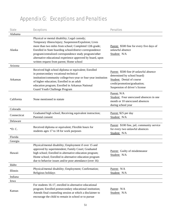# Appendix G: Exceptions and Penalties

| <b>State</b> | <b>Exceptions</b>                                                                                                                                                                                                                                                                                                                                                                                 | <b>Penalties</b>                                                                                                                                                     |
|--------------|---------------------------------------------------------------------------------------------------------------------------------------------------------------------------------------------------------------------------------------------------------------------------------------------------------------------------------------------------------------------------------------------------|----------------------------------------------------------------------------------------------------------------------------------------------------------------------|
| Alabama      |                                                                                                                                                                                                                                                                                                                                                                                                   |                                                                                                                                                                      |
| Alaska       | Physical or mental disability; Legal custody;<br>Temporary illness/injury; Suspension/Expulsion; Lives<br>more than two miles from school; Completed 12th grade;<br>Enrolled in State boarding school/district correspondence<br>program/centralized correspondence study program/other<br>alternative educational experience approved by board, upon<br>written request from parent; Home school | Parent: \$500 fine for every five days of<br>unlawful absence<br>Student: N/A                                                                                        |
| Arizona      |                                                                                                                                                                                                                                                                                                                                                                                                   |                                                                                                                                                                      |
| Arkansas     | Received high school diploma or equivalent; Enrolled<br>in postsecondary vocational-technical<br>institution/community college/two-year or four-year institution<br>of higher education; Enrolled in an adult<br>education program; Enrolled in Arkansas National<br>Guard Youth Challenge Program                                                                                                | Parent: \$500 fine (# unlawful absence<br>determined by school board)<br>Student: Denial of course<br>credit/promotion/graduation;<br>Suspension of driver's license |
| California   | None mentioned in statute                                                                                                                                                                                                                                                                                                                                                                         | Parent: N/A<br>Student: Four unexcused absences in one<br>month or 10 unexcused absences<br>during school year                                                       |
| Colorado     |                                                                                                                                                                                                                                                                                                                                                                                                   |                                                                                                                                                                      |
| Connecticut  | Graduated high school; Receiving equivalent instruction;<br>Parental consent                                                                                                                                                                                                                                                                                                                      | Parent: \$25 per day<br>Student: N/A                                                                                                                                 |
| Delaware     |                                                                                                                                                                                                                                                                                                                                                                                                   |                                                                                                                                                                      |
| *D.C.        | Received diploma or equivalent; Flexible hours for<br>students ages 17 to 18 for work purposes                                                                                                                                                                                                                                                                                                    | Parent: \$100 fine, jail, community service<br>for every two unlawful absences<br>Student: N/A                                                                       |
| Florida      |                                                                                                                                                                                                                                                                                                                                                                                                   |                                                                                                                                                                      |
| Georgia      |                                                                                                                                                                                                                                                                                                                                                                                                   |                                                                                                                                                                      |
| Hawaii       | Physical/mental disability; Employment if over 15 and<br>approved by superintendent; Family Court; Graduated<br>high school; Enrolled in alternative education program;<br>Home school; Enrolled in alternative education program<br>due to behavior issues and/or poor attendance (over 16)                                                                                                      | Parent: Guilty of misdemeanor<br>Student: N/A                                                                                                                        |
| Idaho        |                                                                                                                                                                                                                                                                                                                                                                                                   |                                                                                                                                                                      |
| Illinois     | Physical/mental disability; Employment; Confirmation;<br>Religious holidays                                                                                                                                                                                                                                                                                                                       | Parent: N/A<br>Student: N/A                                                                                                                                          |
| Indiana      |                                                                                                                                                                                                                                                                                                                                                                                                   |                                                                                                                                                                      |
| Iowa         |                                                                                                                                                                                                                                                                                                                                                                                                   |                                                                                                                                                                      |
| Kansas       | For students 16-17, enrolled in alternative educational<br>program; Enrolled postsecondary educational institution;<br>Attends final counseling session at which a disclaimer to<br>encourage the child to remain in school or to pursue                                                                                                                                                          | Parent: N/A<br>Student: N/A                                                                                                                                          |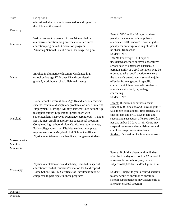| <b>State</b>             | <b>Exceptions</b>                                                                                                                                                                                                                                                                                                                                                                                                                                                                                                                                                                                            | <b>Penalties</b>                                                                                                                                                                                                                                                                                                                                                                                                     |
|--------------------------|--------------------------------------------------------------------------------------------------------------------------------------------------------------------------------------------------------------------------------------------------------------------------------------------------------------------------------------------------------------------------------------------------------------------------------------------------------------------------------------------------------------------------------------------------------------------------------------------------------------|----------------------------------------------------------------------------------------------------------------------------------------------------------------------------------------------------------------------------------------------------------------------------------------------------------------------------------------------------------------------------------------------------------------------|
|                          | educational alternatives is presented to and signed by<br>the child and the parent                                                                                                                                                                                                                                                                                                                                                                                                                                                                                                                           |                                                                                                                                                                                                                                                                                                                                                                                                                      |
| Kentucky                 |                                                                                                                                                                                                                                                                                                                                                                                                                                                                                                                                                                                                              |                                                                                                                                                                                                                                                                                                                                                                                                                      |
| Louisiana                | Written consent by parent; If over 16, enrolled in<br>alternative education program/vocational-technical<br>education program/adult education program;<br>Attending National Guard Youth Challenge Program                                                                                                                                                                                                                                                                                                                                                                                                   | Parent: \$250 and/or 30 days in jail—<br>penalty for violation of compulsory<br>attendance; \$100 and/or 10 days in jail-<br>penalty for enticing/soliciting children to<br>be absent from school<br>Student: N/A                                                                                                                                                                                                    |
| Maine                    | Enrolled in alternative education; Graduated high<br>school before age 17; If over 15 and completed<br>grade 9, work/home school; Habitual truancy                                                                                                                                                                                                                                                                                                                                                                                                                                                           | Parent: For every 10 full days of<br>unexcused absences or seven consecutive<br>school days of unexcused absences, a<br>parent is guilty of a civil violation; May be<br>ordered to take specific action to ensure<br>the student's attendance at school, enjoin<br>offender from engaging in specific<br>conduct which interferes with student's<br>attendance at school, or, undergo<br>counseling<br>Student: N/A |
| Maryland                 | Home school; Severe illness; Age 16 and lack of academic<br>success, continual disciplinary problems, or lack of interest;<br>Employment; Marriage; Military service; Court action; Age 16<br>to support family; Expulsion; Special cases with<br>superintendent's approval; Pregnancy/parenthood---if under<br>age 16, must enroll in appropriate educational program;<br>Completed high school diploma/equivalent requirements;<br>Early college admission; Disabled students, completed<br>requirements for a Maryland High School Certificate;<br>Physical/mental/emotional handicap; Dangerous students | Parent: If induces or harbors absent<br>student, \$500 fine and/or 30 days in jail; If<br>fails to see child attends, first offense, \$50<br>fine per day and or 10 days in jail, and,<br>second and subsequent offenses, \$100 fine<br>per day and/or 30 days in jail; Court may<br>suspend sentence and establish terms and<br>conditions to promote attendance<br>Student: Discretion of school system/staff      |
| Massachusetts            |                                                                                                                                                                                                                                                                                                                                                                                                                                                                                                                                                                                                              |                                                                                                                                                                                                                                                                                                                                                                                                                      |
| Michigan                 |                                                                                                                                                                                                                                                                                                                                                                                                                                                                                                                                                                                                              |                                                                                                                                                                                                                                                                                                                                                                                                                      |
| Minnesota<br>Mississippi | Physical/mental/emotional disability; Enrolled in special<br>education/remedial education/education for handicapped;<br>Home School; NOTE: Certificate of Enrollment must be<br>completed to participate in these programs                                                                                                                                                                                                                                                                                                                                                                                   | Parent: If child is absent within 18 days<br>after the first day of school or 12 unlawful<br>absences during school year, parent<br>subject to \$1,000 fine and/or 1 year in jail<br>Student: Subject to youth court discretion<br>to order child to enroll or re-enroll in<br>school; superintendent may assign child to<br>alternative school program                                                              |
| Missouri                 |                                                                                                                                                                                                                                                                                                                                                                                                                                                                                                                                                                                                              |                                                                                                                                                                                                                                                                                                                                                                                                                      |

Montana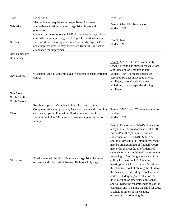| <b>State</b>   | <b>Exceptions</b>                                                                                                                                                                                                                                                                     | <b>Penalties</b>                                                                                                                                                                                                                                                                                                                                                                                                                                                                                                                                                                                                                                                                                                                                                                                                                                      |
|----------------|---------------------------------------------------------------------------------------------------------------------------------------------------------------------------------------------------------------------------------------------------------------------------------------|-------------------------------------------------------------------------------------------------------------------------------------------------------------------------------------------------------------------------------------------------------------------------------------------------------------------------------------------------------------------------------------------------------------------------------------------------------------------------------------------------------------------------------------------------------------------------------------------------------------------------------------------------------------------------------------------------------------------------------------------------------------------------------------------------------------------------------------------------------|
| Nebraska       | Met graduation requirements; Ages 16 to 17 to attend<br>alternative education programs; Age 16 with parental<br>permission                                                                                                                                                            | Parent: Class III misdemeanor<br>Student: N/A                                                                                                                                                                                                                                                                                                                                                                                                                                                                                                                                                                                                                                                                                                                                                                                                         |
| Nevada         | Obtained permission to take GED; Juvenile court may release<br>child who has completed grade 8; Age 14 if written evidence<br>shows child needs to support himself or family; Age 14 to 17<br>and completed grade 8 may be excused from full-time school<br>attendance for employment | Parent: N/A<br>Student: N/A                                                                                                                                                                                                                                                                                                                                                                                                                                                                                                                                                                                                                                                                                                                                                                                                                           |
| New Hampshire  |                                                                                                                                                                                                                                                                                       |                                                                                                                                                                                                                                                                                                                                                                                                                                                                                                                                                                                                                                                                                                                                                                                                                                                       |
| New Jersey     |                                                                                                                                                                                                                                                                                       |                                                                                                                                                                                                                                                                                                                                                                                                                                                                                                                                                                                                                                                                                                                                                                                                                                                       |
| New Mexico     | Graduated; Age 17 and employed w/parental consent; Parental<br>consent                                                                                                                                                                                                                | Parent: \$25-\$100 fine or community<br>service; second and subsequent violations,<br>\$500 fine and/or 6 months in jail<br>Student: For 10 or more unexcused<br>absences, 90 days suspended driving<br>privileges; second and subsequent<br>violations, 1 year suspended driving<br>privileges                                                                                                                                                                                                                                                                                                                                                                                                                                                                                                                                                       |
| New York       |                                                                                                                                                                                                                                                                                       |                                                                                                                                                                                                                                                                                                                                                                                                                                                                                                                                                                                                                                                                                                                                                                                                                                                       |
| North Carolina |                                                                                                                                                                                                                                                                                       |                                                                                                                                                                                                                                                                                                                                                                                                                                                                                                                                                                                                                                                                                                                                                                                                                                                       |
| North Dakota   |                                                                                                                                                                                                                                                                                       |                                                                                                                                                                                                                                                                                                                                                                                                                                                                                                                                                                                                                                                                                                                                                                                                                                                       |
| Ohio           | Received diploma; Completed high school curriculum;<br>Completed education program; Received an age and schooling<br>certificate; Special Education; Physical/mental disability;<br>Home school; Age 14 for employment to support himself or<br>family                                | Parent: \$500 fine or 70 hours community<br>service<br>Student: N/A                                                                                                                                                                                                                                                                                                                                                                                                                                                                                                                                                                                                                                                                                                                                                                                   |
| Oklahoma       | Physical/mental disability; Emergency; Age 16 with consent<br>of parent and school administrator; Religious holy days                                                                                                                                                                 | Parent: First offense, \$25-\$50 fine and/or<br>5 days in jail; Second offense, \$50-\$100<br>fine and/or 10 days in jail; Third and<br>subsequent offenses, \$100-\$250 fine<br>and/or 15 days in jail; Community service<br>may be ordered in lieu of fine/jail; Court<br>may order as a condition of a deferred<br>sentence or as a condition of sentence, the<br>following: 1. Verifying attendance of the<br>child with the school; 2. Attending<br>meetings with school officials; 3. Taking<br>the child to school; 4. Taking the child to<br>the bus stop; 5. Attending school with the<br>child; 6. Undergoing an evaluation for<br>drug, alcohol, or other substance abuse<br>and following the recommendations of the<br>evaluator; and 7. Taking the child for drug,<br>alcohol, or other substance abuse<br>evaluation and following the |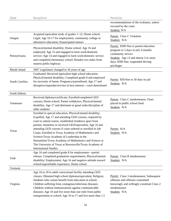| <b>State</b>   | <b>Exceptions</b>                                                                                                                                                                                                                                                                                                                                                                                                                                                                                                                                                    | <b>Penalties</b>                                                                                                                                                                                |
|----------------|----------------------------------------------------------------------------------------------------------------------------------------------------------------------------------------------------------------------------------------------------------------------------------------------------------------------------------------------------------------------------------------------------------------------------------------------------------------------------------------------------------------------------------------------------------------------|-------------------------------------------------------------------------------------------------------------------------------------------------------------------------------------------------|
|                |                                                                                                                                                                                                                                                                                                                                                                                                                                                                                                                                                                      | recommendations of the evaluator, unless<br>excused by the court.<br>Student: N/A                                                                                                               |
| Oregon         | Acquired equivalent study of grades 1–12; Home school;<br>Legal; Age 16-17 for employment, community college or<br>alternative education; Emancipated minors                                                                                                                                                                                                                                                                                                                                                                                                         | Parent: Class C Violation<br>Student: N/A                                                                                                                                                       |
| Pennsylvania   | Physical/mental disability; Home school; Age 16 and<br>employed; Age 15 and engaged in farm work/domestic<br>service; Age 14 and engaged in farm work/domestic service<br>and completed elementary school; Resides two miles from<br>nearest public highway                                                                                                                                                                                                                                                                                                          | Parent: \$300 fine or parent education<br>program or 5 days in jail; 6 months<br>community service<br>Student: Age 13 and absent 3 or more<br>days, \$300 fine; suspended driving<br>privileges |
| Rhode Island   | 2007 Legislature changed to 18 years of age                                                                                                                                                                                                                                                                                                                                                                                                                                                                                                                          |                                                                                                                                                                                                 |
| South Carolina | Graduated; Received equivalent high school education;<br>Physical/mental disability; Completed grade 8 and employed<br>for necessity of home; Pregnancy/parenthood; Age 17 and<br>disruptive/unproductive/not in best interest-court determined                                                                                                                                                                                                                                                                                                                      | Parent: \$50 fine or 30 days in jail<br>Student: N/A                                                                                                                                            |
| South Dakota   |                                                                                                                                                                                                                                                                                                                                                                                                                                                                                                                                                                      |                                                                                                                                                                                                 |
| Tennessee      | Received diploma/certificate; Enrolled/completed GED<br>courses; Home school; Parent withdraws; Physical/mental<br>disability; Age 17 and detriment to good order/discipline of<br>other students                                                                                                                                                                                                                                                                                                                                                                    | Parent: Class C misdemeanor; Fines<br>placed in public school fund<br>Student: N/A                                                                                                              |
| Texas          | Enrolled in special education; Physical/mental disability;<br>Expelled; Age 17 and attending GED courses, required by<br>court to attend course, established residence apart from<br>parents, homeless or received GED/equivalent; Age 16 and<br>attending GED courses if court ordered or enrolled in Job<br>Corps; Enrolled in Texas Academy of Mathematics and<br>Science/Texas Academy of Leadership in the<br>Humanities/Texas Academy of Mathematics and Science at<br>The University of Texas at Brownsville/Texas Academy of<br><b>International Studies</b> | Parent: N/A<br>Student: N/A                                                                                                                                                                     |
| Utah           | Age 16 and completed grade 8 for employment-partial<br>release; Completed graduation requirements; Physical/mental<br>disability; Employment; Age 16 and negative attitude toward<br>school/unprofitable experience; Home school                                                                                                                                                                                                                                                                                                                                     | Parent: Class B misdemeanor<br>Student: N/A                                                                                                                                                     |
| Vermont        |                                                                                                                                                                                                                                                                                                                                                                                                                                                                                                                                                                      |                                                                                                                                                                                                 |
| Virginia       | Age 16 to 18 in adult correctional facility attending GED<br>classes; Obtained high school diploma/equivalent; Religion;<br>Students who cannot benefit from education at school;<br>Children suffering from contagious/infectious diseases;<br>Children without immunizations against communicable<br>diseases; Age 10 and live more than one mile from public<br>transportation to school; Age 10 to 17 and live more than 1.5                                                                                                                                     | Parent: Class 3 misdemeanor; Subsequent<br>offenses and offenses committed<br>knowingly and willingly constitute Class 2<br>misdemeanor<br>Student: N/A                                         |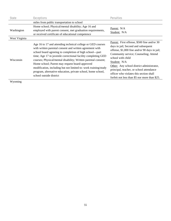| <b>State</b>  | <b>Exceptions</b>                                                                                                                                                                                                                                                                                                                                                                                                                                                                                                                     | <b>Penalties</b>                                                                                                                                                                                                                                                                                                                                                                                       |
|---------------|---------------------------------------------------------------------------------------------------------------------------------------------------------------------------------------------------------------------------------------------------------------------------------------------------------------------------------------------------------------------------------------------------------------------------------------------------------------------------------------------------------------------------------------|--------------------------------------------------------------------------------------------------------------------------------------------------------------------------------------------------------------------------------------------------------------------------------------------------------------------------------------------------------------------------------------------------------|
|               | miles from public transportation to school                                                                                                                                                                                                                                                                                                                                                                                                                                                                                            |                                                                                                                                                                                                                                                                                                                                                                                                        |
| Washington    | Home school; Physical/mental disability; Age 16 and<br>employed with parent consent, met graduation requirements,<br>or received certificate of educational competence                                                                                                                                                                                                                                                                                                                                                                | Parent: N/A<br>Student: N/A                                                                                                                                                                                                                                                                                                                                                                            |
| West Virginia |                                                                                                                                                                                                                                                                                                                                                                                                                                                                                                                                       |                                                                                                                                                                                                                                                                                                                                                                                                        |
| Wisconsin     | Age 16 to 17 and attending technical college or GED courses<br>with written parental consent and written agreement with<br>school board agreeing to completion of high school—part<br>time; Age 17 in juvenile correctional facility completing GED<br>courses; Physical/mental disability; Written parental consent;<br>Home school; Parent may request board-approved<br>modification, including but not limited to: work training/study<br>program, alternative education, private school, home school,<br>school outside district | Parent: First offense, \$500 fine and/or 30<br>days in jail; Second and subsequent<br>offense, \$1,000 fine and/or 90 days in jail;<br>Community service; Counseling; Attend<br>school with child<br>Student: N/A<br>Other: Any school district administrator,<br>principal, teacher, or school attendance<br>officer who violates this section shall<br>forfeit not less than \$5 nor more than \$25. |

Wyoming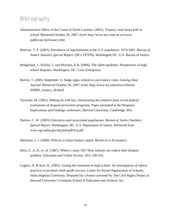## **Bibliography**

- Administrative Office of the Courts of North Carolina. (2001). *Truancy court keeps kids in school*. Retrieved October 26, 2007, from: http://www.aoc.state.nc.us/www/ public/aoc/pr/truancy.htm
- Bonczar, T. P. (2003). Prevalence of imprisonment in the U.S. population, 1974-2001. *Bureau of Justice Statistics Special Report*. (NCJ 197976). Washington DC: U.S. Bureau of Justice.
- Bridgeland, J., DiJulio, J. and Morison, K.B. (2006). The silent epidemic: Perspectives of high school dropouts. Washington, DC: Civic Enterprises.
- Burton, T. (2003, September 1). Judge urges schools to use truancy court. *Lansing State Journal*. Retrieved October 26, 2007, from: http://www.lsj.com/news/schools/ 030901\_truancy\_4b.html
- Dynarski, M. (2001). *Making do with less: Interpreting the evidence from recent federal evaluations of dropout-prevention programs*. Paper presented at the Dropouts: Implications and Findings conference, Harvard University, Cambridge, MA.
- Harlow, C. W. (2003). Education and correctional populations. *Bureau of Justice Statistics Special Report*. Washington, DC: U.S. Department of Justice. Retrieved from www.ojp.usdoj.gov/bjs/pub/pdf/ecp.pdf
- Heckman, J. J. (2000). Policies to foster human capital. *Research in Economics.*
- Hess, G. A. Jr., et. al. (1987). Where's room 185? How schools can reduce their dropout problem*. Education and Urban Society, 19/3*, 330-355.
- Legters, N. & Kerr, K. (2001). *Easing the transition to high school: An investigation of reform practices to promote ninth grade success.* Center for Social Organization of Schools, Johns Hopkins University. Prepared for a forum convened by The Civil Rights Project at Harvard University's Graduate School of Education and Achieve, Inc.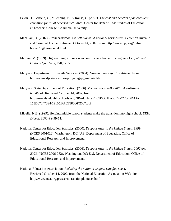- Levin, H., Belfield, C., Muenning, P., & Rouse, C. (2007). *The cost and benefits of an excellent education for all of America's children.* Center for Benefit-Cost Studies of Education at Teachers College, Columbia University.
- Macallair, D. (2002). *From classrooms to cell blocks: A national perspective*. Center on Juvenile and Criminal Justice. Retrieved October 14, 2007, from: http://www.cjcj.org/pubs/ higher/highernational.html
- Mariani, M. (1999). High-earning workers who don't have a bachelor's degree. *Occupational Outlook Quarterly*, Fall, 9-15.
- Maryland Department of Juvenile Services. (2004). *Gap analysis report.* Retrieved from: http://www.djs.state.md.us/pdf/gap/gap\_analysis.html
- Maryland State Department of Education. (2006). *The fact book 2005-2006: A statistical handbook.* Retrieved October 14, 2007, from http://marylandpublicschools.org/NR/rdonlyres/FCB60C1D-6CC2-4270-BDAA-153D67247324/12105/FACTBOOK2007.pdf
- Mizelle, N.B. (1999). Helping middle school students make the transition into high school. *ERIC Digest*, EDO-PS-99-11.
- National Center for Education Statistics. (2000). *Dropout rates in the United States: 1999.*  (NCES 2001022). Washington, DC: U.S. Department of Education, Office of Educational Research and Improvement.
- National Center for Education Statistics. (2006). *Dropout rates in the United States: 2002 and 2003.* (NCES 2006-062). Washington, DC: U.S. Department of Education, Office of Educational Research and Improvement.
- National Education Association. *Reducing the nation's dropout rate fact sheet*. Retrieved October 14, 2007, from the National Education Association Web site: http://www.nea.org/presscenter/actionplanfacts.html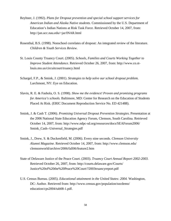- Reyhner, J. (1992). *Plans for Dropout prevention and special school support services for American Indian and Alaska Native students.* Commissioned by the U.S. Department of Education's Indian Nations at Risk Task Force. Retrieved October 14, 2007, from: http://jan.ucc.nau.edu/~jar/INAR.html
- Rosenthal, B.S. (1998). Nonschool correlates of dropout: An integrated review of the literature. *Children & Youth Services Review.*
- St. Louis County Truancy Court. (2005). *Schools, Families and Courts Working Together to Improve Student Attendance*. Retrieved October 26, 2007, from: http://www.co.stlouis.mo.us/circuitcourt/truancy.html
- Schargel, F.P., & Smink, J. (2001). *Strategies to help solve our school dropout problem.*  Larchmont, NY: Eye on Education.
- Slavin, R. E. & Fashola, O. S. (1998). *Show me the evidence! Proven and promising programs for America's schools.* Baltimore, MD: Center for Research on the Education of Students Placed At Risk. (ERIC Document Reproduction Service No. ED 421488).
- Smink, J. & Cash T. (2006). *Promising Universal Dropout Prevention Strategies*. Presentation at the 2006 National State Education Agency Forum, Clemson, South Carolina. Retrieved October 14, 2007, from: http://www.ndpc-sd.org/resources/docs/SEAForum2006/ Smink\_Cash--Universal\_Strategies.pdf
- Smink, J., Drew, S. & Duckenfield, M. (2006). Every nine seconds. *Clemson University Alumni Magazine.* Retrieved October 14, 2007, from: http://www.clemson.edu/ clemsonworld/archive/2006/fall06/feature2.htm
- State of Delaware Justice of the Peace Court. (2003). *Truancy Court Annual Report 2002-2003*. Retrieved October 26, 2007, from: http://courts.delaware.gov/Courts/ Justice%20of%20the%20Peace%20Court/?2003truancyreport.pdf
- U.S. Census Bureau. (2005). *Educational attainment in the United States: 2004.* Washington, DC: Author. Retrieved from: [http://www.census.gov/population/socdemo/](http://nces.ed.gov/transfer.asp?location=www.census.gov/population/socdemo/education/cps2004/tab08-1.pdf)  [education/cps2004/tab08-1.pdf](http://nces.ed.gov/transfer.asp?location=www.census.gov/population/socdemo/education/cps2004/tab08-1.pdf).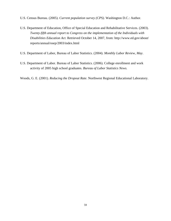- U.S. Census Bureau. (2005). *Current population survey (CPS)*. Washington D.C.: Author.
- U.S. Department of Education, Office of Special Education and Rehabilitative Services. (2003). *Twenty-fifth annual report to Congress on the implementation of the Individuals with Disabilities Education Act*. Retrieved October 14, 2007, from: http://www.ed.gov/about/ reports/annual/osep/2003/index.html
- U.S. Department of Labor, Bureau of Labor Statistics. (2004). *Monthly Labor Review, May*.
- U.S. Department of Labor. Bureau of Labor Statistics. (2006). College enrollment and work activity of 2005 high school graduates. *Bureau of Labor Statistics News.*
- Woods, G. E. (2001). *Reducing the Dropout Rate*. Northwest Regional Educational Laboratory.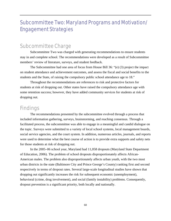## Subcommittee Two: Maryland Programs and Motivation/ Engagement Strategies

## Subcommittee Charge

Subcommittee Two was charged with generating recommendations to ensure students stay in and complete school. The recommendations were developed as a result of Subcommittee members' review of literature, surveys, and student feedback.

The Subcommittee had one area of focus from House Bill 36: "(e) (3) project the impact on student attendance and achievement outcomes, and assess the fiscal and social benefits to the students and the State, of raising the compulsory public school attendance age to 18."

Throughout the recommendations are references to risk and protective factors for students at risk of dropping out. Other states have raised the compulsory attendance age with some retention success; however, they have added community services for students at risk of dropping out.

## **Findings**

The recommendations presented by the subcommittee evolved through a process that included information gathering, surveys, brainstorming, and reaching consensus. Through a facilitated process, the subcommittee was able to engage in a meaningful and candid dialogue on the topic. Surveys were submitted to a variety of local school systems, local management boards, social service agencies, and the court system. In addition, numerous articles, journals, and reports were used to determine what the best course of action is to provide extra supports and safety nets for those students at risk of dropping out.

In the 2005–06 school year, Maryland had 11,058 dropouts (Maryland State Department of Education, 2006). The problem of school dropouts disproportionately affects African-American males. The problem also disproportionately affects urban youth, with the two most urban districts in the state (Baltimore City and Prince George's County) ranking first and second respectively in terms of dropout rates. Several large-scale longitudinal studies have shown that dropping out significantly increases the risk for subsequent economic (unemployment), behavioral (crime, drug involvement), and social (family instability) problems. Consequently, dropout prevention is a significant priority, both locally and nationally.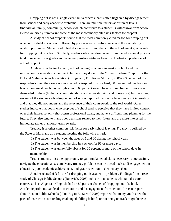Dropping out is not a single event, but a process that is often triggered by disengagement from school and early academic problems. There are multiple factors at different levels (individual, family, community, school) which contribute to a student's withdrawal from school. Below we briefly summarize some of the most commonly cited risk factors for dropout.

A study of school dropouts found that the most commonly cited reason for dropping out of school is disliking school, followed by poor academic performance, and the availability of work opportunities. Students who feel disconnected from others in the school are at greater risk for dropping out of school. Similarly, students who feel disengaged from the educational process tend to receive lower grades and have less positive attitudes toward school—two predictors of school dropout.

A related risk factor for early school leaving is lacking interest in school and low motivation for education attainment. In the survey done for the "Silent Epidemic" report for the Bill and Melinda Gates Foundation (Bridgeland, DiJulio, & Morison, 2006), 69 percent of the respondents cited they were not motivated or inspired to work hard, 80 percent did one hour or less of homework each day in high school, 66 percent would have worked harder if more was demanded of them (higher academic standards and more studying and homework) Furthermore, several of the students who dropped out of school reported that their classes were not interesting and that they did not understand the relevance of their coursework to the real world. Other studies indicate that youth who drop out of school tend to perceive that they have limited control over their future, set only short-term professional goals, and have a difficult time planning for the future. They also tend to make poor decisions related to their future and are more interested in immediate rather than long-term rewards.

Truancy is another common risk factor for early school leaving. Truancy is defined by the State of Maryland as a student meeting the following criteria:

1) The student was between the ages of 5 and 20 during the school year;

2) The student was in membership in a school for 91 or more days;

 3) The student was unlawfully absent for 20 percent or more of the school days in membership.

Truant students miss the opportunity to gain fundamental skills necessary to successfully navigate the educational system. Many truancy problems can be traced back to disengagement in education, poor academic achievement, and grade retention in elementary school.

Another related risk factor for dropping out is academic problems. Findings from a recent study of Chicago Public Schools (Roderick, 2006) indicate that students who failed a core course, such as Algebra or English, had an 80 percent chance of dropping out of school. Academic problems can lead to frustration and disengagement from school. A recent report about Boston Public Schools ("Too Big to Be Seen," 2006) reported that many youth cited the pace of instruction (not feeling challenged, falling behind) or not being on track to graduate as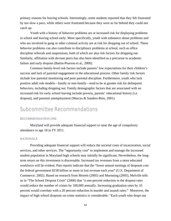primary reasons for leaving schools. Interestingly, some students reported that they felt frustrated by too slow a pace, while others were frustrated because they were so far behind they could not catch up.

Youth with a history of behavior problems are at increased risk for displaying problems in school and leaving school early. More specifically, youth with substance abuse problems and who are involved in gang or other criminal activity are at risk for dropping out of school. These behavior problems can also contribute to disciplinary problems at school, such as office discipline referrals and suspensions, both of which are also risk factors for dropping out. Similarly, affiliation with deviant peers has also been identified as a precursor to academic failure and early dropout (Battin-Pearson et al., 2000).

Common family-level risk factors include parents' low expectations for their children's success and lack of parental engagement in the educational process. Other family risk factors include low parental monitoring and poor parental discipline. Furthermore, youth who lack positive adult role models—family or non-family—tend to be at greater risk for delinquent behaviors, including dropping out. Family demographic factors that are associated with an increased risk for early school leaving include poverty, parents' educational history (i.e. dropout), and parental unemployment (Marcus & Sanders-Reio, 2001).

# Subcommittee Recommendations

### RECOMMENDATION ONE

Maryland will provide adequate financial support to raise the age of compulsory attendance to age 18 in FY 2011.

### RATIONALE

Providing adequate financial support will reduce the societal costs of incarceration, social services, and other services. The "opportunity cost" to implement and manage the increased student population in Maryland high schools may initially be significant. Nevertheless, the longterm return on this investment is discernable. Increased tax revenues from a more educated workforce will be evident. Past reports indicate that the "lower annual earnings of dropouts cost the federal government \$158 billion or more in lost revenue each year" (U.S. Department of Commerce, 2002). Based on research from Moretti (2005) and Muenning (2005), Melville tells us in "The School Dropout Crisis" (2006) that "a one-percent reduction in the dropout rates would reduce the number of crimes by 100,000 annually. Increasing graduation rates by 10 percent would correlate with a 20 percent reduction in murder and assault rates." Moreover, the impact of high school dropouts on crime statistics is considerable: "Each youth who drops out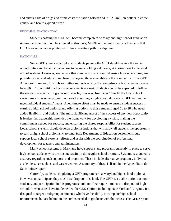and enters a life of drugs and crime costs the nation between  $$1.7 - 2.3$  million dollars in crime control and health expenditures."

### RECOMMENDATION TWO

Students passing the GED will become completers of Maryland high school graduation requirements and will not be counted as dropouts; MSDE will monitor districts to ensure that GED rates reflect appropriate use of this alternative path to a diploma.

#### RATIONALE

Since GED counts as a diploma, students passing the GED should receive the same opportunities and benefits that accrue to persons holding a diploma, at a lesser cost to the local school systems. However, we believe that completion of a comprehensive high school program provides social and educational benefits beyond those available via the completion of the GED. After careful review, this Subcommittee supports raising the compulsory school attendance age from 16 to 18, or until graduation requirements are met. Students should be expected to follow the standard academic programs until age 16; however, from ages 16 to 18 the local school system may offer other program options for earning a high school diploma or GED tailored to meet individual students' needs. A legitimate effort must be made to ensure student success in earning a high school diploma and offering options to those students aged 16 to 18 who need added flexibility and options. The most significant aspect of the success of any new opportunity is leadership. Leadership provides the framework for developing a vision, making the commitment needed for success, and ensuring the shared responsibility for student success. Local school systems should develop diploma options that will allow all students the opportunity to earn a high school diploma. Maryland State Department of Education personnel should support local school systems' efforts and assist with the coordination of professional development for teachers and administrators.

Many school systems in Maryland have supports and programs currently in place to serve high school students who are not successful in the regular school program. Systems responded to a survey regarding such supports and programs. These include alternative programs, individual academic success plans, and career centers. A summary of these is listed in the Appendix to the Subcomittee report.

Currently, students completing a GED program earn a Maryland high school diploma. However, to participate, they must first drop out of school. The GED is a viable option for some students, and participation in this program should not first require students to drop out of high school. Eleven states have implemented the GED Option, including New York and Virginia. It is designed to target a subgroup of students who have the ability to complete high school requirements, but are behind in the credits needed to graduate with their class. The GED Option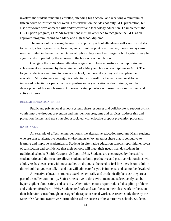involves the student remaining enrolled, attending high school, and receiving a minimum of fifteen hours of instruction per week. This instruction includes not only GED preparation, but also workforce development skills and/or career and technology education. To implement the GED Option program, COMAR Regulations must be amended to recognize the GED as an approved program leading to a Maryland high school diploma.

The impact of increasing the age of compulsory school attendance will vary from district to district, school system size, location, and current dropout rate. Smaller, more rural systems may be limited in the number and types of options they can offer. Larger school systems may be significantly impacted by the increase in the high school population.

Changing the compulsory attendance age should have a positive effect upon student achievement as measured by the attainment of a Maryland high school diploma or GED. The longer students are required to remain in school, the more likely they will complete their education. More students earning this credential will result in a better trained workforce, improved potential for participation in post-secondary education and/or training, and the development of lifelong learners. A more educated populace will result in more involved and active citizenry.

#### RECOMMENDATION THREE

Public and private local school systems share resources and collaborate to support at-risk youth, improve dropout prevention and intervention programs and services, address risk and protection factors, and use strategies associated with effective dropout prevention programs.

#### RATIONALE

An example of effective intervention is the alternative education program. Many students who are sent to alternative learning environments enjoy an atmosphere that is conducive to learning and improve academically. Students in alternative education schools report higher levels of satisfaction and confidence that their schools will meet their needs than do students in traditional schools (Smith, Gregory, & Pugh, 1981). Students are encouraged by the staff-tostudent ratio, and the structure allows students to build productive and positive relationships with adults. As has been seen with most studies on dropouts, the need to feel like there is one adult in the school that you can talk to and that will advocate for you is immense and cannot be devalued.

Alternative education students excel behaviorally and academically because they are a part of a smaller community. Staff are sensitive to the environment and subsequently can be hyper-vigilant about safety and security. Alternative schools report reduced discipline problems and violence (Butchart, 1986). Students feel safe and can focus on their class work or focus on their behavior issues through an assigned therapist or social worker. A recent study done by the State of Oklahoma (Storm & Storm) addressed the success of its alternative schools. Students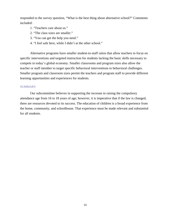responded to the survey question, "What is the best thing about alternative school?" Comments included:

- 1. "Teachers care about us."
- 2. "The class sizes are smaller."
- 3. "You can get the help you need."
- 4. "I feel safe here, while I didn't at the other school."

Alternative programs have smaller student-to-staff ratios that allow teachers to focus on specific interventions and targeted instruction for students lacking the basic skills necessary to compete in today's global economy. Smaller classrooms and program sizes also allow the teacher or staff member to target specific behavioral interventions to behavioral challenges. Smaller program and classroom sizes permit the teachers and program staff to provide different learning opportunities and experiences for students.

### **SUMMARY**

Our subcommittee believes in supporting the increase in raising the compulsory attendance age from 16 to 18 years of age; however, it is imperative that if the law is changed, there are resources devoted to its success. The education of children is a broad experience from the home, community, and schoolhouse. That experience must be made relevant and substantial for all students.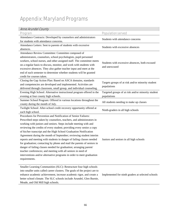# Appendix: Maryland Programs

## Anne Arundel County

| <i><b>AIIIIC AI UIIUCI COUIILY</b></i>                                     |                                                    |
|----------------------------------------------------------------------------|----------------------------------------------------|
| Program                                                                    | <b>Population served</b>                           |
| Attendance Contracts: Developed by counselors and administrators           | Students with attendance concerns                  |
| for students with attendance concerns.                                     |                                                    |
| Attendance Letters: Sent to parents of students with excessive             |                                                    |
| absences.                                                                  | Students with excessive absences                   |
| Attendance Review Committee: Committee composed of                         |                                                    |
| administrators, counselors, school psychologists, pupil personnel          |                                                    |
| workers, school nurses, and other assigned staff. The committee meets      |                                                    |
| on a regular basis to discuss, monitor, and work with students with        | Students with excessive absences, both excused     |
| excessive absences. They also gather teacher input and meet at the         | and unexcused                                      |
| end of each semester to determine whether students will be granted         |                                                    |
| credit for courses taken.                                                  |                                                    |
| Closing the Gap Action Plan: Based on ASCA domains, standards              |                                                    |
| and competencies are developed and implemented. Activities are             | Targets groups of at risk and/or minority student  |
| delivered through classroom, small group, and individual counseling.       | populations                                        |
| Evening High School: Alternative instructional program offered in the      | Targeted groups of at risk and/or minority student |
| evening at four county high schools.                                       | populations                                        |
| Summer School Program: Offered in various locations throughout the         | All students needing to make up classes            |
| county during the month of July.                                           |                                                    |
| Twilight School: After-school credit recovery opportunity offered at       | Ninth-graders in all high schools                  |
| each high school.                                                          |                                                    |
| Procedures for Prevention and Notification of Senior Failures:             |                                                    |
| Prescribed steps taken by counselors, teachers, and administrators in      |                                                    |
| working with juniors and seniors. Steps include meeting with and           |                                                    |
| reviewing the credits of every student; providing every senior a copy      |                                                    |
| of his/her transcript and the High School Graduation Notification          |                                                    |
| Agreement during the month of September; reviewing student interim         |                                                    |
| reports and meeting with students in danger of failing classes needed      | Juniors and seniors in all high schools            |
| for graduation; contacting by phone and mail the parents of seniors in     |                                                    |
| danger of failing classes needed for graduation; arranging parent/         |                                                    |
| teacher conferences; and meeting with all seniors in need of               |                                                    |
| interventions and/or alternative programs in order to meet graduation      |                                                    |
| requirements.                                                              |                                                    |
|                                                                            |                                                    |
| Smaller Learning Communities (SLC): Restructure four high schools          |                                                    |
| into smaller units called career clusters. The goals of the project are to |                                                    |
| enhance academic achievement, increase academic rigor, and create a        | Implemented for ninth graders at selected schools  |
| better school climate. The SLC schools include Arundel, Glen Burnie,       |                                                    |
| Meade, and Old Mill high schools.                                          |                                                    |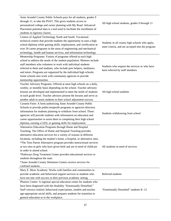| Anne Arundel County Public Schools pays for all students, grades 9<br>through 11, to take the PSAT. This gives students access to<br>personalized college and career planning with My Road. Advanced<br>Placement potential data is a tool used to facilitate the enrollment of<br>students in rigorous classes.                                                                                                                                                                                                                                                                                                                                          | All high school students, grades 9 through 11                                                      |
|-----------------------------------------------------------------------------------------------------------------------------------------------------------------------------------------------------------------------------------------------------------------------------------------------------------------------------------------------------------------------------------------------------------------------------------------------------------------------------------------------------------------------------------------------------------------------------------------------------------------------------------------------------------|----------------------------------------------------------------------------------------------------|
| Centers of Applied Technology North and South: Vocational-<br>technical centers that provide students the opportunity to earn a high<br>school diploma while gaining skills, employment, and certification in<br>over 20 career programs in the areas of engineering and mechanical<br>technology, health and human services, and information technology.                                                                                                                                                                                                                                                                                                 | Students in all county high schools who apply,<br>meet criteria, and are accepted into the program |
| Mentorship Programs: Variety of programs offered at each high<br>school to address the needs of the student population. Mentors include<br>staff members who volunteer to work with individual students<br>referred to them and students, who include peer helpers, mediators,<br>and tutors. Programs are organized by the individual high schools.<br>Some schools also work with community agencies to provide<br>mentorship opportunities                                                                                                                                                                                                             | Students who request the services or who have<br>been referred by staff members                    |
| Teacher Advisory Programs: Offered at most high schools on a daily,<br>weekly, or monthly basis depending on the school. Teacher advisory<br>lessons are developed and implemented to meet the needs of students<br>in each grade level. Teacher advisors present the lessons and serve as<br>another adult to assist students in their school adjustment success.                                                                                                                                                                                                                                                                                        | All high school students                                                                           |
| Consent Form: A form authorizing Anne Arundel County Public<br>Schools to provide public/nonprofit programs or agencies directory<br>information for students planning to withdraw from school. These<br>agencies will provide students with information on education and<br>career opportunities to assist them in completing their high school<br>diploma, earning a GED, or gaining skills for employment.                                                                                                                                                                                                                                             | Students withdrawing from school                                                                   |
| Alternative Education Programs through Home and Hospital<br>Teaching: The Office of Home and Hospital Teaching provides<br>alternative education services for a variety of reasons in different<br>locations, including the student's home, a hospital, or alternative sites.<br>*The Teen Parent Alternative program provides instructional services<br>at two sites to girls who have given birth and are in need of childcare<br>in order to attend school.<br>*Pathways Drug Treatment Center provides educational services to<br>students throughout the state.<br>*Anne Arundel County Detention Centers receive services for<br>confined students. | All students in need of services                                                                   |
| Mary E. Moss Academy: Works with families and communities to<br>provide academic and behavioral support services to students who<br>have not met with success in their previous academic setting.<br>Phoenix Center: A regional special education center for students who<br>have been diagnosed with the disability "Emotionally Disturbed."<br>Staff conveys realistic behavioral expectations, models and teaches<br>age-appropriate social skills, and prepares students for transition to                                                                                                                                                            | Referred students<br>"Emotionally Disturbed" students K-12                                         |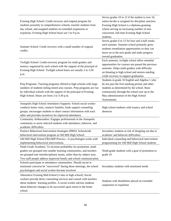| Evening High School: Credit recovery and original program for<br>students presently in comprehensive schools, transfer students from<br>day school, and assigned students on extended suspension or<br>expulsion. Evening High School hours are 3 to 9 p.m.                                  | Serves grades 10 to 12 if the student is over 16,<br>unless he/she is assigned for discipline sanction.<br>Evening High School is a diploma-granting<br>school serving an increasing number of non-<br>concurrent, full-time Evening High School<br>students.                                      |
|----------------------------------------------------------------------------------------------------------------------------------------------------------------------------------------------------------------------------------------------------------------------------------------------|----------------------------------------------------------------------------------------------------------------------------------------------------------------------------------------------------------------------------------------------------------------------------------------------------|
| Summer School: Credit recovery with a small number of original<br>credits.                                                                                                                                                                                                                   | Serves grades 6 to 12 for four and a half weeks<br>each summer. Summer school primarily gives<br>students remediation opportunities so they can<br>move on to the next grade and make progress<br>toward graduation.                                                                               |
| Twilight School: Credit-recovery program for ninth graders and<br>seniors; organized by each school with the support of the principal of<br>Evening High School. Twilight school hours are usually 2 to 3:30<br>p.m.                                                                         | Each semester, twilight school offers remedial<br>opportunities for courses not passed the previous<br>semester. Helps ninth graders with difficulty<br>acclimating to high school and seniors needing<br>credit recovery to support graduation.<br>Students in grade 10 English and Algebra 1 who |
| Prep Programs: Tutoring programs offered to high schools with large<br>numbers of students failing tested area courses. Prep programs are run<br>by individual schools with the support of the principal of Evening<br>High School. Hours are from 2 to 3:30 p.m.                            | do not pass the first marking period, and other<br>students as determined by the school. Runs<br>continuously through the school year up to the<br>May administration of the High School<br>Assessments.                                                                                           |
| Annapolis High School Attendance Supports: School social worker<br>conducts home visits, contacts families, leads support counseling<br>groups, encourages students to share contact information with each<br>other and provides incentives for improved attendance.                         | High school students with truancy and school<br>absences                                                                                                                                                                                                                                           |
| Community Ambassadors: Engages professionals in the Annapolis<br>community to assist selected students with attendance, behavior, and<br>academic difficulties.                                                                                                                              |                                                                                                                                                                                                                                                                                                    |
| Positive Behavioral Intervention Strategies (PBIS): Schoolwide<br>behavioral intervention program at Old Mill High School.<br>Old Mill High School FBA/BIP Process-A psychologist works with<br>implementing behavioral interventions.                                                       | Secondary students at risk of dropping out due to<br>academic and behavior difficulties<br>Individual counseling and behavioral intervention<br>programming for Old Mill High School students                                                                                                      |
| Ninth Grade Academy: To increase probability for promotion, ninth<br>graders are grouped into smaller learning communities, and teachers<br>are grouped into interdisciplinary teams, rather than by subject area.<br>Two staff people address improved family and school communication.     | Ninth-grade students with a goal of promotion to<br>grade 10                                                                                                                                                                                                                                       |
| Schools participate in attendance communities. Should social or<br>emotional concerns be "uncovered" during those meetings, the school<br>psychologists and social worker become involved                                                                                                    | Secondary students with emotional needs                                                                                                                                                                                                                                                            |
| Alternative Evening Mid-School (3 sites in high school): Social<br>workers provide direct counseling services and consult with teachers<br>about students' learning profiles. A social worker advises students<br>about behavior changes to be successful upon return to the home<br>school. | Students with disabilities placed on extended<br>suspension or expulsion                                                                                                                                                                                                                           |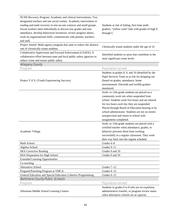| NCHS Recovery Program: Academic and clinical interventions. Two<br>designated teachers and one social worker. Academic intervention in<br>reading and math recovery in one-on-one contacts and small groups.<br>Social workers meet individually to discuss low grades and non-<br>attendance, develop behavioral incentives, review progress sheets,<br>work on organizational skills, communicate with parents, teachers,<br>and staff.<br>Project Attend: Multi-agency program that aims to reduce the absence | Students at risk of failing; first-time ninth<br>graders; "yellow zone" kids with grades of high E<br>through C<br>Chronically truant students under the age of 16                                                                                                                                                                                                     |
|-------------------------------------------------------------------------------------------------------------------------------------------------------------------------------------------------------------------------------------------------------------------------------------------------------------------------------------------------------------------------------------------------------------------------------------------------------------------------------------------------------------------|------------------------------------------------------------------------------------------------------------------------------------------------------------------------------------------------------------------------------------------------------------------------------------------------------------------------------------------------------------------------|
| rate of chronically truant students.                                                                                                                                                                                                                                                                                                                                                                                                                                                                              |                                                                                                                                                                                                                                                                                                                                                                        |
| Collaborative Supervision and Focused Enforcement (CSAFE): A<br>collaborative effort between state and local public safety agencies to<br>reduce crime and ensure public safety.                                                                                                                                                                                                                                                                                                                                  | Identified students in areas that contribute to the<br>most significant crime levels                                                                                                                                                                                                                                                                                   |
| <b>Allegany County</b>                                                                                                                                                                                                                                                                                                                                                                                                                                                                                            |                                                                                                                                                                                                                                                                                                                                                                        |
| Program                                                                                                                                                                                                                                                                                                                                                                                                                                                                                                           | <b>Population served</b>                                                                                                                                                                                                                                                                                                                                               |
| Project Y.E.S. (Youth Experiencing Success)                                                                                                                                                                                                                                                                                                                                                                                                                                                                       | Students in grades 8, 9, and 10 identified by the<br>Pupil Services Team as at risk for dropping out<br>(based on grades, attendance, home<br>environment). Eleventh and twelfth graders<br>monitored.                                                                                                                                                                 |
|                                                                                                                                                                                                                                                                                                                                                                                                                                                                                                                   | Sixth- to 12th-grade students are placed on a<br>community work site when suspended from<br>school. Students work five hours and are tutored<br>for two hours each day they are suspended.<br>Placed through Board of Education hearing or by<br>school administrator. Students are not on streets<br>unsupervised and return to school with<br>assignments completed. |
| Academic Village                                                                                                                                                                                                                                                                                                                                                                                                                                                                                                  | Sixth- to 12th-grade students are placed with a<br>certified teacher when attendance, grades, or<br>behavior prevents them from working<br>successfully in a regular classroom. They work<br>their way back into the regular schedule.                                                                                                                                 |
| Math School                                                                                                                                                                                                                                                                                                                                                                                                                                                                                                       | Grades 6-8                                                                                                                                                                                                                                                                                                                                                             |
| Algebra School                                                                                                                                                                                                                                                                                                                                                                                                                                                                                                    | Grades 9-11                                                                                                                                                                                                                                                                                                                                                            |
| <b>SRA Corrective Reading</b>                                                                                                                                                                                                                                                                                                                                                                                                                                                                                     | Grades 9 and 10                                                                                                                                                                                                                                                                                                                                                        |
| HSA Preparation for High School                                                                                                                                                                                                                                                                                                                                                                                                                                                                                   | Grades 9 and 10                                                                                                                                                                                                                                                                                                                                                        |
| <b>Extended Learning Opportunities</b><br>Co-teaching                                                                                                                                                                                                                                                                                                                                                                                                                                                             |                                                                                                                                                                                                                                                                                                                                                                        |
| Alternative School                                                                                                                                                                                                                                                                                                                                                                                                                                                                                                | Grades 7-12                                                                                                                                                                                                                                                                                                                                                            |
| Pregnant/Parenting Program at YMCA                                                                                                                                                                                                                                                                                                                                                                                                                                                                                | Grades 8-12                                                                                                                                                                                                                                                                                                                                                            |
| General Education and Special Education Cohesive Programming                                                                                                                                                                                                                                                                                                                                                                                                                                                      | Grades 6-12                                                                                                                                                                                                                                                                                                                                                            |
| <b>Baltimore County Public Schools</b>                                                                                                                                                                                                                                                                                                                                                                                                                                                                            |                                                                                                                                                                                                                                                                                                                                                                        |
| Program                                                                                                                                                                                                                                                                                                                                                                                                                                                                                                           | <b>Population served</b>                                                                                                                                                                                                                                                                                                                                               |
| Afternoon Middle School Learning Centers                                                                                                                                                                                                                                                                                                                                                                                                                                                                          | Students in grades 6 to 8 who are on expulsion,<br>administrative transfer, or program review status<br>when alternative schools are at capacity                                                                                                                                                                                                                       |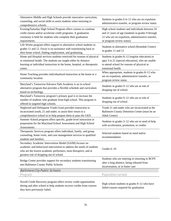| Alternative Middle and High Schools provide innovative curriculum,<br>counseling, and social skills to assist students when returning to<br>comprehensive schools.                                                                              | Students in grades 6 to 12 who are on expulsion<br>administrative transfer, or program review status                                                                                   |
|-------------------------------------------------------------------------------------------------------------------------------------------------------------------------------------------------------------------------------------------------|----------------------------------------------------------------------------------------------------------------------------------------------------------------------------------------|
| Evening/Saturday High School Program offers courses to continue<br>credit classes and/or accelerate credit programs. A graduation<br>ceremony is held for students who complete their graduation<br>requirements.                               | High school students and individuals between 16<br>and 21 years of age (students in grades 9 through<br>12 who are on expulsion, administrative transfer,<br>or program review status) |
| Life Works program offers support to alternative school students in<br>grades 11 and 12. Focus is on assistance with transitioning back to<br>their home school, finding employment, and graduating.                                            | Students in alternative school (Rosedale Center)<br>in grades 11 and 12                                                                                                                |
| Home and Hospital services students restricted for reasons of physical<br>or emotional health. The students are taught either by distance<br>learning or individual instruction in the home, hospital, or therapeutic<br>center.                | Students in grades K-12 (regular education) or<br>ages 3 to 21 (special education), who are unable<br>to attend school for reasons of physical or<br>emotional health                  |
| Home Teaching provides individualized instruction at the home or a<br>community location.                                                                                                                                                       | When appropriate, students in grades K-12 who<br>are on expulsion, administrative transfer, or<br>program review status                                                                |
| Maryland's Tomorrow/Advance Path Academy is an in-school<br>alternative program that provides a flexible schedule and curriculum<br>based on technology.                                                                                        | Students in grades 9-12 who are at risk of<br>dropping out of school.                                                                                                                  |
| Maryland's Tomorrow program's primary goal is to increase the<br>number of students who graduate from high school. This program is<br>offered in targeted high schools.                                                                         | Students in grades 9-12 who are at risk of<br>dropping out of school                                                                                                                   |
| Neglected and Delinquent Youth Grant provides instruction to<br>incarcerated youth, 21 and under, to assist their return to a<br>comprehensive school or to help prepare them to pass the GED.                                                  | Youth 21 and under who are incarcerated at the<br>Baltimore County Detention Center (must be an<br>Adult Center)                                                                       |
| Summer School program offers specific, grade-level instruction in<br>preparation for the Maryland School Assessment and High School<br>Assessments.                                                                                             | Students in grades 3-12 who are in need of help<br>with acceleration, promotion, or credits                                                                                            |
| Therapeutic Services program offers individual, family, and group<br>counseling, home visits, and case management services to qualified<br>students and families.                                                                               | Selected students based on need and/or<br>recommendation                                                                                                                               |
| Secondary Academic Intervention Model (SAIM) focuses on<br>academic and behavioral intervention to address the needs of students<br>who are the lowest academic performers, most disruptive, and at<br>greatest risk of dropping out of school. | Grades $6-10$                                                                                                                                                                          |
| Bridge Center provides support for secondary students transitioning<br>into Baltimore County Public Schools.                                                                                                                                    | Students who are entering or returning to BCPS<br>after a long absence, being released from<br>incarceration, or in foster care                                                        |
| <b>Baltimore City Public Schools</b>                                                                                                                                                                                                            |                                                                                                                                                                                        |
| Program                                                                                                                                                                                                                                         | <b>Population served</b>                                                                                                                                                               |
| Novell Credit Recovery program offers review credit opportunities<br>during and after school to help students recover credits from courses<br>they have previously failed.                                                                      | High school students in grades 9–12 who have<br>failed courses required for graduation                                                                                                 |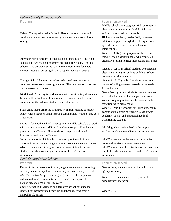| <b>Calvert County Public Schools</b>                                                                                                                                                                                                                                                                       |                                                                                                                                                                                                                                                                                                          |
|------------------------------------------------------------------------------------------------------------------------------------------------------------------------------------------------------------------------------------------------------------------------------------------------------------|----------------------------------------------------------------------------------------------------------------------------------------------------------------------------------------------------------------------------------------------------------------------------------------------------------|
| Program                                                                                                                                                                                                                                                                                                    | <b>Population served</b>                                                                                                                                                                                                                                                                                 |
| Calvert County Alternative School offers students an opportunity to<br>continue education services toward graduation in a non-traditional<br>setting.                                                                                                                                                      | Middle school students, grades 6-8, who need an<br>alternative setting as a result of disciplinary<br>action or special education needs<br>High school students, grades 9-12, who need<br>additional support through disciplinary actions,<br>special education services, or behavioral<br>interventions |
| Alternative programs are located in each of the county's four high<br>schools and two regional programs housed in the county's middle<br>schools. The programs serve as an intervention for students with<br>various needs that are struggling in a regular education setting.                             | Grades 6-8: Regional programs at two of six<br>middle schools assist students who require an<br>alternative setting to meet their educational needs<br>Grades 9-12: High school students who need an<br>alternative setting to continue with high school<br>courses toward graduation                    |
| Twilight School focuses on students who need extra support to<br>complete coursework toward graduation. The intervention is focused<br>on state-assessed courses.                                                                                                                                          | Grades 9-12: High school students who are in<br>danger of failing a state-assessed course needed<br>for graduation                                                                                                                                                                                       |
| Ninth Grade Academy is used to assist with transitioning of students<br>from middle school to high school and to focus on small learning<br>communities that address students' individual needs.                                                                                                           | Grade 9-High school students that are involved<br>in the standard curriculum are placed in cohorts<br>with a core group of teachers to assist with the<br>transitioning to high school.                                                                                                                  |
| Sixth-grade teams assist the fifth graders in transitioning to middle<br>school with a focus on small learning communities with the same core<br>of teachers.                                                                                                                                              | Grade 6-Middle schools work with students in<br>cohorts with a group of teachers to assist with<br>academic, social, and emotional needs of<br>transitioning students.                                                                                                                                   |
| Saturday for Middle School is a program in middle schools that works<br>with students who need additional academic support. Enrichment<br>programs are offered to allow students to explore additional<br>information and points of interest.                                                              | 6th-8th graders are involved in the program to<br>work on academic remediation and enrichment.                                                                                                                                                                                                           |
| Saturday School for High School program provides additional<br>opportunities for students to get academic assistance in core courses.                                                                                                                                                                      | 9th-12th graders can be assigned or volunteer to<br>come and receive academic assistance.                                                                                                                                                                                                                |
| Algebra Enhancement program provides remediation to enhance<br>students' Algebra skills in preparation for the High School<br>Assessments.                                                                                                                                                                 | 9th-12th graders will receive instruction based on<br>the skills and content covered on the High School<br>Assessments.                                                                                                                                                                                  |
| <b>Cecil County Public Schools</b>                                                                                                                                                                                                                                                                         |                                                                                                                                                                                                                                                                                                          |
| Program                                                                                                                                                                                                                                                                                                    | <b>Population served</b>                                                                                                                                                                                                                                                                                 |
| Detour: Offers after-school tutorial, anger-management counseling,<br>career guidance, drug/alcohol counseling, and community referral.<br>ASP (Alternative Suspension Program): Provides for suspension<br>reduction through community services, anger-management<br>counseling, and schoolwork recovery. | Grades 8-12, students referred through school,<br>agency, or family<br>Grades 6-12, students referred by school<br>administrator and parent                                                                                                                                                              |
| Cecil Alternative Program is an alternative school for students<br>referred for inappropriate behaviors and those entering from a<br>nonpublic placement.                                                                                                                                                  | Grades 6-12                                                                                                                                                                                                                                                                                              |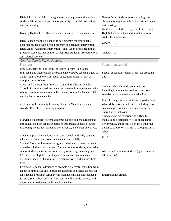| High School After School is a grade recouping program that offers<br>students failing core subjects the opportunity of tutorial instruction | Grades 9–12. Students who are failing core<br>classes may stay after school for instruction and                       |
|---------------------------------------------------------------------------------------------------------------------------------------------|-----------------------------------------------------------------------------------------------------------------------|
| and test retaking.                                                                                                                          | test retaking.                                                                                                        |
| Evening High School offers review credit as well as original credit.                                                                        | Grades 9-12. Students may enroll in Evening<br>High School to pick up additional or review<br>credits for graduation. |
| High Roads School is a nonpublic day program for emotionally                                                                                |                                                                                                                       |
| disturbed students with a credit program and behavior intervention.                                                                         | Grades 6-12                                                                                                           |
| High School Academic Intervention Team: An in-school team that                                                                              |                                                                                                                       |
| provides academic intervention to identified students. Provides direct                                                                      | Grades 9-12                                                                                                           |
| and referral services.                                                                                                                      |                                                                                                                       |
| <b>Charles County Public Schools</b>                                                                                                        |                                                                                                                       |
| Program                                                                                                                                     | <b>Population served</b>                                                                                              |
| Case Management Pilot Project at Henry Lackey High School:                                                                                  |                                                                                                                       |
| Individualized interventions are being developed by case managers at                                                                        | Special education students at risk for dropping                                                                       |
| a pilot high school to retain special education students at risk of                                                                         | out                                                                                                                   |
| dropping out of school.                                                                                                                     |                                                                                                                       |
| Check and Connect Pilot Project at General Smallwood Middle                                                                                 |                                                                                                                       |
| School: Students are assigned mentors who monitor engagement with                                                                           | Students who exhibit dropout indicators,                                                                              |
| school, then intervene to reestablish connections and enhance social                                                                        | including low academic performance, poor                                                                              |
| and academic competencies.                                                                                                                  | attendance, and unproductive behaviors                                                                                |
|                                                                                                                                             | Malcolm neighborhood students in grades 3-12                                                                          |
| 21st Century Community Learning Center at Malcolm is a once                                                                                 | who exhibit dropout indicators, including: low                                                                        |
| weekly after-school mentoring program.                                                                                                      | academic performance, poor attendance, or                                                                             |
|                                                                                                                                             | unproductive behaviors                                                                                                |
|                                                                                                                                             | Students who are experiencing difficulty                                                                              |
| Maryland's Tomorrow offers academic support and encouragement                                                                               | maintaining a satisfactory level of academic                                                                          |
| throughout the high school experience. Assistance is geared toward                                                                          | performance, and identified by their 8th grade                                                                        |
| improving attendance, academic performance, and career objectives.                                                                          | guidance counselor as at risk of dropping out of                                                                      |
|                                                                                                                                             | school                                                                                                                |
| Student Support Teams function in each school to identify students                                                                          |                                                                                                                       |
| who are not being successful academically or socially.                                                                                      | $K-12$                                                                                                                |
| Summer Youth Achievement program is designed to meet the needs                                                                              |                                                                                                                       |
| of at-risk middle school students. Summer school students, alternative                                                                      |                                                                                                                       |
| school students, and students referred by outside agencies in grades                                                                        | At-risk middle school students (approximately                                                                         |
| 6,7, and 8 are eligible to participate. Students receive academic                                                                           | 100 students)                                                                                                         |
| assistance, social skills training, recreational trips, and planned field                                                                   |                                                                                                                       |
| trips.                                                                                                                                      |                                                                                                                       |
| Freshman Seminar is designed to promote a successful transition from                                                                        |                                                                                                                       |
| eighth to ninth grade and to promote academic and social success for                                                                        |                                                                                                                       |
| all students. Freshman seminar will examine skills all students need                                                                        | Entering ninth graders                                                                                                |
| for success in school and life. This course will provide students with                                                                      |                                                                                                                       |
| opportunities to develop skills and knowledge.                                                                                              |                                                                                                                       |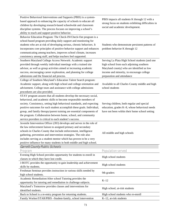| Positive Behavioral Interventions and Supports (PBIS) is a system-     |                                                     |
|------------------------------------------------------------------------|-----------------------------------------------------|
| based approach to enhancing the capacity of schools to educate all     | PBIS impacts all students K through 12 with a       |
| children by developing research-based schoolwide and classroom         | strong focus on students exhibiting difficulties in |
| discipline systems. The process focuses on improving a school's        | social and academic development.                    |
| ability to teach and support positive behavior.                        |                                                     |
| Behavior Education Program: The Check-IN/Check-Out program is a        |                                                     |
| school-based program providing daily support and monitoring for        |                                                     |
| students who are at risk of developing serious, chronic behaviors. It  | Students who demonstrate persistent patterns of     |
| incorporates core principles of positive behavior support and enhances | problem behavior K through 12                       |
| communicating among teachers, improves school climate, increases       |                                                     |
| consistency among staff, and helps teachers feel supported.            |                                                     |
| Southern Maryland College Access Network: Academic support             | Serving La Plata High School students (and one      |
| provided through weekly individual meetings with a trained site        | high school from each adjoining southern            |
| advisor, as well as group activities aimed at increasing academic      | Maryland county) who are identified as low          |
| success, encouraging career exploration, and planning for college      | income and minority, to encourage college           |
| admissions and the financial aid process.                              | preparation and attendance                          |
| College of Southern Maryland's Education Talent Search program:        |                                                     |
| Academic support, along with high school and college orientation and   | Available to all Charles County middle and high     |
| advisement. College tours and assistance with college admissions       | school students                                     |
| procedures are also provided.                                          |                                                     |
| STAY program assures that all students develop the necessary social,   |                                                     |
| behavioral, and academic skills to become responsible members of       |                                                     |
| society. Consistency, setting high behavioral standards, and expecting | Serving children, both regular and special          |
| positive outcomes for each student accomplish these goals. Individual, | education, grades K-8, whose behavioral needs       |
| group, and family therapy/parent training are essential components of  | have not been within their home school setting      |
| the program. Collaboration between home, school, and community         |                                                     |
| service providers is critical to each student's success.               |                                                     |
| Juvenile Intervention Officer (JIO) develops and serves in the role of |                                                     |
| the law enforcement liaison to assigned primary and secondary          |                                                     |
| schools in Charles County that include enforcement, intelligence       |                                                     |
| gathering, prevention and intervention strategies. The role also       | All middle and high schools                         |
| includes serving as a student mentor which has proven to be a very     |                                                     |
| positive influence for many students in both middle and high school.   |                                                     |
| <b>Garrett County Public Schools</b>                                   |                                                     |
| Program                                                                | <b>Population served</b>                            |
| Evening High School provides opportunity for students to enroll in     |                                                     |
| classes in which they have lost credit.                                | High school students                                |
| J-ROTC provides the opportunity to gain leadership and achievement     |                                                     |
| skills by students.                                                    | High school students                                |
| Freshman Seminar provides instruction in various skills needed by      |                                                     |
| high school students.                                                  | 9th graders                                         |
| Academic Remediation/After school Tutoring provides the                |                                                     |
| opportunity for tutoring and remediation in challenge subjects.        | $K-12$                                              |
| Maryland's Tomorrow provides classes and interventions for             |                                                     |
| identified students.                                                   | High school, at-risk students                       |
| Back to School is a re-entry program for returning students.           | High school students who re-enroll                  |
| Family Worker/STAR/PBIS -Student-family, school intervention           | K-12, at-risk students                              |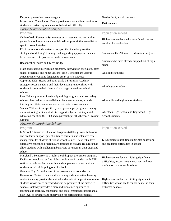| Drop-out prevention case managers                                       | Grades 6-12, at-risk students                           |
|-------------------------------------------------------------------------|---------------------------------------------------------|
| Instructional Consultation Teams provide review and intervention for    |                                                         |
| students experiencing academic or behavioral difficulty.                | K-8 students                                            |
| <b>Harford County Public Schools</b>                                    |                                                         |
| Program                                                                 | <b>Population served</b>                                |
| Online Credit Recovery System uses an assessment and curriculum         |                                                         |
| generation tool to produce an individualized prescriptive remediation   | High school students who have failed courses            |
| specific to each student.                                               | required for graduation                                 |
| PBIS is a schoolwide system of support that includes proactive          |                                                         |
| strategies for defining, teaching, and supporting appropriate student   | Students in the Alternative Education Programs          |
| behaviors to create positive school environments.                       |                                                         |
| Reconnecting Youth and Techs Bridge                                     | Students who have already dropped out of high<br>school |
| Math and reading intervention programs, intervention specialists, after |                                                         |
| school programs, and home visitors (Title 1 schools) are various        | All eligible students                                   |
| academic interventions designed to assist at-risk students.             |                                                         |
| Capturing Kids' Hearts and other grade 9 Freshman Academy               |                                                         |
| strategies focus on adults and their developing relationships with      | All 9th grade students                                  |
| students in order to help them make strong connections in high          |                                                         |
| schools.                                                                |                                                         |
| Peer Helpers program: Leadership training program in all secondary      |                                                         |
| schools. Peer helpers are available to help new students, provide       | All middle and high school students                     |
| tutoring, facilitate mediation, and assist their fellow students.       |                                                         |
| Student 2 Student is a specific type of peer-helper program focusing    |                                                         |
| on transitioning military students, supported by the military child     | Aberdeen High School and Edgewood High                  |
| education coalition (MCEC) and a partnership with Aberdeen Proving      | School students                                         |
| Ground.                                                                 |                                                         |
| <b>Howard County Public Schools</b>                                     |                                                         |
| Program                                                                 | <b>Population served</b>                                |
| In School Alternative Education Programs (AEPs) provide behavioral      |                                                         |
| and academic support, parent outreach services, and intensive case      |                                                         |
| management for students at risk of school failure. These entry-level    | K-12 students exhibiting significant behavioral         |
| alternative education programs are designed to provide resources that   | and academic difficulties in school                     |
| allow students with challenging behaviors to remain in their districted |                                                         |
| school.                                                                 |                                                         |
| Maryland's Tomorrow is a high school dropout-prevention program.        | High school students exhibiting significant             |
| Facilitators employed at five high schools work in tandem with AEP      | difficulties, inconsistent attendance, and low          |
| staff to provide academic tutoring and supplementary instruction to     | motivation to succeed in school                         |
| students at risk of dropping out of school.                             |                                                         |
| Gateway High School is one of the programs that comprise the            |                                                         |
| Homewood Center. Homewood is a countywide alternative learning          |                                                         |
| center. Gateway provides behavioral and academic support services to    | High school students exhibiting significant             |
| students whose needs exceed what can be provided at the districted      | difficulties whose needs cannot be met in their         |
| schools. Gateway provides a more individualized approach to             | districted schools                                      |
| teaching and learning, counseling, and socio-emotional support and a    |                                                         |
| high level of structure and supervision for participating students.     |                                                         |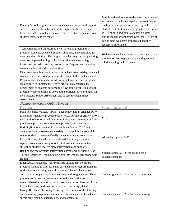| Evening School program provides academic and behavioral support<br>services for students in the middle and high schools who exhibit<br>behaviors that require their removal from the districted school. Some<br>students may attend by choice.                                                                                                                                                                                                                                                          | Middle and high school students serving extended<br>suspensions or who are expelled but continue to<br>qualify for educational services; High school<br>students that elect to attend original credit courses<br>in lieu of or in addition to attending classes<br>during regular school hours; Students 18 years of<br>age or older who have dropped out and then<br>request re-enrollment |
|---------------------------------------------------------------------------------------------------------------------------------------------------------------------------------------------------------------------------------------------------------------------------------------------------------------------------------------------------------------------------------------------------------------------------------------------------------------------------------------------------------|---------------------------------------------------------------------------------------------------------------------------------------------------------------------------------------------------------------------------------------------------------------------------------------------------------------------------------------------------------------------------------------------|
| Teen Parenting and Childcare is a teen parenting program that<br>provides academic guidance, support, childcare, and counseling for<br>teens and their children. The program enables pregnant and parenting<br>teens to complete their high school education while receiving<br>instruction, job skills, and daycare services. Pregnant and parenting<br>teens are able to attend school fulltime.                                                                                                      | High school students; Outreach component of the<br>program serves pregnant and parenting teens at<br>middle and high school levels                                                                                                                                                                                                                                                          |
| Other Academic Intervention Services include extended day, extended<br>week, and extended year programs, the Black Student Achievement<br>Program, and Community Based Learning Centers. These programs<br>are designed to implement effective practices to accelerate the<br>achievement of students performing below grade level. High school<br>programs enable students to score at the proficient level or higher on<br>the Maryland School Assessment and to pass the High School<br>Assessments. |                                                                                                                                                                                                                                                                                                                                                                                             |
| <b>Montgomery County Public Schools</b>                                                                                                                                                                                                                                                                                                                                                                                                                                                                 |                                                                                                                                                                                                                                                                                                                                                                                             |
| Program                                                                                                                                                                                                                                                                                                                                                                                                                                                                                                 | <b>Population served</b>                                                                                                                                                                                                                                                                                                                                                                    |
| Pupil Personnel Workers (PPWs): Each school has an assigned PPW<br>to monitor students with absentee rates of 20 percent or greater. PPWs<br>work with school staff and families to investigate these cases and to<br>provide supports and resources to improve school attendance.                                                                                                                                                                                                                      | $K-12$                                                                                                                                                                                                                                                                                                                                                                                      |
| HAPIT (Honors Advanced Placement Identification Tool) was<br>developed locally to examine a variety of data points for each high<br>school student to determine/verify the appropriateness of course<br>levels. Not only does this assist staff in determining when more<br>rigorous coursework is appropriate, it allows staff to ensure that<br>struggling students receive more interventions and supports.                                                                                          | All students grades 9-12                                                                                                                                                                                                                                                                                                                                                                    |
| Reading and Mathematics Interventions: Programs, including Read<br>180 and Challenge Reading, to help students who are struggling with<br>reading.                                                                                                                                                                                                                                                                                                                                                      | Students grades 3–12 who are in need of<br>academic support                                                                                                                                                                                                                                                                                                                                 |
| Extended Day/Extended Year Programs: Individual schools are<br>provided funding to offer extended day and school year programs for<br>students who are struggling with academics, have failed courses, or<br>are at risk of not passing assessments required for graduation. These<br>programs offer low student-to-teacher ratios and make use of<br>research-based programs proven to positively impact learning. At the<br>high school level credit-recovery programs are being piloted.             | Students grades 3–12 on Saturday mornings                                                                                                                                                                                                                                                                                                                                                   |
| George B. Thomas Learning Academy: The mission of this tutoring<br>and mentoring program is to accelerate student mastery of academics,<br>specifically reading, language arts, and mathematics.                                                                                                                                                                                                                                                                                                        | Students grades 1–12 on Saturday mornings                                                                                                                                                                                                                                                                                                                                                   |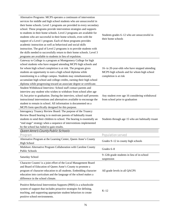| Alternative Programs: MCPS operates a continuum of intervention<br>services for middle and high school students who are unsuccessful in<br>their home schools. Level 1 programs are provided in every secondary<br>school. These programs provide intervention strategies and supports<br>to students in their home schools. Level 2 programs are available for<br>students who are successful in their home schools, even with the<br>support of a Level 1 program. Each of these programs provides<br>academic instruction as well as behavioral and social skills<br>instruction. The goal of Level 2 programs is to provide students with<br>the skills needed to successfully return to their home schools. Level 3<br>programs are available to students in lieu of expulsion. | Students grades 6–12 who are unsuccessful in<br>their home schools                                                    |
|--------------------------------------------------------------------------------------------------------------------------------------------------------------------------------------------------------------------------------------------------------------------------------------------------------------------------------------------------------------------------------------------------------------------------------------------------------------------------------------------------------------------------------------------------------------------------------------------------------------------------------------------------------------------------------------------------------------------------------------------------------------------------------------|-----------------------------------------------------------------------------------------------------------------------|
| Gateway to College is a program at Montgomery College for high<br>school students who have stopped attending MCPS high schools and<br>for whom high school completion is at risk. The program gives<br>students an opportunity to earn a high school diploma while<br>transitioning to a college campus. Students may simultaneously<br>accumulate high school and college credits, earning their high school<br>diploma while progressing toward an associate degree or certificate.                                                                                                                                                                                                                                                                                                | 16- to 20-year-olds who have stopped attending<br>MCPS high schools and for whom high school<br>completion is at risk |
| Student Withdrawal Interview: School staff contact parents and<br>interview any student who wishes to withdraw from school after age<br>16, but prior to graduation. During the interview, school staff presents<br>instructional interventions and alternatives available to encourage the<br>student to remain in school. All information is documented on a<br>MCPS form specifically designed for this purpose.                                                                                                                                                                                                                                                                                                                                                                  | Any student over age 16 considering withdrawal<br>from school prior to graduation                                     |
| Interagency Truancy Review Board: The purpose of the Truancy<br>Review Board hearing is to motivate parents of habitually truant<br>students to send their children to school. The hearing is essentially an<br>"end stage" strategy when a sequence of interventions implemented<br>by the school has failed to gain results.                                                                                                                                                                                                                                                                                                                                                                                                                                                       | Students through age 15 who are habitually truant                                                                     |
| Queen Anne's County Public Schools                                                                                                                                                                                                                                                                                                                                                                                                                                                                                                                                                                                                                                                                                                                                                   |                                                                                                                       |
| Program<br>Alternative Program at the Learning Center, Queen Anne's County<br><b>High School</b>                                                                                                                                                                                                                                                                                                                                                                                                                                                                                                                                                                                                                                                                                     | <b>Population served</b><br>Grades 9-12 in county high schools                                                        |
| Midshore Alternative Program Collaboration with Caroline County<br>Public Schools                                                                                                                                                                                                                                                                                                                                                                                                                                                                                                                                                                                                                                                                                                    | Grades 6-8                                                                                                            |
| Saturday School                                                                                                                                                                                                                                                                                                                                                                                                                                                                                                                                                                                                                                                                                                                                                                      | 9-12th grade students in lieu of in-school<br>suspension                                                              |
| Character Counts! is a joint effort of the Local Management Board<br>and Board of Education of Queen Anne's County to promote a<br>program of character education to all students. Embedding character<br>education into curriculum and the language of the school makes a<br>difference in the school climate.                                                                                                                                                                                                                                                                                                                                                                                                                                                                      | All grade levels in all QACPS                                                                                         |
| Positive Behavioral Intervention Supports (PBIS) is a schoolwide<br>system of support that includes proactive strategies for defining,<br>teaching, and supporting appropriate student behaviors to create<br>positive school environments.                                                                                                                                                                                                                                                                                                                                                                                                                                                                                                                                          | $K-12$                                                                                                                |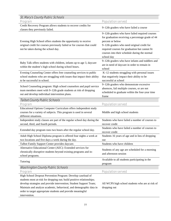| <b>St. Mary's County Public Schools</b>                                                                                                                                                                                                                                                                                                                          |                                                                                                                                                                                                                                                                                          |
|------------------------------------------------------------------------------------------------------------------------------------------------------------------------------------------------------------------------------------------------------------------------------------------------------------------------------------------------------------------|------------------------------------------------------------------------------------------------------------------------------------------------------------------------------------------------------------------------------------------------------------------------------------------|
| Program                                                                                                                                                                                                                                                                                                                                                          | <b>Population served</b>                                                                                                                                                                                                                                                                 |
| Credit Recovery Program allows students to recover credits for                                                                                                                                                                                                                                                                                                   |                                                                                                                                                                                                                                                                                          |
| classes they previously failed.                                                                                                                                                                                                                                                                                                                                  | 9-12th graders who have failed a course                                                                                                                                                                                                                                                  |
| Evening High School offers students the opportunity to receive<br>original credit for courses previously failed or for courses that could<br>not be taken during the school day.                                                                                                                                                                                 | 9-12th graders who have failed required courses<br>for graduation receiving a percentage grade of 44<br>percent or below<br>9-12th graders who need original credit for<br>required courses for graduation but cannot fit<br>courses into their schedule during the normal<br>school day |
| Baby Talk offers students with children, infants up to age 3, daycare<br>within the student's high school during school hours.                                                                                                                                                                                                                                   | 9-12th graders who have infants and toddlers and<br>are in need of daycare in order to remain in<br>school                                                                                                                                                                               |
| Evening Counseling Center offers free counseling services to public<br>school students who are struggling with issues that impact their ability<br>to be successful in school.                                                                                                                                                                                   | K-12 students struggling with personal issues<br>that negatively impact their ability to be<br>successful at school                                                                                                                                                                      |
| School Counseling program: High school counselors and pupil service<br>team members meet with 9-12th grade students at risk of dropping<br>out and develop individual intervention plans.                                                                                                                                                                        | 9-12th graders who demonstrate excessive<br>absences, fail multiple courses, or are not<br>scheduled to graduate within the four-year time<br>frame                                                                                                                                      |
| <b>Talbot County Public Schools</b>                                                                                                                                                                                                                                                                                                                              |                                                                                                                                                                                                                                                                                          |
| Program                                                                                                                                                                                                                                                                                                                                                          | <b>Population served</b>                                                                                                                                                                                                                                                                 |
| Educational Options Computer Curriculum offers independent study<br>courses for a variety of subjects. This program is used in several<br>different situations.                                                                                                                                                                                                  | Middle and high school students                                                                                                                                                                                                                                                          |
| Independent study classes are part of the regular school day during the<br>second, third, and fourth periods.                                                                                                                                                                                                                                                    | Students who have failed a number of courses to<br>recover credit                                                                                                                                                                                                                        |
| Extended day program runs two hours after the regular school day.                                                                                                                                                                                                                                                                                                | Students who have failed a number of courses to<br>recover credit                                                                                                                                                                                                                        |
| Adult High School Diploma program is offered four nights a week at<br>two locations and five days a week during the day.                                                                                                                                                                                                                                         | Students 16 years of age and in lieu of dropping<br><b>OUT</b>                                                                                                                                                                                                                           |
| Talbot Family Support Center provides daycare.                                                                                                                                                                                                                                                                                                                   | Students who have children                                                                                                                                                                                                                                                               |
| Alternative Educational Center (AEC): Extended services for<br>chronically disruptive students beyond existing programs and in-<br>school programs.                                                                                                                                                                                                              | Students of any age are scheduled for a morning<br>and afternoon session                                                                                                                                                                                                                 |
| Tutoring                                                                                                                                                                                                                                                                                                                                                         | Available to all students participating in the<br>program                                                                                                                                                                                                                                |
| <b>Washington County Public Schools</b>                                                                                                                                                                                                                                                                                                                          |                                                                                                                                                                                                                                                                                          |
| Program                                                                                                                                                                                                                                                                                                                                                          | <b>Population served</b>                                                                                                                                                                                                                                                                 |
| High School Dropout Prevention Program: Develop caseload of<br>students most at-risk for dropping out; build positive relationships;<br>develop strategies and provide intervention; Student Support Team;<br>Maintain and analyze academic, behavioral, and demographic data in<br>order to target appropriate students and provide meaningful<br>intervention. | All WCPS high school students who are at risk of<br>dropping out                                                                                                                                                                                                                         |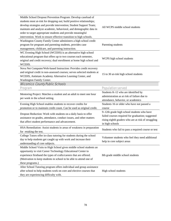| Middle School Dropout Prevention Program: Develop caseload of<br>students most at-risk for dropping out; build positive relationships;<br>develop strategies and provide intervention; Student Support Team;<br>maintain and analyze academic, behavioral, and demographic data in<br>order to target appropriate students and provide meaningful<br>intervention. Work to ensure effective transition to high schools. | All WCPS middle school students                                                                                                                                           |
|-------------------------------------------------------------------------------------------------------------------------------------------------------------------------------------------------------------------------------------------------------------------------------------------------------------------------------------------------------------------------------------------------------------------------|---------------------------------------------------------------------------------------------------------------------------------------------------------------------------|
| Washington County Family Center administers a high school credit<br>program for pregnant and parenting students, provides case<br>management, childcare, and parenting instruction.                                                                                                                                                                                                                                     | Parenting students                                                                                                                                                        |
| WC Evening High School (WCEHS) is an alternative high school<br>educational program that offers up to two courses each semester,<br>original and credit recovery; dual enrollment at home high school and<br>WCEHS.                                                                                                                                                                                                     | WCPS high school students                                                                                                                                                 |
| Nova Net Computer/Web-based Instruction: Provides credit recovery<br>and original credit in non-assessed courses; serves selected students at<br>WCEHS, Antietam Academy Alternative Learning Center, and<br>Washington Family Center.                                                                                                                                                                                  | 15 to 30 at-risk high school students                                                                                                                                     |
| <b>Wicomico County Public Schools</b>                                                                                                                                                                                                                                                                                                                                                                                   |                                                                                                                                                                           |
| Program                                                                                                                                                                                                                                                                                                                                                                                                                 | <b>Population served</b>                                                                                                                                                  |
| Mentoring Project: Matches a student and an adult to meet one hour<br>per week in the school setting.                                                                                                                                                                                                                                                                                                                   | Students K-12 who are identified by<br>administration as at risk of failure due to<br>attendance, behavior, or academics                                                  |
| Evening High School enables students to recover credits for                                                                                                                                                                                                                                                                                                                                                             | Students 16 or older who have not passed a                                                                                                                                |
| promotion or to maintain credit count. Can be used as original credit.                                                                                                                                                                                                                                                                                                                                                  | course                                                                                                                                                                    |
| Dropout Reduction: Work with students on a daily basis to offer<br>assistance on grades, attendance, conduct issues, and other matters<br>that affect student performance and advancement.                                                                                                                                                                                                                              | 9-12th grade high school students who have<br>failed courses required for graduation; suggested<br>rising eighth graders who are at risk of struggling<br>in high schools |
| HSA Remediation: Assist students in areas of weakness in preparation<br>for retaking the test.                                                                                                                                                                                                                                                                                                                          | Students who fail to pass a required course or test                                                                                                                       |
| College Tutors offer in-class tutoring for students during the school<br>day to help students get caught up with work and increase their<br>understanding of core subjects.                                                                                                                                                                                                                                             | Volunteer students who feel they need additional<br>help in core subject areas                                                                                            |
| Middle School Visits to High School gives middle school students an<br>opportunity to visit Career Technology Educational Center to<br>experience firsthand the types of crafts/careers that are offered.<br>(Motivation to keep students in school to be able to attend one of<br>these programs.)                                                                                                                     | 8th grade middle school students                                                                                                                                          |
| After School Tutoring program offers individual and group assistance<br>after school to help students work on core and elective courses that<br>they are experiencing difficulty with.                                                                                                                                                                                                                                  | High school students                                                                                                                                                      |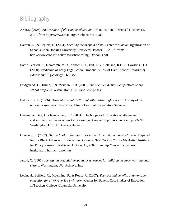# **Bibliography**

- Aron.L. (2006). *An overview of alternative education*. Urban.Institute. Retrieved October 15, 2007, from http://www.urban.org/url.cfm?ID=411283
- Balfanz, R., & Legters, N. (2004). *Locating the dropout crisis.* Center for Social Organization of Schools, John Hopkins University. Retrieved October 15, 2007, from: [http://www.csos.jhu.edu/tdhs/rsch/Locating\\_Dropouts.pdf](http://www.csos.jhu.edu/tdhs/rsch/Locating_Dropouts.pdf).
- Battin-Pearson, S., Newcomb, M.D., Abbott, R.T., Hill, F.G., Catalano, R.F., & Hawkins, D. J. (2000). Predictors of Early High School Dropout: A Test of Five Theories. *Journal of Educational Psychology*, 568-582.
- Bridgeland, J., DiJulio, J. & Morison, K.B. (2006). *The silent epidemic: Perspectives of high school dropouts*. Washington, DC: Civic Enterprises.
- Butchart, R. E. (1986). *Dropout prevention through alternative high schools: A study of the national experience.* New York: Elmira Board of Cooperative Services.
- Cheeseman Day, J. & Newberger, E.C. (2001). The big payoff: Educational attainment and synthetic estimates of work-life earnings, *Current Population Reports*, p. 23-210. Washington, DC: U.S. Census Bureau.
- Greene, J. P. (2002). *High school graduation rates in the United States: Revised*. Paper Prepared for the Black Alliance for Educational Options. New York, NY: The Manhattan Institute for Policy Research. Retrieved October 15, 2007 from http://www.manhattaninstitute.org/html/cr\_baeo.htm
- Jerald, C. (2006). *Identifying potential dropouts: Key lessons for building an early warning data system.* Washington, DC: Achieve, Inc.
- Levin, H., Belfield, C., Muenning, P., & Rouse, C. (2007). *The cost and benefits of an excellent education for all of America's children.* Center for Benefit-Cost Studies of Education at Teachers College, Columbia University.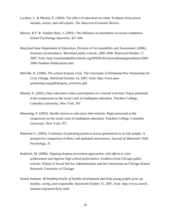- Lochner, L. & Moretti, E. (2004). The effect of education on crime: Evidence from prison inmates, arrests, and self-reports. *The American Economic Review*.
- Marcus, R.F. & Sanders-Reio, J. (2001). The influence of attachment on social completion. *School Psychology Quarterly*, 427-444.
- Maryland State Department of Education, Division of Accountability and Assessment. (2006). *Summary of attendance, Maryland public schools, 2005-2006.* Retrieved October 17, 2007, from: http://marylandpublicschools.org/MSDE/divisions/planningresultstest/2005- 2006+Student+Publications.htm
- Melville, K. (2006). *The school dropout crisis.* The University of Richmond Pew Partnership for Civic Change. Retrieved October 14, 2007, from: http://www.pewpartnership.org/pdf/dropout\_overview.pdf.
- Moretti, E. (2005). *Does education reduce participation in criminal activities?* Paper presented at the symposium on the social costs of inadequate education. Teachers College, Columbia University, New York, NY.
- Muenning, P. (2005). *Health returns to education interventions.* Paper presented at the symposium on the social costs of inadequate education. Teachers College, Columbia University, New York, NY.
- Patterson G. (2003). Continuity of parenting practices across generations in at-risk sample: A prospective comparison of direct and mediated associations. *Journal of Abnormal Child Psychology, 31*.
- Roderick, M. (2006). *Aligning dropout prevention approaches with efforts to raise achievement and improve high school performance: Evidence from Chicago public schools.* School of Social Service Administration and the Consortium on Chicago School Research, University of Chicago.
- Search Institute. *40 building blocks of healthy development that help young people grow up healthy, caring, and responsible.* Retrieved October 15, 2007, from http://www.searchinstitute.org/assets/forty.html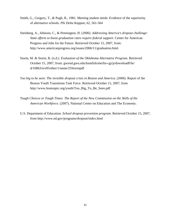- Smith, G., Gregory, T., & Pugh, R., 1981. Meeting student needs: Evidence of the superiority of alternative schools. *Phi Delta Kappan, 62*, 561-564
- Steinberg, A., Johnson, C., & Pennington, H. (2006). *Addressing America's dropout challenge: State efforts to boost graduation rates require federal support.* Center for American Progress and Jobs for the Future. Retrieved October 15, 2007, from: http://www.americanprogress.org/issues/2006/11/graduation.html
- Storm, M. & Storm, R. (n.d.). *Evaluation of the Oklahoma Alternative Program*. Retrieved October 15, 2007, from: gwired.gwu.edu/hamfish/merlin-cgi/p/downloadFile/ d/16863/n/off/other/1/name/25Stormpdf
- *Too big to be seen: The invisible dropout crisis in Boston and America.* (2006). Report of the Boston Youth Transitions Task Force. Retrieved October 15, 2007, from http://www.bostonpic.org/youth/Too\_Big\_To\_Be\_Seen.pdf
- *Tough Choices or Tough Times: The Report of the New Commission on the Skills of the American Workforce.* (2007). National Center on Education and The Economy.
- U.S. Department of Education. *School dropout prevention program.* Retrieved October 15, 2007, from http://www.ed.gov/programs/dropout/index.html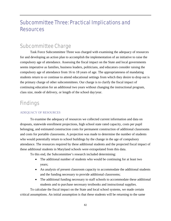# Subcommittee Three: Practical Implications and **Resources**

# Subcommittee Charge

Task Force Subcommittee Three was charged with examining the adequacy of resources for and developing an action plan to accomplish the implementation of an initiative to raise the compulsory age of attendance. Assessing the fiscal impact on the State and local governments seems imperative as families, business leaders, politicians, and educators consider raising the compulsory age of attendance from 16 to 18 years of age. The appropriateness of mandating students return to or continue to attend educational settings from which they desire to drop out is the primary charge of other subcommittees. Our charge is to clarify the fiscal impact of continuing education for an additional two years without changing the instructional program, class size, mode of delivery, or length of the school day/year.

# **Findings**

### ADEQUACY OF RESOURCES

To examine the adequacy of resources we collected current information and data on dropouts, statewide enrollment projections, high school state rated capacity, costs per pupil belonging, and estimated construction costs for permanent construction of additional classrooms and costs for portable classrooms. A projection was made to determine the number of students who would potentially return to school buildings by the change in the age of compulsory attendance. The resources required by these additional students and the projected fiscal impact of these additional students in Maryland schools were extrapolated from this data.

To this end, the Subcommittee's research included determining:

- The additional number of students who would be continuing for at least two years;
- An analysis of present classroom capacity to accommodate the additional students and the funding necessary to provide additional classrooms;
- The additional funding necessary to staff schools to accommodate these additional students and to purchase necessary textbooks and instructional supplies.

To calculate the fiscal impact on the State and local school systems, we made certain critical assumptions. An initial assumption is that these students will be returning to the same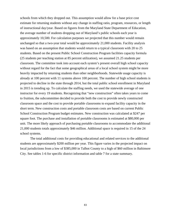schools from which they dropped out. This assumption would allow for a base price cost estimate for returning students without any change in staffing ratio, program, resources, or length of instructional day/year. Based on figures from the Maryland State Department of Education, the average number of students dropping out of Maryland's public schools each year is approximately 10,500. For calculation purposes we projected that this number would remain unchanged so that a two-year total would be approximately 21,000 students. Facility analysis was based on an assumption that students would return to a typical classroom with 20 to 25 students. Based on the present Public School Construction Program facilities capacity formula (25 students per teaching station at 85 percent utilization), we assumed 21.25 students per classroom. The committee took into account each system's present overall high school capacity without regard for the fact that some geographical areas of a local school system might be more heavily impacted by returning students than other neighborhoods. Statewide usage capacity is already at 100 percent with 11 systems above 100 percent. The number of high school students is projected to decline in the state through 2014, but the total public school enrollment in Maryland in 2015 is trending up. To calculate the staffing needs, we used the statewide average of one instructor for every 19 students. Recognizing that "new construction" often takes years to come to fruition, the subcommittee decided to provide both the cost to provide newly constructed classroom space and the cost to provide portable classrooms to expand facility capacity in the short term. New construction costs and portable classroom costs are based on current Public School Construction Program budget estimates. New construction was calculated at \$247 per square foot. The purchase and installation of portable classrooms is estimated at \$80,000 per unit. The more likely approach of purchasing portable classrooms to accommodate the additional 21,000 students totals approximately \$46 million. Additional space is required in 15 of the 24 school systems.

The total additional costs for providing educational and related services to the additional students are approximately \$200 million per year. This figure varies in the projected impact on local jurisdictions from a low of \$385,000 in Talbot County to a high of \$60 million in Baltimore City. See tables 1-6 for specific district information and table 7 for a state summary.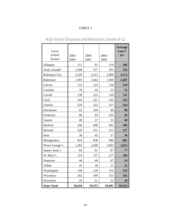| Local<br>School<br>System | 2003-<br>2004 | 2004-<br>2005 | 2005-<br>2006 | <b>Average</b><br>Last 3<br>yrs |
|---------------------------|---------------|---------------|---------------|---------------------------------|
| Allegany                  | 111           | 91            | 116           | 106                             |
| Anne Arundel              | 1,208         | 577           | 503           | 763                             |
| <b>Baltimore City</b>     | 3,229         | 3,212         | 2,898         | 3,113                           |
| <b>Baltimore</b>          | 1,591         | 1,662         | 1,569         | 1,607                           |
| Calvert                   | 131           | 123           | 134           | 129                             |
| Caroline                  | 70            | 42            | 53            | 55                              |
| Carroll                   | 130           | 123           | 139           | 131                             |
| Cecil                     | 243           | 221           | 235           | 233                             |
| Charles                   | 329           | 325           | 317           | 324                             |
| Dorchester                | 91            | 104           | 98            | 98                              |
| Frederick                 | 86            | 93            | 102           | 94                              |
| Garrett                   | 49            | 37            | 33            | 40                              |
| Harford                   | 336           | 409           | 442           | 396                             |
| Howard                    | 220           | 231           | 231           | 227                             |
| Kent                      | 36            | 45            | 27            | 36                              |
| Montgomery                | 814           | 838           | 990           | 881                             |
| Prince George's           | 1,305         | 1,668         | 1,863         | 1,612                           |
| Queen Anne's              | 64            | 81            | 87            | 77                              |
| St. Mary's                | 124           | 157           | 217           | 166                             |
| Somerset                  | 46            | 49            | 67            | 54                              |
| Talbot                    | 25            | 18            | 21            | 21                              |
| Washington                | 144           | 129           | 155           | 143                             |
| Wicomico                  | 202           | 189           | 153           | 181                             |
| Worcester                 | 26            | 51            | 31            | 36                              |
| <b>State Total</b>        | 10,610        | 10,475        | 10,481        | 10,522                          |

# High School Dropouts and Retentions, Grades 9-12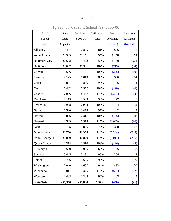| Local                 | State    | Enrollment | Utilization | <b>Seats</b> | Classrooms               |
|-----------------------|----------|------------|-------------|--------------|--------------------------|
| School                | Rated    | SY05-06    | Rate        | Available    | Available                |
| System                | Capacity |            |             | (Needed)     | (Needed)                 |
| Allegany              | 3,491    | 2,835      | 81%         | 656          | 31                       |
| Anne Arundel          | 24,309   | 23,151     | 95%         | 1,158        | 54                       |
| <b>Baltimore City</b> | 26,592   | 15,452     | 58%         | 11,140       | 524                      |
| <b>Baltimore</b>      | 30,662   | 31,381     | 102%        | (719)        | (34)                     |
| Calvert               | 5,556    | 5,761      | 104%        | (205)        | (10)                     |
| Caroline              | 2,125    | 1,819      | 86%         | 306          | 14                       |
| Carroll               | 9,891    | 9,806      | 99%         | 85           | $\overline{\mathcal{A}}$ |
| Cecil                 | 5,432    | 5,552      | 102%        | (120)        | (6)                      |
| Charles               | 7,086    | 8,437      | 119%        | (1, 351)     | (64)                     |
| Dorchester            | 2,115    | 1,988      | 94%         | 127          | 6                        |
| Frederick             | 10,978   | 10,934     | 100%        | 44           | 2                        |
| Garrett               | 1,520    | 1,478      | 97%         | 42           | $\overline{2}$           |
| Harford               | 11,886   | 12,311     | 104%        | (425)        | (20)                     |
| Howard                | 13,539   | 15,578     | 115%        | (2,039)      | (96)                     |
| Kent                  | 1,195    | 835        | 70%         | 360          | 17                       |
| Montgomery            | 38,750   | 43,954     | 113%        | (5,204)      | (245)                    |
| Prince George's       | 35,859   | 40,870     | 114%        | (5,011)      | (236)                    |
| Queen Anne's          | 2,314    | 2,510      | 108%        | (196)        | (9)                      |
| St. Mary's            | 1,560    | 1,065      | 68%         | 495          | 23                       |
| Somerset              | 5,445    | 5,191      | 95%         | 254          | 12                       |
| Talbot                | 1,786    | 1,605      | 90%         | 181          | 9                        |
| Washington            | 7,040    | 6,607      | 94%         | 433          | 20                       |
| Wicomico              | 3,811    | 4,375      | 115%        | (564)        | (27)                     |
| Worcester             | 2,408    | 2,305      | 96%         | 103          | 5                        |
| <b>State Total</b>    | 255,350  | 255,800    | 100%        | (450)        | (21)                     |

High School Capacity School Year 2005-06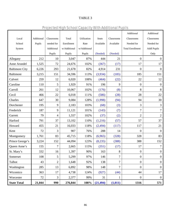| PTOIECLEO FIION SCNOOL CADACTLY WILN AUDILIONAL PUDIIS |            |            |              |              |              |            |                         |  |
|--------------------------------------------------------|------------|------------|--------------|--------------|--------------|------------|-------------------------|--|
|                                                        |            |            |              |              |              |            | Additional              |  |
| Local                                                  | Additional | Classrooms | Total        | Utilization  | <b>Seats</b> | Classrooms | Classrooms              |  |
| School                                                 | Pupils     | needed for | Enrollment   | Rate         | Available    | Available  | Needed for              |  |
| svstem                                                 |            | Additional | w/Additional | w/Additional |              |            | <b>Total Enrollment</b> |  |

Projected High School Capacity With Additional Pupils

Additional

| Local                 | Additional | Classrooms     | Total        | Utilization  | Seats     | Classrooms     | Classrooms              | Classrooms         |
|-----------------------|------------|----------------|--------------|--------------|-----------|----------------|-------------------------|--------------------|
| School                | Pupils     | needed for     | Enrollment   | Rate         | Available | Available      | Needed for              | Needed for         |
| System                |            | Additional     | w/Additional | w/Additional |           |                | <b>Total Enrollment</b> | <b>Addl Pupils</b> |
|                       |            | Pupils         | Pupils       | Pupils       | (Needed)  | (Needed)       |                         | Only               |
| Allegany              | 212        | 10             | 3,047        | 87%          | 444       | 21             | $\boldsymbol{0}$        | $\overline{0}$     |
| Anne Arundel          | 1,525      | 72             | 24,676       | 102%         | (367)     | (17)           | 17                      | 17                 |
| <b>Baltimore City</b> | 6,226      | 293            | 21,678       | 82%          | 4,914     | 231            | $\boldsymbol{0}$        | $\boldsymbol{0}$   |
| <b>Baltimore</b>      | 3,215      | 151            | 34,596       | 113%         | (3,934)   | (185)          | 185                     | 151                |
| Calvert               | 259        | 12             | 6,020        | 108%         | (464)     | (22)           | 22                      | 12                 |
| Caroline              | 110        | 5              | 1,929        | 91%          | 196       | 9              | $\overline{0}$          | $\boldsymbol{0}$   |
| Carroll               | 261        | 12             | 10,067       | 102%         | (176)     | (8)            | $8\,$                   | $8\,$              |
| Cecil                 | 466        | 22             | 6,018        | 111%         | (586)     | (28)           | 28                      | $22\,$             |
| Charles               | 647        | 30             | 9,084        | 128%         | (1,998)   | (94)           | 94                      | $30\,$             |
| Dorchester            | 195        | $\overline{9}$ | 2,183        | 103%         | (68)      | (3)            | $\overline{3}$          | $\mathfrak{Z}$     |
| Frederick             | 187        | 9              | 11,121       | 101%         | (143)     | (7)            | $\overline{7}$          | $\tau$             |
| Garrett               | 79         | 4              | 1,557        | 102%         | (37)      | (2)            | $\overline{c}$          | $\sqrt{2}$         |
| Harford               | 791        | 37             | 13,102       | 110%         | (1,216)   | (57)           | 57                      | 37                 |
| Howard                | 455        | 21             | 16,033       | 118%         | (2, 494)  | (117)          | 117                     | 21                 |
| Kent                  | 72         | 3              | 907          | 76%          | 288       | 14             | $\boldsymbol{0}$        | $\boldsymbol{0}$   |
| Montgomery            | 1,761      | 83             | 45,715       | 118%         | (6,965)   | (328)          | 328                     | 83                 |
| Prince George's       | 3,224      | 152            | 44,094       | 123%         | (8,235)   | (388)          | 388                     | 152                |
| Queen Anne's          | 155        | 7              | 2,665        | 115%         | (351)     | (17)           | 17                      | $\tau$             |
| St. Mary's            | 332        | 16             | 1,397        | 90%          | 163       | 8              | $\boldsymbol{0}$        | $\boldsymbol{0}$   |
| Somerset              | 108        | 5              | 5,299        | 97%          | 146       | $\overline{7}$ | $\overline{0}$          | $\boldsymbol{0}$   |
| Talbot                | 43         | $\overline{c}$ | 1,648        | 92%          | 138       | $\tau$         | $\boldsymbol{0}$        | $\mathbf{0}$       |
| Washington            | 285        | 13             | 6,892        | 98%          | 148       | $\overline{7}$ | $\overline{0}$          | $\overline{0}$     |
| Wicomico              | 363        | 17             | 4,738        | 124%         | (927)     | (44)           | 44                      | 17                 |
| Worcester             | 72         | $\overline{3}$ | 2,377        | 99%          | 31        | $\mathbf{1}$   | $\overline{0}$          | $\mathbf{0}$       |
| <b>State Total</b>    | 21,044     | 990            | 276,844      | 108%         | (21, 494) | (1,011)        | 1316                    | 571                |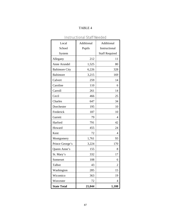| Local                 | Additional | Additional            |
|-----------------------|------------|-----------------------|
| School                | Pupils     | Instructional         |
| System                |            | <b>Staff Required</b> |
| Allegany              | 212        | 11                    |
| Anne Arundel          | 1,525      | 80                    |
| <b>Baltimore City</b> | 6,226      | 328                   |
| <b>Baltimore</b>      | 3,215      | 169                   |
| Calvert               | 259        | 14                    |
| Caroline              | 110        | 6                     |
| Carroll               | 261        | 14                    |
| Cecil                 | 466        | 25                    |
| Charles               | 647        | 34                    |
| Dorchester            | 195        | 10                    |
| Frederick             | 187        | 10                    |
| Garrett               | 79         | $\overline{4}$        |
| Harford               | 791        | 42                    |
| Howard                | 455        | 24                    |
| Kent                  | 72         | 4                     |
| Montgomery            | 1,761      | 93                    |
| Prince George's       | 3,224      | 170                   |
| Queen Anne's          | 155        | 8                     |
| St. Mary's            | 332        | 17                    |
| Somerset              | 108        | 6                     |
| Talbot                | 43         | $\mathfrak{D}$        |
| Washington            | 285        | 15                    |
| Wicomico              | 363        | 19                    |
| Worcester             | 72         | 4                     |
| <b>State Total</b>    | 21,044     | 1,108                 |

Instructional Staff Needed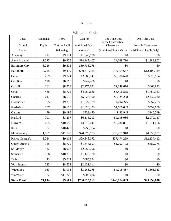## Estimated Costs

| Local                 | Additional | <b>FY05</b>    | Cost for                 | One Time Cost                    | One Time Cost              |
|-----------------------|------------|----------------|--------------------------|----------------------------------|----------------------------|
| School                | Pupils     | Cost per Pupil | <b>Additional Pupils</b> | Perm. Construction<br>Classrooms | <b>Portable Classrooms</b> |
| System                |            | Belonging      | (Annual)                 | (Additional Pupils Only)         | (Additional Pupils Only)   |
| Allegany              | 212        | \$9,194        | \$1,949,128              | \$0                              | \$0                        |
| Anne Arundel          | 1,525      | \$9,275        | \$14,147,467             | \$4,269,710                      | \$1,382,902                |
| <b>Baltimore City</b> | 6,226      | \$9,603        | \$59,788,278             | \$0                              | \$0                        |
| <b>Baltimore</b>      | 3,215      | \$9,439        | \$30,346,385             | \$37,369,647                     | \$12,103,529               |
| Calvert               | 259        | \$9,224        | \$2,385,941              | \$3,006,620                      | \$973,804                  |
| Caroline              | 110        | \$8,568        | \$942,480                | \$0                              | \$0                        |
| Carroll               | 261        | \$8,708        | \$2,275,691              | \$2,049,616                      | \$663,843                  |
| Cecil                 | 466        | \$8,701        | \$4,054,666              | \$5,416,565                      | \$1,754,353                |
| Charles               | 647        | \$8,535        | \$5,524,990              | \$7,524,298                      | \$2,437,020                |
| Dorchester            | 195        | \$9,358        | \$1,827,929              | \$794,275                        | \$257,255                  |
| Frederick             | 187        | \$8,650        | \$1,620,433              | \$1,666,039                      | \$539,608                  |
| Garrett               | 79         | \$9,195        | \$729,470                | \$433,945                        | \$140,549                  |
| Harford               | 791        | \$8,237        | \$6,518,213              | \$9,198,086                      | \$2,979,137                |
| Howard                | 455        | \$10,585       | \$4,812,647              | \$5,284,831                      | \$1,711,686                |
| Kent                  | 72         | \$10,422       | \$750,384                | \$0                              | \$0                        |
| Montgomery            | 1,761      | \$11,740       | \$20,678,053             | \$20,472,910                     | \$6,630,902                |
| Prince George's       | 3,224      | \$9,103        | \$29,348,072             | \$37,474,259                     | \$12,137,412               |
| Queen Anne's          | 155        | \$8,720        | \$1,348,693              | \$1,797,773                      | \$582,275                  |
| St. Mary's            | 332        | \$8,903        | \$2,955,796              | \$0                              | \$0                        |
| Somerset              | 108        | \$10,390       | \$1,122,120              | \$0                              | \$0                        |
| Talbot                | 43         | \$9,024        | \$385,024                | \$0                              | \$0                        |
| Washington            | 285        | \$8,522        | \$2,431,611              | \$0                              | \$0                        |
| Wicomico              | 363        | \$8,998        | \$3,263,275              | \$4,215,467                      | \$1,365,333                |
| Worcester             | $72\,$     | \$11,228       | \$808,416                | \$0                              | \$0                        |
| <b>State Total</b>    | 21,044     | \$9,661        | \$200,015,162            | \$140,974,039                    | \$45,659,608               |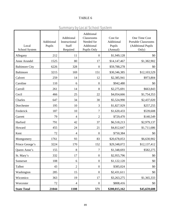## Summary by Local School System

| Local<br>School System | Additional<br>Pupils | Additional<br>Instructional<br>Staff<br>Required | Additional<br>Classrooms<br>Needed for<br>Additional<br>Pupils Only | Cost for<br>Additional<br>Pupils<br>(Annual) | One Time Cost<br><b>Portable Classrooms</b><br>(Additional Pupils<br>Only) |
|------------------------|----------------------|--------------------------------------------------|---------------------------------------------------------------------|----------------------------------------------|----------------------------------------------------------------------------|
| Allegany               | 212                  | 11                                               | $\boldsymbol{0}$                                                    | \$1,949,128                                  | \$0                                                                        |
| Anne Arundel           | 1525                 | 80                                               | 17                                                                  | \$14,147,467                                 | \$1,382,902                                                                |
| <b>Baltimore City</b>  | 6226                 | 328                                              | $\boldsymbol{0}$                                                    | \$59,788,278                                 | \$0                                                                        |
| <b>Baltimore</b>       | 3215                 | 169                                              | 151                                                                 | \$30,346,385                                 | \$12,103,529                                                               |
| Calvert                | 259                  | 14                                               | 12                                                                  | \$2,385,941                                  | \$973,804                                                                  |
| Caroline               | 110                  | 6                                                | $\boldsymbol{0}$                                                    | \$942,480                                    | \$0                                                                        |
| Carroll                | 261                  | 14                                               | 8                                                                   | \$2,275,691                                  | \$663,843                                                                  |
| Cecil                  | 466                  | 25                                               | 22                                                                  | \$4,054,666                                  | \$1,754,353                                                                |
| Charles                | 647                  | 34                                               | 30                                                                  | \$5,524,990                                  | \$2,437,020                                                                |
| Dorchester             | 195                  | 10                                               | 3                                                                   | \$1,827,929                                  | \$257,255                                                                  |
| Frederick              | 187                  | 10                                               | $\overline{7}$                                                      | \$1,620,433                                  | \$539,608                                                                  |
| Garrett                | 79                   | 4                                                | $\overline{c}$                                                      | \$729,470                                    | \$140,549                                                                  |
| Harford                | 791                  | 42                                               | 37                                                                  | \$6,518,213                                  | \$2,979,137                                                                |
| Howard                 | 455                  | 24                                               | 21                                                                  | \$4,812,647                                  | \$1,711,686                                                                |
| Kent                   | 72                   | $\overline{4}$                                   | $\boldsymbol{0}$                                                    | \$750,384                                    | \$0                                                                        |
| Montgomery             | 1761                 | 93                                               | 83                                                                  | \$20,678,053                                 | \$6,630,902                                                                |
| Prince George's        | 3224                 | 170                                              | 152                                                                 | \$29,348,072                                 | \$12,137,412                                                               |
| Queen Anne's           | 155                  | 8                                                | 7                                                                   | \$1,348,693                                  | \$582,275                                                                  |
| St. Mary's             | 332                  | 17                                               | $\boldsymbol{0}$                                                    | \$2,955,796                                  | \$0                                                                        |
| Somerset               | 108                  | 6                                                | $\boldsymbol{0}$                                                    | \$1,122,120                                  | \$0                                                                        |
| Talbot                 | 43                   | $\overline{c}$                                   | $\boldsymbol{0}$                                                    | \$385,024                                    | \$0                                                                        |
| Washington             | 285                  | 15                                               | $\boldsymbol{0}$                                                    | \$2,431,611                                  | \$0                                                                        |
| Wicomico               | 363                  | 19                                               | 17                                                                  | \$3,263,275                                  | \$1,365,333                                                                |
| Worcester              | 72                   | 4                                                | $\boldsymbol{0}$                                                    | \$808,416                                    | \$0                                                                        |
| <b>State Total</b>     | 21044                | 1108                                             | 571                                                                 | \$200,015,162                                | \$45,659,608                                                               |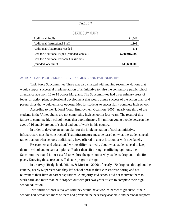### STATE SUMMARY

| <b>Additional Pupils</b>                       | 21,044        |
|------------------------------------------------|---------------|
| <b>Additional Instructional Staff</b>          | 1,108         |
| <b>Additional Classrooms Needed</b>            | 571           |
| Cost for Additional Pupils (rounded, annual)   | \$200,015,000 |
| <b>Cost for Additional Portable Classrooms</b> |               |
| (rounded, one time)                            | \$45,660,000  |

#### ACTION PLAN, PROFESSIONAL DEVELOPMENT, AND PARTNERSHIPS

Task Force Subcommittee Three was also charged with making recommendations that would support successful implementation of an initiative to raise the compulsory public school attendance age from 16 to 18 across Maryland. The Subcommittee had three primary areas of focus: an action plan, professional development that would assure success of the action plan, and partnerships that would enhance opportunities for students to successfully complete high school.

According to the National Youth Employment Coalition (2005), nearly one third of the students in the United States are not completing high school in four years. The result of this failure to complete high school means that approximately 5.4 million young people between the ages of 16 and 24 are out of school and out of work in this country.

In order to develop an action plan for the implementation of such an initiative, infrastructure must be constructed. That infrastructure must be based on what the students need, rather than on what schools traditionally have offered in a new location or with new labels.

Researchers and educational writers differ markedly about what students need to keep them in school and to earn a diploma. Rather than sift through conflicting opinions, the Subcommittee found it most useful to explore the question of why students drop out in the first place. Knowing those reasons will dictate program design.

In a survey (Bridgeland, Dijulio, & Morison, 2006) of nearly 470 dropouts throughout the country, nearly 50 percent said they left school because their classes were boring and not relevant to their lives or career aspirations. A majority said schools did not motivate them to work hard, and more than half dropped out with just two years or less to complete their high school education.

Two-thirds of those surveyed said they would have worked harder to graduate if their schools had demanded more of them and provided the necessary academic and personal supports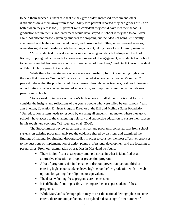to help them succeed. Others said that as they grew older, increased freedom and other distractions drew them away from school. Sixty-two percent reported they had grades of C's or better when they left school; 70 percent were confident they could have met their school's graduation requirements; and 74 percent would have stayed in school if they had to do it over again. Significant reasons given by students for dropping out included not being sufficiently challenged, and feeling unmotivated, bored, and unsupported. Other, more personal reasons, were also significant: needing a job, becoming a parent, taking care of a sick family member.

"Most students don't wake up on a single morning and decide to drop out of school. Rather, dropping out is the end of a long-term process of disengagement, as students find school to be disconnected from—even at odds with—the rest of their lives," said Geoff Garin, President of Peter D. Hart Research Associates.

While these former students accept some responsibility for not completing high school, they say that there are "supports" that can be provided at school and at home. More than 70 percent believe that the problem could be addressed through better teachers, real world learning opportunities, smaller classes, increased supervision, and improved communication between parents and schools.

"As we work to improve our nation's high schools for all students, it is vital for us to consider the insights and reflections of the young people who were failed by our schools," said Jim Shelton, Education Divison Program Director at the Bill and Melinda Gates Foundation. "Our education system needs to respond by ensuring all students—no matter where they go to school—have access to the challenging, relevant and supportive education to ensure their success in this tough new economy." (Bridgeland et al., 2006).

The Subcommittee reviewed current practices and programs, collected data from school systems on existing programs, analyzed the evidence shared by districts, and examined the findings of national longitudinal dropout studies in order to consider the most effective responses to the questions of implementation of action plans, professional development and the fostering of partnerships. From our examination of practices in Maryland we found:

- There is significant discrepancy among districts in what is identified as an alternative education or dropout-prevention program.
- A lot of programs exist in the name of dropout prevention, yet one-third of entering high school students leave high school before graduation with no viable options for gaining their diploma or equivalent.
- The data evaluating these programs are inconsistent.
- It is difficult, if not impossible, to compare the costs per student of these programs.
- While Maryland's demographics may mirror the national demographics to some extent, there are unique factors in Maryland's data; a significant number of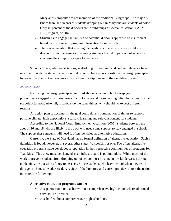Maryland's dropouts are not members of the traditional subgroups. The majority (more than 60 percent) of students dropping out in Maryland are students of color. Only 40 percent of the dropouts are in subgroups of special education, FARMS, LEP, migrant, or 504.

- Structures to engage the families of potential dropouts appear to be insufficient based on the review of program information from districts.
- There is recognition that meeting the needs of students who are most likely to drop out is not the same as preventing students from dropping out of school by changing the compulsory age of attendance.

School climate, adult expectations, scaffolding for learning, and content relevance have much to do with the student's decision to drop out. These points constitute the design principles for an action plan to keep students moving toward a diploma until their eighteenth year.

### ACTION PLAN

Following the design principles itemized above, an action plan to keep youth productively engaged in working toward a diploma would be something other than more of what schools offer now. After all, if schools do the same things, why should we expect different results?

An action plan to accomplish the goal could do any combination of things to support positive climate, high expectations, scaffold learning, and relevant content for students.

According to the National Youth Employment Coalition (2005), students between the ages of 16 and 18 who are likely to drop out will need some support to stay engaged in school. The support these students will need is often identified as alternative education.

Currently, the State of Maryland has no formal definition of alternative education. Such a definition is found, however, in several other states, Wisconsin for one. Too often, alternative education programs have developed a reputation in their respective communities as programs for "bad kids." This view must be changed as an infrastructure is put into place. While much of the work to prevent students from dropping out of school must be done in pre-kindergarten through grade nine, the question of how to best serve those students who leave school when they reach the age of 16 must be addressed. A review of the literature and current practices across the nation indicates the following:

#### **Alternative education programs can be:**

- A separate room or teacher within a comprehensive high school where additional services are provided;
- A school within a comprehensive high school; or,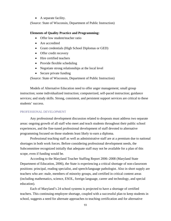• A separate facility.

(Source: State of Wisconsin, Department of Public Instruction)

### **Elements of Quality Practice and Programming:**

- Offer low student/teacher ratio
- Are accredited
- Grant credentials (High School Diplomas or GED)
- Offer credit recovery
- Hire certified teachers
- Provide flexible scheduling
- Negotiate strong relationships at the local level
- Secure private funding

(Source: State of Wisconsin, Department of Public Instruction)

Models of Alternative Education need to offer anger management; small group instruction; some individualized instruction; computerized, self-paced instruction; guidance services; and study skills. Strong, consistent, and persistent support services are critical to these students' success.

### PROFESSIONAL DEVELOPMENT

Any professional development discussion related to dropouts must address two separate areas: ongoing growth of all staff who meet and teach students throughout their public school experiences, and the fine-tuned professional development of staff devoted to alternative programming focused on those students least likely to earn a diploma.

Professional teaching staff as well as administrative staff are at a premium due to national shortages in both work forces. Before considering professional development needs, the Subcommittee recognized initially that adequate staff may not be available for a plan of this scope, even if funding would be.

According to the Maryland Teacher Staffing Report 2006–2008 (Maryland State Department of Education, 2006), the State is experiencing a critical shortage of non-classroom positions: principal, reading specialist, and speech/language pathologist. Also in short supply are teachers who are: male, members of minority groups, and certified in critical content areas (including mathematics, science, ESOL, foreign language, career and technology, and special education).

Each of Maryland's 24 school systems is projected to have a shortage of certified teachers. This continuing employee shortage, coupled with a successful plan to keep students in school, suggests a need for alternate approaches to teaching certification and for alternative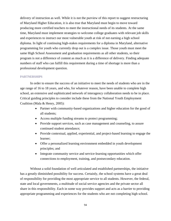delivery of instruction as well. While it is not the purview of this report to suggest restructuring of Maryland Higher Education, it is also true that Maryland must begin to move toward producing more certified teachers to meet the instructional needs of its students. At the same time, Maryland must implement strategies to welcome college graduates with relevant job skills and experiences to instruct our most vulnerable youth at risk of not earning a high school diploma. In light of continuing high-stakes requirements for a diploma in Maryland, alternative programming for youth who currently drop out is a complex issue. Those youth must meet the same High School Assessment and graduation requirements as all other students, so their program is not a difference of content as much as it is a difference of delivery. Finding adequate numbers of staff who can fulfill this requirement during a time of shortage is more than a professional development question.

### PARTNERSHIPS

In order to ensure the success of an initiative to meet the needs of students who are in the age range of 16 to 18 years, and who, for whatever reason, have been unable to complete high school, an extensive and sophisticated network of interagency collaboration needs to be in place. Critical guiding principles to consider include these from the National Youth Employment Coalition (Mala & Henry, 2005):

- Partner with community-based organizations and higher education for the good of all students;
- Access multiple funding streams to protect programming;
- Provide support services, such as case management and counseling, to assure continued student attendance;
- Provide contextual, applied, experiential, and project-based learning to engage the learner;
- Offer a personalized learning environment embedded in youth development principles; and
- Integrate community service and service-learning opportunities which offer connections to employment, training, and postsecondary education.

Without a solid foundation of well articulated and established partnerships, the initiative has a greatly diminished possibility for success. Certainly, the school systems have a great deal of responsibility for providing the most appropriate service to all students. However, the federal, state and local governments, a multitude of social service agencies and the private sector all share in this responsibility. Each in some way provides support and acts as a barrier to providing appropriate programming and experiences for the students who are not completing high school.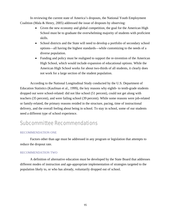In reviewing the current state of America's dropouts, the National Youth Employment Coalition (Mala & Henry, 2005) addressed the issue of dropouts by observing:

- Given the new economy and global competition, the goal for the American High School must be to graduate the overwhelming majority of students with proficient skills.
- School districts and the State will need to develop a portfolio of secondary school options—all having the highest standards—while customizing to the needs of a diverse population.
- Funding and policy must be realigned to support the re-invention of the American High School, which would include expansion of educational options. While the American High School works for about two-thirds of all students, it clearly does not work for a large section of the student population.

According to the National Longitudinal Study conducted by the U.S. Department of Education Statistics (Kaufman et al., 1999), the key reasons why eighth- to tenth-grade students dropped out were school-related: did not like school (51 percent), could not get along with teachers (35 percent), and were failing school (39 percent). While some reasons were job-related or family-related, the primary reasons resided in the structure, pacing, time of instructional delivery, and the overall feeling about being in school. To stay in school, some of our students need a different type of school experience.

# Subcommittee Recommendations

### RECOMMENDATION ONE

Factors other than age must be addressed in any program or legislation that attempts to reduce the dropout rate.

### RECOMMENDATION TWO

A definition of alternative education must be developed by the State Board that addresses different modes of instruction and age-appropriate implementation of strategies targeted to the population likely to, or who has already, voluntarily dropped out of school.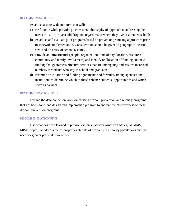#### RECOMMENDATION THREE

Establish a state-wide initiative that will:

- a) Be flexible while providing a consistent philosophy of approach in addressing the needs of 16- to 18-year-old dropouts regardless of where they live or attended school;
- b) Establish and evaluate pilot programs based on proven or promising approaches prior to statewide implementation. Consideration should be given to geographic location, size, and diversity of school systems.
- c) Provide an infrastructure (people, organization, time of day, location, resources, community and family involvement) and identify reallocation of funding and new funding that guarantees effective services that are interagency and assures increased numbers of students who stay in school and graduate;
- d) Examine articulation and funding agreements and formulas among agencies and institutions to determine which of these enhance students' opportunities and which serve as barriers.

### RECOMMENDATION FOUR

Expand the data collection work on existing dropout prevention and re-entry programs that has been done, and design and implement a program to analyze the effectiveness of these dropout prevention programs.

### RECOMMENDATION FIVE

Use what has been learned in previous studies (African American Males, AEMMS, MPAC report) to address the disproportionate rate of dropouts in minority populations and the need for greater parental involvement.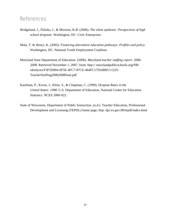## References

- Bridgeland, J., DiJulio, J., & Morison, K.B. (2006). *The silent epidemic: Perspectives of high school dropouts*. Washington, DC: Civic Enterprises.
- Mala, T. & Henry, K. (2005). *Financing alternative education pathways: Profiles and policy*. Washington, DC: National Youth Employment Coalition.
- Maryland State Department of Education. (2006). *Maryland teacher staffing report: 2006- 2008*. Retrieved November 1, 2007, from: http:// marylandpublicschools.org/NR/ rdonlyres/F3F5D904-0F5E-4FC7-87CE-464FC17DABB5/11225/ TeacherStaffing20062008final.pdf
- Kaufman, P., Kwon, J., Klein, S., & Chapman, C. (1999). *Dropout Rates in the United States: 1998*. U.S. Department of Education, National Center for Education Statistics. NCES 2000-022.
- State of Wisconsin, Department of Public Instruction. (n.d.). Teacher Education, Professional Development and Licensing (TEPDL) home page, http: dpi.wi.gov:80/tepdl/index.html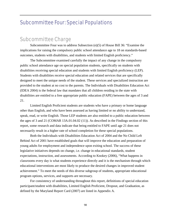# Subcommittee Four: Special Populations

# Subcommittee Charge

Subcommittee Four was to address Subsection (e)(5) of House Bill 36: "Examine the implications for raising the compulsory public school attendance age to 18 on standards-based outcomes, students with disabilities, and students with limited English proficiency."

The Subcommittee examined carefully the impact of any change in the compulsory public school attendance age on special population students, specifically on students with disabilities receiving special education and students with limited English proficiency (LEP). Students with disabilities receive special education and related services that are specifically designed to meet the unique needs of the student. These services and specialized instruction are provided to the student at no cost to the parents. The Individuals with Disabilities Education Act (IDEA 2004) is the federal law that mandates that all children residing in the state with disabilities are entitled to a free appropriate public education (FAPE) between the ages of 3 and 21.

Limited English Proficient students are students who have a primary or home language other than English, and who have been assessed as having limited or no ability to understand, speak, read, or write English. Those LEP students are also entitled to a public education between the ages of 3 and 21 (COMAR 13A.01.04.02 (11)). As described in the Findings section of this report, some research and data indicate that being entitled to FAPE until age 21 does not necessarily result in a higher rate of school completion for these special populations.

Both the Individuals with Disabilities Education Act of 2004 and the No Child Left Behind Act of 2001 have established goals that will improve the education and preparation of young adults for employment and independence upon exiting school. The success of these legislative initiatives depends on change, i.e. change in educational standards, student expectations, instruction, and assessments. According to Knokey (2006), "What happens in classrooms every day is what students experience directly and it is the mechanism through which educational interventions are most likely to produce the desired changes in improved student achievement." To meet the needs of this diverse subgroup of students, appropriate educational program options, services, and supports are necessary.

For consistency of understanding throughout this report, definitions of special education participant/student with disabilities, Limited English Proficient, Dropout, and Graduation, as defined by the Maryland Report Card (2007) are listed in Appendix A.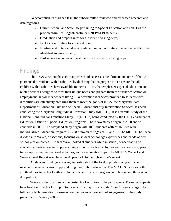To accomplish its assigned task, the subcommittee reviewed and discussed research and data regarding:

- Current federal and State law pertaining to Special Education and non-English proficient/limited English proficient (NEP/LEP) students;
- Graduation and dropout rates for the identified subgroups;
- Factors contributing to student dropout;
- Existing and potential alternate educational opportunities to meet the needs of the identified subgroups; and,
- Post school outcomes of the students in the identified subgroups.

# Findings

The IDEA 2004 emphasizes that post school success is the ultimate outcome of the FAPE guaranteed to students with disabilities by declaring that its purpose is "To ensure that all children with disabilities have available to them a FAPE that emphasizes special education and related services designed to meet their unique needs and prepare them for further education or, employment, and/or independent living." To determine if services provided to students with disabilities are effectively preparing them to meet the goals of IDEA, the Maryland State Department of Education, Division of Special Education/Early Intervention Services has been conducting the Maryland Longitudinal Transition Study (MD LTS). It is a parallel study of the National Longitudinal Transition Study – 2 (NLTS2) being conducted by the U.S. Department of Education, Office of Special Education Programs. These two studies began in 2000 and will conclude in 2009. The Maryland study began with 1000 students with disabilities with Individualized Education Programs (IEPs) between the ages of 13 and 18. The MD LTS has been divided into Waves, or sections, focusing on student school age experiences and bands of post school year outcomes. The first Wave looked at students while in school, concentrating on educational instruction and support along with out-of-school activities such as home life, parttime employment, recreational activities, and social relationships. The MD LTS Wave 1 and Wave 2 Final Report is included as Appendix B to the Subcomitte's report.

All data and findings are weighted estimates of the total population of youth who received special education support during their public education. The MD LTS includes both youth who exited school with a diploma or a certificate of program completion, and those who dropped out.

Wave 2 is the first look at the post-school activities of the participants. Those participants have been out of school for up to two years. The majority are male, 18 or 19 years of age. The following table provides information on the modes of post school engagement of the study participants (Cameto, 2006).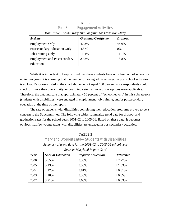| from wave 2 of the maryland Longulation Franshion Stuay |                      |                |  |
|---------------------------------------------------------|----------------------|----------------|--|
| Activity                                                | Graduate/Certificate | <b>Dropout</b> |  |
| <b>Employment Only</b>                                  | 42.8%                | 46.6%          |  |
| Postsecondary Education Only                            | 4.8%                 | 0%             |  |
| <b>Job Training Only</b>                                | 11.4%                | 11.1%          |  |
| <b>Employment and Postsecondary</b>                     | 29.8%                | 18.8%          |  |
| Education                                               |                      |                |  |

TABLE 1 Post School Engagement Activities *from Wave 2 of the Maryland Longitudinal Transition Study* 

While it is important to keep in mind that these students have only been out of school for up to two years, it is alarming that the number of young adults engaged in post school activities is so low. Responses listed in the chart above do not equal 100 percent since respondents could check off more than one activity, or could indicate that none of the options were applicable. Therefore, the data indicate that approximately 50 percent of "school leavers" in this subcategory (students with disabilities) were engaged in employment, job training, and/or postsecondary education at the time of the report.

The rate of students with disabilities completing their education programs proved to be a concern to the Subcommittee. The following tables summarize trend data for dropout and graduation rates for the school years 2001-02 to 2005-06. Based on these data, it becomes obvious that few young adults with disabilities are engaged in postsecondary activities.

TABLE 2 Maryland Dropout Data—Students with Disabilities *Summary of trend data for the 2001-02 to 2005-06 school year* 

| bource. mar junia neport cara |                          |                          |                   |
|-------------------------------|--------------------------|--------------------------|-------------------|
| Year                          | <b>Special Education</b> | <b>Regular Education</b> | <i>Difference</i> |
| 2006                          | 5.65%                    | 3.38%                    | $+2.27%$          |
| 2005                          | 5.13%                    | 3.50%                    | $+1.63%$          |
| 2004                          | 4.12%                    | 3.81%                    | $+0.31%$          |
| 2003                          | 4.10%                    | 3.30%                    | $+0.8%$           |
| 2002                          | 3.71%                    | 3.68%                    | $+0.03%$          |

*Source: Maryland Report Card*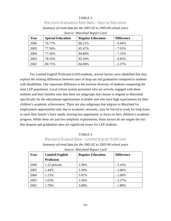# TABLE 3 Maryland Graduation Rate Data—Special Education *Summary of trend data for the 2001-02 to 2005-06 school years Source: Maryland Report Card*

| Year | <b>Special Education</b> | <b>Regular Education</b> | <b>Difference</b> |
|------|--------------------------|--------------------------|-------------------|
| 2006 | 76.77%                   | 86.21%                   | $-9.44\%$         |
| 2005 | 77.56%                   | 85.47%                   | $-7.91\%$         |
| 2004 | 77.56%                   | 84.89%                   | $-7.33\%$         |
| 2003 | 78.35%                   | 85.20%                   | $-6.85%$          |
| 2002 | 80.71%                   | 84.08%                   | $-3.37%$          |

For Limited English Proficient (LEP) students, several factors were identified that may explain the striking differences between rates of drop out and graduation compared to students with disabilities. One important difference is the extreme diversity of students comprising the total LEP population. Local school system personnel who are actively engaged with these students and their families note that there are subgroups that choose to migrate to Maryland specifically for the educational opportunities available and who have high expectations for their children's academic achievement. There are also subgroups that migrate to Maryland for employment opportunities and, due to economic necessity, may be forced to work for long hours to meet their family's basic needs, leaving less opportunity to focus on their children's academic progress. While these are just two simplistic explanations, those factors do not negate the fact that dropout and graduation rates are significant issues for LEP students.

# TABLE 4 Maryland Dropout Data—Limited English Proficient *Summary of trend data for the 2001-02 to 2005-06 school years*

| Year | <b>Limited English</b> | <b>Regular Education</b> | <b>Difference</b> |
|------|------------------------|--------------------------|-------------------|
|      | <b>Proficient</b>      |                          |                   |
| 2006 | 1.22 percent           | 3.38%                    | $-2.16%$          |
| 2005 | 1.44%                  | 3.50%                    | $-2.06%$          |
| 2004 | 1.13%                  | 3.81%                    | $-2.68%$          |
| 2003 | 1.03%                  | 3.30%                    | $-2.27%$          |
| 2002 | 1.79%                  | 3.68%                    | $-1.89%$          |

*Source: Maryland Report Card*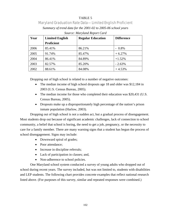# TABLE 5 Maryland Graduation Rate Data—Limited English Proficient *Summary of trend data for the 2001-02 to 2005-06 school years Source: Maryland Report Card*

| Year | <b>Limited English</b> | <b>Regular Education</b> | <b>Difference</b> |
|------|------------------------|--------------------------|-------------------|
|      | <b>Proficient</b>      |                          |                   |
| 2006 | 85.41%                 | 86.21%                   | $-0.8\%$          |
| 2005 | 91.74%                 | 85.47%                   | $+6.27%$          |
| 2004 | 86.41%                 | 84.89%                   | $+1.52%$          |
| 2003 | 82.57%                 | 85.20%                   | $-2.63%$          |
| 2002 | 88.61%                 | 84.08%                   | $+4.53%$          |

Dropping out of high school is related to a number of negative outcomes:

- The median income of high school dropouts age 18 and older was \$12,184 in 2003 (U.S. Census Bureau, 2005).
- The median income for those who completed their education was \$20,431 (U.S. Census Bureau, 2005).
- Dropouts make up a disproportionately high percentage of the nation's prison inmate population (Harlow, 2003).

Dropping out of high school is not a sudden act, but a gradual process of disengagement. Most students drop out because of significant academic challenges, lack of connection to school community, a belief that school is boring, the need to get a job, pregnancy, or the necessity to care for a family member. There are many warning signs that a student has begun the process of school disengagement. Signs may include:

- Downward spiral of grades;
- Poor attendance:
- Increase in discipline referrals;
- Lack of participation in classes; and,
- Non-adherence to school policies.

One Maryland school system conducted a survey of young adults who dropped out of school during recent years. The survey included, but was not limited to, students with disabilities and LEP students. The following chart provides concrete examples that reflect national research listed above. (For purposes of this survey, similar and repeated responses were combined.)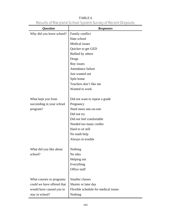| <i><b>Question</b></i>     | <b>Responses</b>                     |
|----------------------------|--------------------------------------|
| Why did you leave school?  | Family conflict                      |
|                            | Hate school                          |
|                            | Medical issues                       |
|                            | Quicker to get GED                   |
|                            | Bullied by others                    |
|                            | Drugs                                |
|                            | Boy issues                           |
|                            | Attendance failure                   |
|                            | Just wanted out                      |
|                            | Split home                           |
|                            | Teachers don't like me               |
|                            | Wanted to work                       |
|                            |                                      |
| What kept you from         | Did not want to repeat a grade       |
| succeeding in your school  | Pregnancy                            |
| program?                   | Need more one-on-one                 |
|                            | Did not try                          |
|                            | Did not feel comfortable             |
|                            | Needed too many credits              |
|                            | Hard to sit still                    |
|                            | No math help                         |
|                            | Always in trouble                    |
|                            |                                      |
| What did you like about    | Nothing                              |
| school?                    | No idea                              |
|                            | Helping out                          |
|                            | Everything                           |
|                            | Office staff                         |
| What courses or programs   | Smaller classes                      |
| could we have offered that | Shorter or later day                 |
| would have caused you to   | Flexible schedule for medical issues |
|                            |                                      |
| stay in school?            | Nothing                              |

TABLE 6 Results of Maryland School System Survey of Recent Dropouts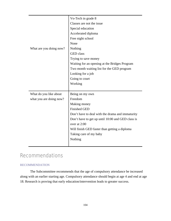|                         | Vo-Tech in grade 8                                |
|-------------------------|---------------------------------------------------|
|                         | Classes are not the issue                         |
|                         | Special education                                 |
|                         | Accelerated diploma                               |
|                         | Free night school                                 |
|                         | None                                              |
| What are you doing now? | Nothing                                           |
|                         | <b>GED</b> class                                  |
|                         | Trying to save money                              |
|                         | Waiting for an opening at the Bridges Program     |
|                         | Two month waiting list for the GED program        |
|                         | Looking for a job                                 |
|                         | Going to court                                    |
|                         | Working                                           |
|                         |                                                   |
| What do you like about  | Being on my own                                   |
| what you are doing now? | Freedom                                           |
|                         | Making money                                      |
|                         | <b>Finished GED</b>                               |
|                         | Don't have to deal with the drama and immaturity  |
|                         |                                                   |
|                         | Don't have to get up until 10:00 and GED class is |
|                         | over at 2:00                                      |
|                         | Will finish GED faster than getting a diploma     |
|                         | Taking care of my baby                            |
|                         | Nothing                                           |

# Recommendations

#### RECOMMENDATION

The Subcommittee recommends that the age of compulsory attendance be increased along with an earlier starting age. Compulsory attendance should begin at age 4 and end at age 18. Research is proving that early education/intervention leads to greater success.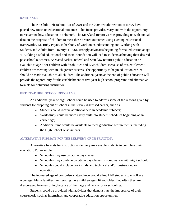#### RATIONALE

The No Child Left Behind Act of 2001 and the 2004 reauthorization of IDEA have placed new focus on educational outcomes. This focus provides Maryland with the opportunity to reexamine how education is delivered. The Maryland Report Card is providing us with annual data on the progress of children to meet these desired outcomes using existing educational frameworks. Dr. Ruby Payne, in her body of work on "Understanding and Working with Students and Adults from Poverty" (1996), strongly advocates beginning formal education at age 4. Building a solid educational and social foundation will lead to students achieving their desired post school outcomes. As stated earlier, federal and State law requires public education be available at age 3 for children with disabilities and LEP children. Because of this entitlement, children are meeting with much greater success. The opportunity to begin education earlier should be made available to all children. The additional years at the end of public education will provide the opportunity for the establishment of five-year high school programs and alternative formats for delivering instruction.

#### FIVE YEAR HIGH SCHOOL PROGRAMS.

An additional year of high school could be used to address some of the reasons given by students for dropping out of school in the survey discussed earlier, such as:

- Students could receive additional help in academic subjects;
- Work-study could be more easily built into student schedules beginning at an earlier age;
- Additional time would be available to meet graduation requirements, including the High School Assessments.

#### ALTERNATIVE FORMATS FOR THE DELIVERY OF INSTRUCTION.

Alternative formats for instructional delivery may enable students to complete their education. For example:

- Schedules may use part-time day classes;
- Schedules may combine part-time day classes in combination with night school;
- Schedules could include work study and technical and/or post-secondary education.

The increased age of compulsory attendance would allow LEP students to enroll at an older age. Many families immigrating have children ages 16 and older. Too often they are discouraged from enrolling because of their age and lack of prior schooling.

Students could be provided with activities that demonstrate the importance of their coursework, such as internships and cooperative education opportunities.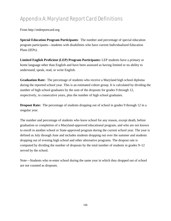# Appendix A: Maryland Report Card Definitions

From http://mdreportcard.org

**Special Education Program Participants**: The number and percentage of special education program participants—students with disabilities who have current Individualized Education Plans (IEPs).

**Limited English Proficient (LEP) Program Participants:** LEP students have a primary or home language other than English and have been assessed as having limited or no ability to understand, speak, read, or write English.

**Graduation Rate:** The percentage of students who receive a Maryland high school diploma during the reported school year. This is an estimated cohort group. It is calculated by dividing the number of high school graduates by the sum of the dropouts for grades 9 through 12, respectively, in consecutive years, plus the number of high school graduates.

**Dropout Rate:** The percentage of students dropping out of school in grades 9 through 12 in a singular year.

The number and percentage of students who leave school for any reason, except death, before graduation or completion of a Maryland-approved educational program, and who are not known to enroll in another school or State-approved program during the current school year. The year is defined as July through June and includes students dropping out over the summer and students dropping out of evening high school and other alternative programs. The dropout rate is computed by dividing the number of dropouts by the total number of students in grades 9–12 served by the school.

Note—Students who re-enter school during the same year in which they dropped out of school are not counted as dropouts.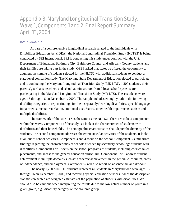# Appendix B: Maryland Longitudinal Transition Study, Wave 1, Components 1 and 2, Final Report Summary, April 13, 2004

#### BACKGROUND

As part of a comprehensive longitudinal research related to the Individuals with Disabilities Education Act (IDEA), the National Longitudinal Transition Study (NLTS2) is being conducted by SRI International. SRI is conducting this study under contract with the U.S. Department of Education. Baltimore City, Baltimore County, and Allegany County students and their families are taking part in the study. OSEP asked that states be offered the opportunity to augment the sample of students selected for the NLTS2 with additional students to conduct a state-level companion study. The Maryland State Department of Education elected to participate and is conducting the Maryland Longitudinal Transition Study (MD LTS). 1,200 students, their parents/guardians, teachers, and school administrators from 9 local school systems are participating in the Maryland Longitudinal Transition Study (MD LTS). These students were ages 13 through 16 on December 1, 2000. The sample includes enough youth in the following disability categories to report findings for them separately: learning disabilities, speech/language impairments, mental retardation, emotional disturbance, other health impairments, autism and multiple disabilities.

The framework of the MD LTS is the same as the NLTS2. There are to be 5 components within this wave. Component 1 of the study is a look at the characteristics of students with disabilities and their households. The demographic characteristics shall depict the diversity of the students. The second component addresses the extracurricular activities of the students. It looks at all out of school activities. Component 3 and 4 focus on the school. Component 3 summarizes findings regarding the characteristics of schools attended by secondary school-age students with disabilities. Component 4 will focus on the school programs of students, including courses taken, placements, and access to the general education curriculum. Component 5 will address student achievement in multiple domains such as: academic achievement in the general curriculum, areas of independence, and employment. Component 5 will also report on absenteeism and dropout.

The nearly 1,200 MD-LTS students represent **all** students in Maryland who were ages 13 through 16 on December 1, 2000, and receiving special education services. All of the descriptive statistics presented are weighted estimates of the population of students with disabilities. We should also be cautious when interpreting the results due to the low actual number of youth in a given group, e.g., disability category or racial/ethnic group.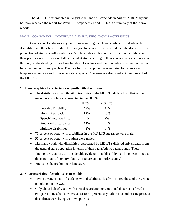The MD LTS was initiated in August 2001 and will conclude in August 2010. Maryland has now received the report for Wave 1, Components 1 and 2. This is a summary of these two reports.

#### WAVE 1 COMPONENT 1: INDIVIDUAL AND HOUSEHOLD CHARACTERISTICS

Component 1 addresses key questions regarding the characteristics of students with disabilities and their households. The demographic characteristics will depict the diversity of the population of students with disabilities. A detailed description of their functional abilities and their prior service histories will illustrate what students bring to their educational experiences. A thorough understanding of the characteristics of students and their households is the foundation for effective policy and practice. The data for this component was reported by parents using telephone interviews and from school data reports. Five areas are discussed in Component 1 of the MD LTS.

#### **1. Demographic characteristics of youth with disabilities**

• The distribution of youth with disabilities in the MD LTS differs from that of the nation as a whole, as represented in the NLTS2.

|                              | NLTS <sub>2</sub> | <b>MDLTS</b> |
|------------------------------|-------------------|--------------|
| <b>Learning Disability</b>   | 62%               | 54%          |
| <b>Mental Retardation</b>    | 12%               | 8%           |
| Speech/language Imp.         | 4%                | 9%           |
| <b>Emotional disturbance</b> | 11%               | 14%          |
| Multiple disabilities        | 2%                | 14%          |

- 71 percent of youth with disabilities in the MD LTS age range were male.
- 91 percent of youth with autism were males.
- Maryland youth with disabilities represented by MD LTS differed only slightly from the general state population in terms of their racial/ethnic backgrounds. These findings are contrary to considerable evidence that "disability has long been linked to the conditions of poverty, family structure, and minority status."
- English is the predominate language.

#### **2. Characteristics of Students' Households**

- Living arrangements of students with disabilities closely mirrored those of the general population in the U.S.
- Only about half of youth with mental retardation or emotional disturbance lived in two-parent households, where as 61 to 71 percent of youth in most other categories of disabilities were living with two parents.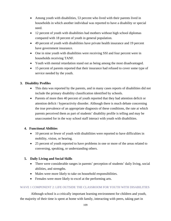- Among youth with disabilities, 53 percent who lived with their parents lived in households in which another individual was reported to have a disability or special need.
- 12 percent of youth with disabilities had mothers without high school diplomas compared with 18 percent of youth in general population.
- 49 percent of youth with disabilities have private health insurance and 19 percent have government insurance.
- One in nine youth with disabilities were receiving SSI and four percent were in households receiving TANF.
- Youth with mental retardation stand out as being among the most disadvantaged.
- 15 percent of parents reported that their insurance had refused to cover some type of service needed by the youth.

# **3. Disability Profiles**

- This data was reported by the parents, and in many cases reports of disabilities did not include the primary disability classification identified by schools.
- Parents of more then 40 percent of youth reported that they had attention deficit or attention deficit / hyperactivity disorder. Although there is much debate concerning the true prevalence of an appropriate diagnosis of these conditions, the rate at which parents perceived them as part of students' disability profile is telling and may be unaccounted for in the way school staff interact with youth with disabilities.

## **4. Functional Abilities**

- 10 percent or fewer of youth with disabilities were reported to have difficulties in mobility, vision, or hearing.
- 25 percent of youth reported to have problems in one or more of the areas related to conversing, speaking, or understanding others.

## **5. Daily Living and Social Skills**

- There were considerable ranges in parents' perception of students' daily living, social abilities, and strengths.
- Males were more likely to take on household responsibilities.
- Females were more likely to excel at the performing arts.

## WAVE 1 COMPONENT 2: LIFE OUTSIDE THE CLASSROOM FOR YOUTH WITH DISABILITIES

Although school is a critically important learning environment for children and youth, the majority of their time is spent at home with family, interacting with peers, taking part in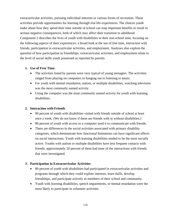extracurricular activities, pursuing individual interests or various forms of recreation. These activities provide opportunities for learning through real life experiences. The choices youth make about how they spend their time outside of school can reap important benefits or result in serious negative consequences, both of which may affect their transition to adulthood. Component 2 describes the lives of youth with disabilities in their non-school time, focusing on the following aspects of their experiences: a broad look at the use of free time, interaction with friends, participation in extracurricular activities, and employment. Analyses also explore the question of how participation in friendships, extracurricular activities, and employment relate to the level of social skills youth possessed as reported by parents.

#### **1. Use of Free Time**

- The activities listed by parents were very typical of young teenagers. The activities ranged from playing on computers to hanging out to listening to music.
- For youth with mental retardation, autism, or multiple disabilities, watching television was the most commonly named activity.
- Using the computer was the most commonly named activity for youth with learning disabilities.

#### **2. Interaction with Friends**

- 90 percent of youth with disabilities visited with friends outside of school at least once a week. (We do not know if these are friends with or without disabilities.)
- 80 percent of youth with access to a computer used it to communicate with friends.
- There are differences in the social activities associated with primary disability categories, which demonstrate how functional limitations can have significant effects on social interactions. Youth with learning disabilities tended to be the most socially active. Youths with autism or multiple disabilities have less frequent contacts with friends; approximately 20 percent of them had none of the interactions with friends that were investigated.

## **3. Participation in Extracurricular Activities**

- 80 percent of youth with disabilities had participated in extracurricular activities and programs through which they could explore interests, learn skills, develop friendships, and participate actively as members of their school and community.
- Youth with learning disabilities, speech impairments, or mental retardation were the most likely to participate in volunteer activities.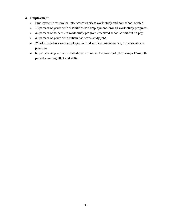## **4. Employment**

- Employment was broken into two categories: work-study and non-school related.
- 18 percent of youth with disabilities had employment through work-study programs.
- 48 percent of students in work-study programs received school credit but no pay.
- 40 percent of youth with autism had work-study jobs.
- 2/3 of all students were employed in food services, maintenance, or personal care positions.
- 60 percent of youth with disabilities worked at 1 non-school job during a 12-month period spanning 2001 and 2002.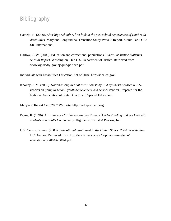# Bibliography

- Cameto, R. (2006). *After high school: A first look at the post school experiences of youth with disabilities.* Maryland Longitudinal Transition Study Wave 2 Report. Menlo Park, CA: SRI International.
- Harlow, C. W. (2003). Education and correctional populations. *Bureau of Justice Statistics Special Report*. Washington, DC: U.S. Department of Justice. Retrieved from www.ojp.usdoj.gov/bjs/pub/pdf/ecp.pdf

Individuals with Disabilities Education Act of 2004. http://idea.ed.gov/

Knokey, A.M. (2006). *National longitudinal transition study 2: A synthesis of three NLTS2 reports on going to school, youth achievement and service reports*. Prepared for the National Association of State Directors of Special Education.

Maryland Report Card 2007 Web site: http://mdreportcard.org

- Payne, R. (1996). *A Framework for Understanding Poverty: Understanding and working with students and adults from poverty.* Highlands, TX: aha! Process, Inc.
- U.S. Census Bureau. (2005). *Educational attainment in the United States: 2004.* Washington, DC: Author. Retrieved from: [http://www.census.gov/population/socdemo/](http://nces.ed.gov/transfer.asp?location=www.census.gov/population/socdemo/education/cps2004/tab08-1.pdf)  [education/cps2004/tab08-1.pdf](http://nces.ed.gov/transfer.asp?location=www.census.gov/population/socdemo/education/cps2004/tab08-1.pdf).